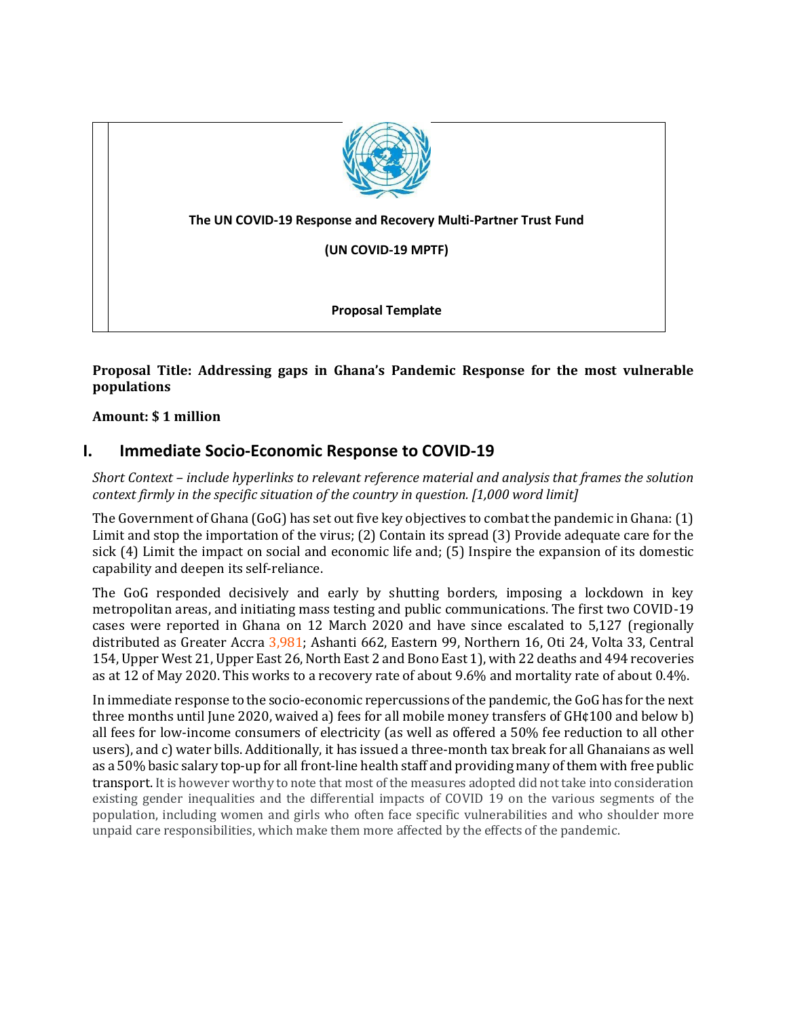

### **Proposal Title: Addressing gaps in Ghana's Pandemic Response for the most vulnerable populations**

#### **Amount: \$ 1 million**

## **I. Immediate Socio-Economic Response to COVID-19**

*Short Context – include hyperlinks to relevant reference material and analysis that frames the solution context firmly in the specific situation of the country in question. [1,000 word limit]* 

The Government of Ghana (GoG) has set out five key objectives to combat the pandemic in Ghana: (1) Limit and stop the importation of the virus; (2) Contain its spread (3) Provide adequate care for the sick (4) Limit the impact on social and economic life and; (5) Inspire the expansion of its domestic capability and deepen its self-reliance.

The GoG responded decisively and early by shutting borders, imposing a lockdown in key metropolitan areas, and initiating mass testing and public communications. The first two COVID-19 cases were reported in Ghana on 12 March 2020 and have since escalated to 5,127 (regionally distributed as Greater Accra 3,981; Ashanti 662, Eastern 99, Northern 16, Oti 24, Volta 33, Central 154, Upper West 21, Upper East 26,North East 2 and Bono East 1), with 22 deaths and 494 recoveries as at 12 of May 2020. This works to a recovery rate of about 9.6% and mortality rate of about 0.4%.

In immediate response to the socio-economic repercussions of the pandemic, the GoG has for the next three months until June 2020, waived a) fees for all mobile money transfers of GH¢100 and below b) all fees for low-income consumers of electricity (as well as offered a 50% fee reduction to all other users), and c) water bills. Additionally, it has issued a three-month tax break for all Ghanaians as well as a 50% basic salary top-up for all front-line health staff and providing many of them with free public transport. It is however worthy to note that most of the measures adopted did not take into consideration existing gender inequalities and the differential impacts of COVID 19 on the various segments of the population, including women and girls who often face specific vulnerabilities and who shoulder more unpaid care responsibilities, which make them more affected by the effects of the pandemic.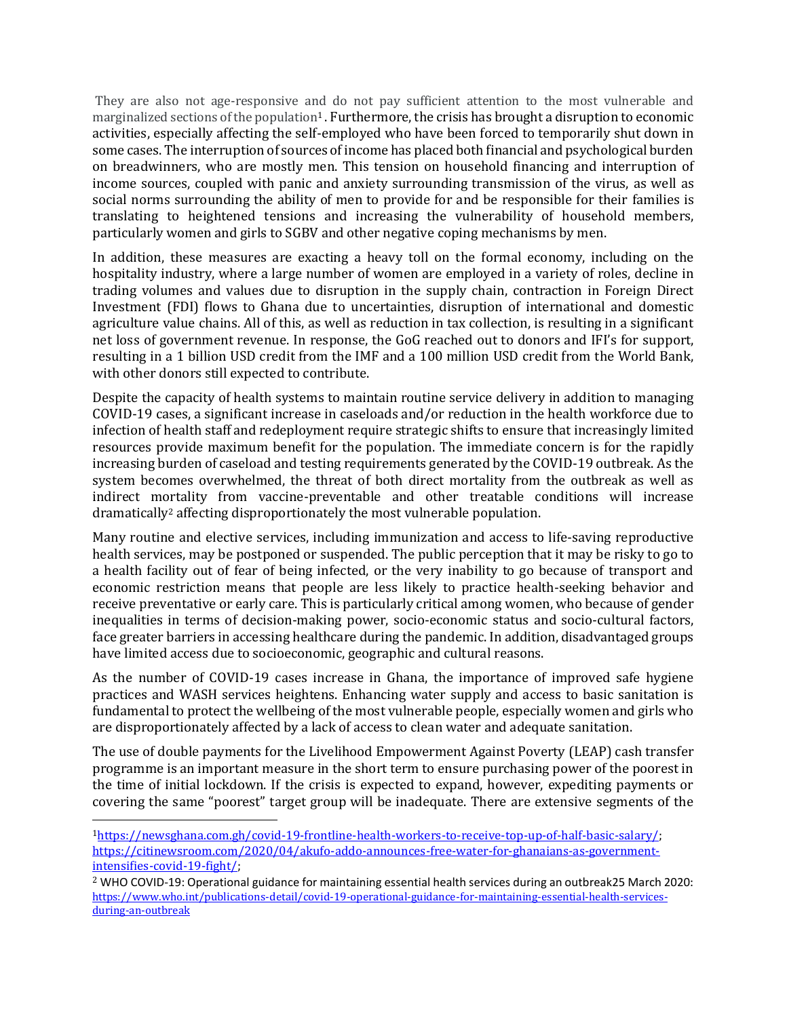They are also not age-responsive and do not pay sufficient attention to the most vulnerable and marginalized sections of the population<sup>1</sup>. Furthermore, the crisis has brought a disruption to economic activities, especially affecting the self-employed who have been forced to temporarily shut down in some cases. The interruption of sources of income has placed both financial and psychological burden on breadwinners, who are mostly men. This tension on household financing and interruption of income sources, coupled with panic and anxiety surrounding transmission of the virus, as well as social norms surrounding the ability of men to provide for and be responsible for their families is translating to heightened tensions and increasing the vulnerability of household members, particularly women and girls to SGBV and other negative coping mechanisms by men.

In addition, these measures are exacting a heavy toll on the formal economy, including on the hospitality industry, where a large number of women are employed in a variety of roles, decline in trading volumes and values due to disruption in the supply chain, contraction in Foreign Direct Investment (FDI) flows to Ghana due to uncertainties, disruption of international and domestic agriculture value chains. All of this, as well as reduction in tax collection, is resulting in a significant net loss of government revenue. In response, the GoG reached out to donors and IFI's for support, resulting in a 1 billion USD credit from the IMF and a 100 million USD credit from the World Bank, with other donors still expected to contribute.

Despite the capacity of health systems to maintain routine service delivery in addition to managing COVID-19 cases, a significant increase in caseloads and/or reduction in the health workforce due to infection of health staff and redeployment require strategic shifts to ensure that increasingly limited resources provide maximum benefit for the population. The immediate concern is for the rapidly increasing burden of caseload and testing requirements generated by the COVID-19 outbreak. As the system becomes overwhelmed, the threat of both direct mortality from the outbreak as well as indirect mortality from vaccine-preventable and other treatable conditions will increase dramatically<sup>2</sup> affecting disproportionately the most vulnerable population.

Many routine and elective services, including immunization and access to life-saving reproductive health services, may be postponed or suspended. The public perception that it may be risky to go to a health facility out of fear of being infected, or the very inability to go because of transport and economic restriction means that people are less likely to practice health-seeking behavior and receive preventative or early care. This is particularly critical among women, who because of gender inequalities in terms of decision-making power, socio-economic status and socio-cultural factors, face greater barriers in accessing healthcare during the pandemic. In addition, disadvantaged groups have limited access due to socioeconomic, geographic and cultural reasons.

As the number of COVID-19 cases increase in Ghana, the importance of improved safe hygiene practices and WASH services heightens. Enhancing water supply and access to basic sanitation is fundamental to protect the wellbeing of the most vulnerable people, especially women and girls who are disproportionately affected by a lack of access to clean water and adequate sanitation.

The use of double payments for the Livelihood Empowerment Against Poverty (LEAP) cash transfer programme is an important measure in the short term to ensure purchasing power of the poorest in the time of initial lockdown. If the crisis is expected to expand, however, expediting payments or covering the same "poorest" target group will be inadequate. There are extensive segments of the

<sup>1</sup>[https://newsghana.com.gh/covid-19-frontline-health-workers-to-receive-top-up-of-half-basic-salary/;](https://newsghana.com.gh/covid-19-frontline-health-workers-to-receive-top-up-of-half-basic-salary/) [https://citinewsroom.com/2020/04/akufo-addo-announces-free-water-for-ghanaians-as-government](https://citinewsroom.com/2020/04/akufo-addo-announces-free-water-for-ghanaians-as-government-intensifies-covid-19-fight/)[intensifies-covid-19-fight/;](https://citinewsroom.com/2020/04/akufo-addo-announces-free-water-for-ghanaians-as-government-intensifies-covid-19-fight/)

<sup>2</sup> WHO COVID-19: Operational guidance for maintaining essential health services during an outbreak25 March 2020: [https://www.who.int/publications-detail/covid-19-operational-guidance-for-maintaining-essential-health-services](https://eur03.safelinks.protection.outlook.com/?url=https%3A%2F%2Fwww.who.int%2Fpublications-detail%2Fcovid-19-operational-guidance-for-maintaining-essential-health-services-during-an-outbreak&data=02%7C01%7Cgifty.tetteh%40one.un.org%7C3d6685e7677445be322a08d7e946e57d%7Cb3e5db5e2944483799f57488ace54319%7C0%7C0%7C637234363298442763&sdata=Ld03vf4QI6Tj0V2VhYYK%2FaRM9RSiZt14e8Y1303FvLA%3D&reserved=0)[during-an-outbreak](https://eur03.safelinks.protection.outlook.com/?url=https%3A%2F%2Fwww.who.int%2Fpublications-detail%2Fcovid-19-operational-guidance-for-maintaining-essential-health-services-during-an-outbreak&data=02%7C01%7Cgifty.tetteh%40one.un.org%7C3d6685e7677445be322a08d7e946e57d%7Cb3e5db5e2944483799f57488ace54319%7C0%7C0%7C637234363298442763&sdata=Ld03vf4QI6Tj0V2VhYYK%2FaRM9RSiZt14e8Y1303FvLA%3D&reserved=0)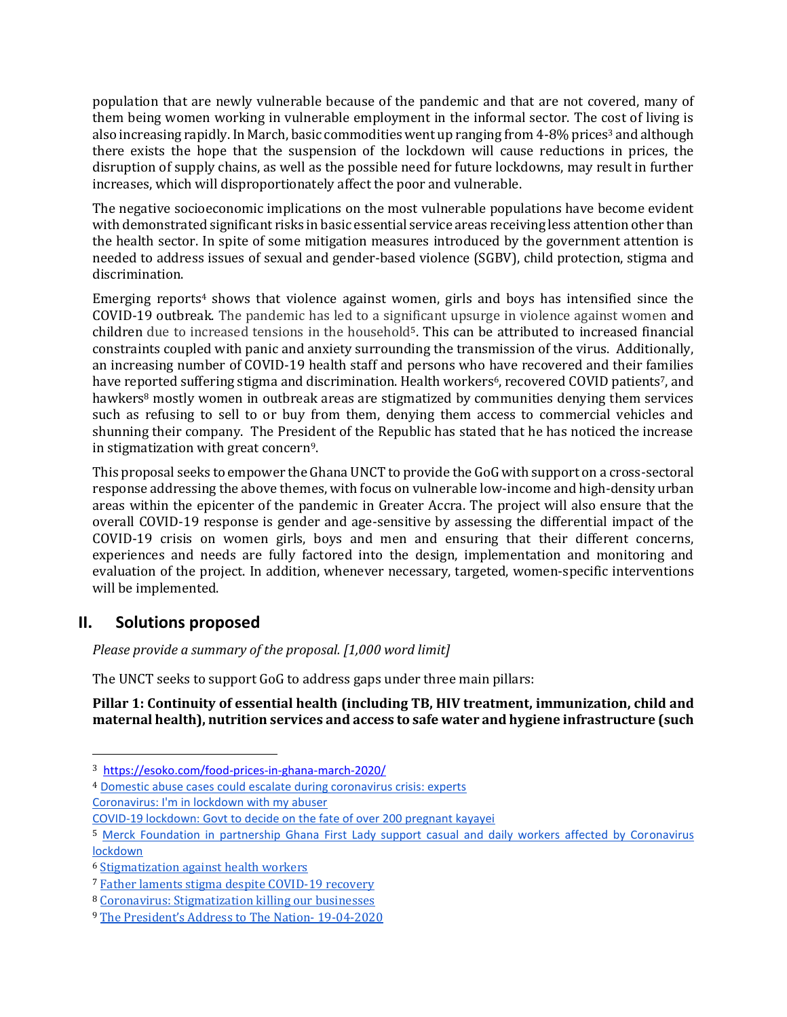population that are newly vulnerable because of the pandemic and that are not covered, many of them being women working in vulnerable employment in the informal sector. The cost of living is also increasing rapidly. In March, basic commodities went up ranging from 4-8% prices<sup>3</sup> and although there exists the hope that the suspension of the lockdown will cause reductions in prices, the disruption of supply chains, as well as the possible need for future lockdowns, may result in further increases, which will disproportionately affect the poor and vulnerable.

The negative socioeconomic implications on the most vulnerable populations have become evident with demonstrated significant risks in basic essential service areas receiving less attention other than the health sector. In spite of some mitigation measures introduced by the government attention is needed to address issues of sexual and gender-based violence (SGBV), child protection, stigma and discrimination.

Emerging reports<sup>4</sup> shows that violence against women, girls and boys has intensified since the COVID-19 outbreak. The pandemic has led to a significant upsurge in violence against women and children due to increased tensions in the household<sup>5</sup>. This can be attributed to increased financial constraints coupled with panic and anxiety surrounding the transmission of the virus. Additionally, an increasing number of COVID-19 health staff and persons who have recovered and their families have reported suffering stigma and discrimination. Health workers<sup>6</sup>, recovered COVID patients<sup>7</sup>, and hawkers<sup>8</sup> mostly women in outbreak areas are stigmatized by communities denying them services such as refusing to sell to or buy from them, denying them access to commercial vehicles and shunning their company. The President of the Republic has stated that he has noticed the increase in stigmatization with great concern9.

This proposal seeks to empower the Ghana UNCT to provide the GoG with support on a cross-sectoral response addressing the above themes, with focus on vulnerable low-income and high-density urban areas within the epicenter of the pandemic in Greater Accra. The project will also ensure that the overall COVID-19 response is gender and age-sensitive by assessing the differential impact of the COVID-19 crisis on women girls, boys and men and ensuring that their different concerns, experiences and needs are fully factored into the design, implementation and monitoring and evaluation of the project. In addition, whenever necessary, targeted, women-specific interventions will be implemented.

## **II. Solutions proposed**

*Please provide a summary of the proposal. [1,000 word limit]*

The UNCT seeks to support GoG to address gaps under three main pillars:

**Pillar 1: Continuity of essential health (including TB, HIV treatment, immunization, child and maternal health), nutrition services and access to safe water and hygiene infrastructure (such** 

<sup>3</sup> <https://esoko.com/food-prices-in-ghana-march-2020/>

<sup>4</sup> [Domestic abuse cases could escalate during coronavirus crisis: experts](https://nypost.com/2020/04/02/domestic-abuse-cases-could-escalate-during-coronavirus-crisis/)

Coronavirus: I'm [in lockdown with my abuser](https://www.bbc.com/news/world-52063755)

[COVID-19 lockdown: Govt to decide on the fate of over 200 pregnant kayayei](https://www.pulse.com.gh/news/local/covid-19-lockdown-govt-to-decide-on-the-fate-of-over-200-pregnant-kayayei/6ssry6h)

<sup>5</sup> [Merck Foundation in partnership Ghana First Lady support casual and daily workers affected by Coronavirus](https://www.africanews.com/2020/04/20/merck-foundation-in-partnership-ghana-first-lady-support-casual-and-daily-workers-affected-by-coronavirus-lockdown/)  [lockdown](https://www.africanews.com/2020/04/20/merck-foundation-in-partnership-ghana-first-lady-support-casual-and-daily-workers-affected-by-coronavirus-lockdown/)

<sup>6</sup> [Stigmatization against health workers](https://www.pulse.com.gh/news/local/covid-19-stigmatization-against-health-workers-at-begoro-on-the-increase/xree316)

<sup>7</sup> [Father laments stigma despite COVID-19 recovery](https://citinewsroom.com/2020/04/i-wish-i-was-back-in-quarantine-father-laments-stigma-despite-covid-19-recovery/)

<sup>8</sup> [Coronavirus: Stigmatization killing our businesses](https://www.ghanaweb.com/GhanaHomePage/regional/Coronvirus-Stigmatization-killing-our-businesses-Kpong-abolo-sellers-lament-929704)

<sup>9</sup> [The President's Address to The Nation](https://dailyguidenetwork.com/full-text-of-the-presidents-address-to-the-nation-19-04-2020/)- 19-04-2020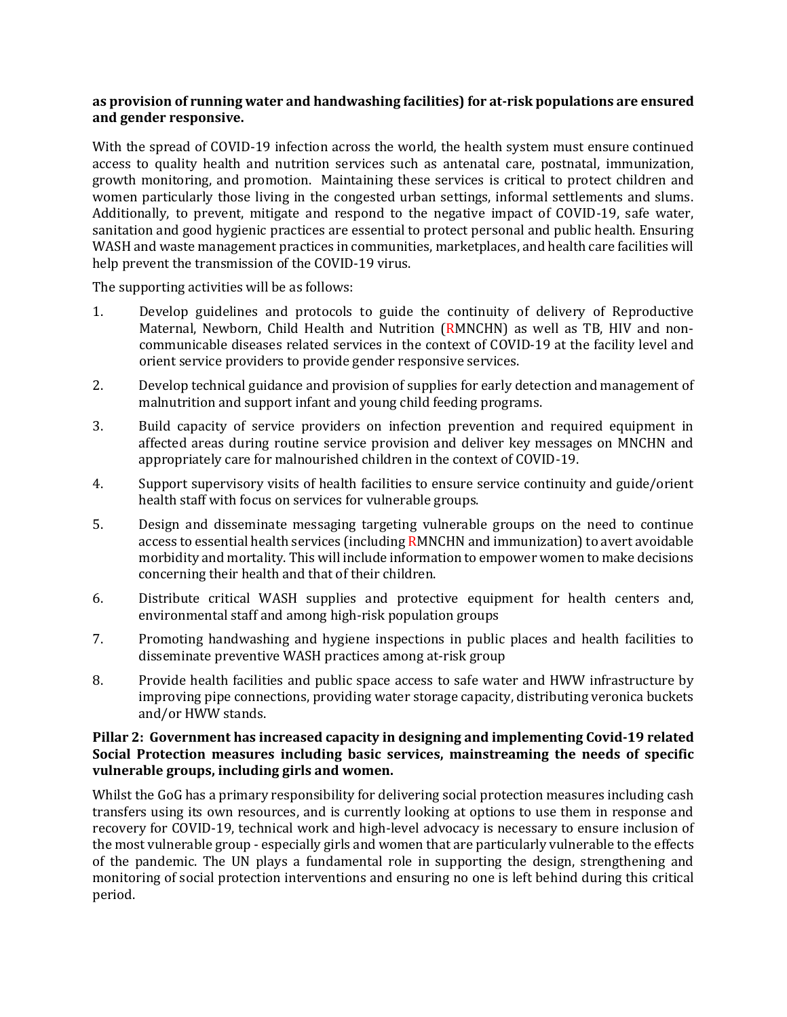#### **as provision of running water and handwashing facilities) for at-risk populations are ensured and gender responsive.**

With the spread of COVID-19 infection across the world, the health system must ensure continued access to quality health and nutrition services such as antenatal care, postnatal, immunization, growth monitoring, and promotion. Maintaining these services is critical to protect children and women particularly those living in the congested urban settings, informal settlements and slums. Additionally, to prevent, mitigate and respond to the negative impact of COVID-19, safe water, sanitation and good hygienic practices are essential to protect personal and public health. Ensuring WASH and waste management practices in communities, marketplaces, and health care facilities will help prevent the transmission of the COVID-19 virus.

The supporting activities will be as follows:

- 1. Develop guidelines and protocols to guide the continuity of delivery of Reproductive Maternal, Newborn, Child Health and Nutrition (RMNCHN) as well as TB, HIV and noncommunicable diseases related services in the context of COVID-19 at the facility level and orient service providers to provide gender responsive services.
- 2. Develop technical guidance and provision of supplies for early detection and management of malnutrition and support infant and young child feeding programs.
- 3. Build capacity of service providers on infection prevention and required equipment in affected areas during routine service provision and deliver key messages on MNCHN and appropriately care for malnourished children in the context of COVID-19.
- 4. Support supervisory visits of health facilities to ensure service continuity and guide/orient health staff with focus on services for vulnerable groups.
- 5. Design and disseminate messaging targeting vulnerable groups on the need to continue access to essential health services (including RMNCHN and immunization) to avert avoidable morbidity and mortality. This will include information to empower women to make decisions concerning their health and that of their children.
- 6. Distribute critical WASH supplies and protective equipment for health centers and, environmental staff and among high-risk population groups
- 7. Promoting handwashing and hygiene inspections in public places and health facilities to disseminate preventive WASH practices among at-risk group
- 8. Provide health facilities and public space access to safe water and HWW infrastructure by improving pipe connections, providing water storage capacity, distributing veronica buckets and/or HWW stands.

#### **Pillar 2: Government has increased capacity in designing and implementing Covid-19 related Social Protection measures including basic services, mainstreaming the needs of specific vulnerable groups, including girls and women.**

Whilst the GoG has a primary responsibility for delivering social protection measures including cash transfers using its own resources, and is currently looking at options to use them in response and recovery for COVID-19, technical work and high-level advocacy is necessary to ensure inclusion of the most vulnerable group - especially girls and women that are particularly vulnerable to the effects of the pandemic. The UN plays a fundamental role in supporting the design, strengthening and monitoring of social protection interventions and ensuring no one is left behind during this critical period.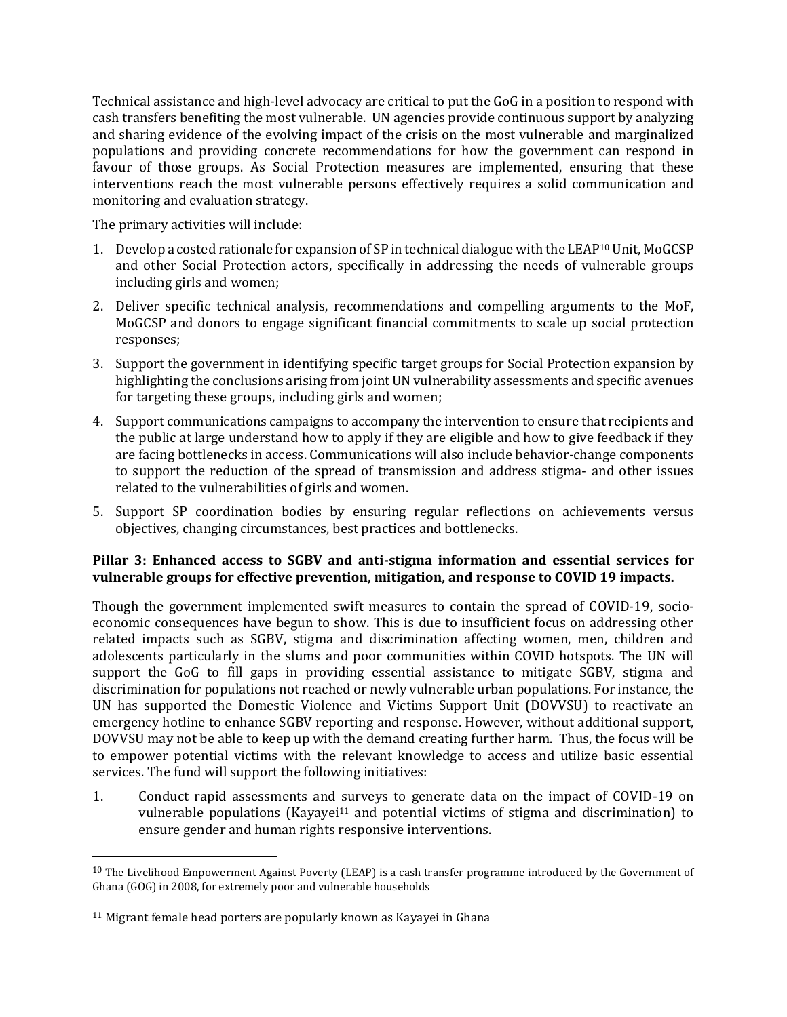Technical assistance and high-level advocacy are critical to put the GoG in a position to respond with cash transfers benefiting the most vulnerable. UN agencies provide continuous support by analyzing and sharing evidence of the evolving impact of the crisis on the most vulnerable and marginalized populations and providing concrete recommendations for how the government can respond in favour of those groups. As Social Protection measures are implemented, ensuring that these interventions reach the most vulnerable persons effectively requires a solid communication and monitoring and evaluation strategy.

The primary activities will include:

- 1. Develop a costed rationale for expansion of SP in technical dialogue with the LEAP<sup>10</sup> Unit, MoGCSP and other Social Protection actors, specifically in addressing the needs of vulnerable groups including girls and women;
- 2. Deliver specific technical analysis, recommendations and compelling arguments to the MoF, MoGCSP and donors to engage significant financial commitments to scale up social protection responses;
- 3. Support the government in identifying specific target groups for Social Protection expansion by highlighting the conclusions arising from joint UN vulnerability assessments and specific avenues for targeting these groups, including girls and women;
- 4. Support communications campaigns to accompany the intervention to ensure that recipients and the public at large understand how to apply if they are eligible and how to give feedback if they are facing bottlenecks in access. Communications will also include behavior-change components to support the reduction of the spread of transmission and address stigma- and other issues related to the vulnerabilities of girls and women.
- 5. Support SP coordination bodies by ensuring regular reflections on achievements versus objectives, changing circumstances, best practices and bottlenecks.

#### **Pillar 3: Enhanced access to SGBV and anti-stigma information and essential services for vulnerable groups for effective prevention, mitigation, and response to COVID 19 impacts.**

Though the government implemented swift measures to contain the spread of COVID-19, socioeconomic consequences have begun to show. This is due to insufficient focus on addressing other related impacts such as SGBV, stigma and discrimination affecting women, men, children and adolescents particularly in the slums and poor communities within COVID hotspots. The UN will support the GoG to fill gaps in providing essential assistance to mitigate SGBV, stigma and discrimination for populations not reached or newly vulnerable urban populations. For instance, the UN has supported the Domestic Violence and Victims Support Unit (DOVVSU) to reactivate an emergency hotline to enhance SGBV reporting and response. However, without additional support, DOVVSU may not be able to keep up with the demand creating further harm. Thus, the focus will be to empower potential victims with the relevant knowledge to access and utilize basic essential services. The fund will support the following initiatives:

1. Conduct rapid assessments and surveys to generate data on the impact of COVID-19 on vulnerable populations (Kayayei<sup>11</sup> and potential victims of stigma and discrimination) to ensure gender and human rights responsive interventions.

 $10$  The Livelihood Empowerment Against Poverty (LEAP) is a cash transfer programme introduced by the Government of Ghana (GOG) in 2008, for extremely poor and vulnerable households

<sup>&</sup>lt;sup>11</sup> Migrant female head porters are popularly known as Kayayei in Ghana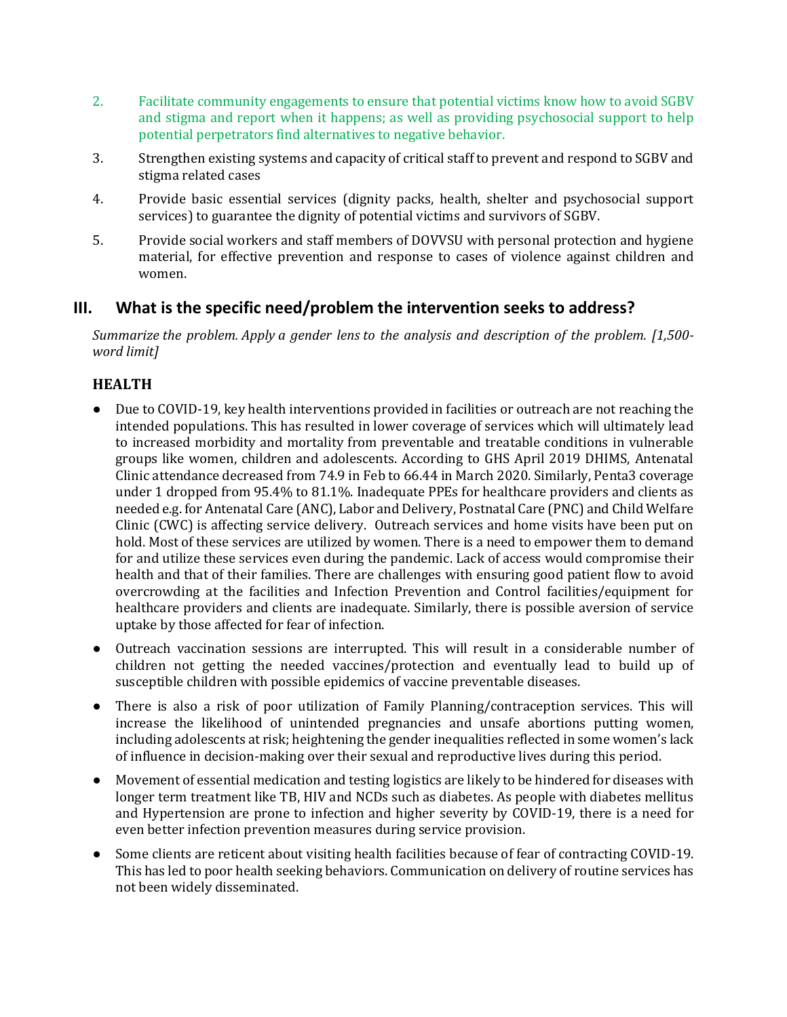- 2. Facilitate community engagements to ensure that potential victims know how to avoid SGBV and stigma and report when it happens; as well as providing psychosocial support to help potential perpetrators find alternatives to negative behavior.
- 3. Strengthen existing systems and capacity of critical staff to prevent and respond to SGBV and stigma related cases
- 4. Provide basic essential services (dignity packs, health, shelter and psychosocial support services) to guarantee the dignity of potential victims and survivors of SGBV.
- 5. Provide social workers and staff members of DOVVSU with personal protection and hygiene material, for effective prevention and response to cases of violence against children and women.

## **III. What is the specific need/problem the intervention seeks to address?**

*Summarize the problem. Apply [a gender lens](https://www.unwomen.org/en/news/stories/2020/3/news-checklist-for-covid-19-response-by-ded-regner) to the analysis and description of the problem. [1,500 word limit]* 

## **HEALTH**

- Due to COVID-19, key health interventions provided in facilities or outreach are not reaching the intended populations. This has resulted in lower coverage of services which will ultimately lead to increased morbidity and mortality from preventable and treatable conditions in vulnerable groups like women, children and adolescents. According to GHS April 2019 DHIMS, Antenatal Clinic attendance decreased from 74.9 in Feb to 66.44 in March 2020. Similarly, Penta3 coverage under 1 dropped from 95.4% to 81.1%. Inadequate PPEs for healthcare providers and clients as needed e.g. for Antenatal Care (ANC), Labor and Delivery, Postnatal Care (PNC) and Child Welfare Clinic (CWC) is affecting service delivery. Outreach services and home visits have been put on hold. Most of these services are utilized by women. There is a need to empower them to demand for and utilize these services even during the pandemic. Lack of access would compromise their health and that of their families. There are challenges with ensuring good patient flow to avoid overcrowding at the facilities and Infection Prevention and Control facilities/equipment for healthcare providers and clients are inadequate. Similarly, there is possible aversion of service uptake by those affected for fear of infection.
- Outreach vaccination sessions are interrupted. This will result in a considerable number of children not getting the needed vaccines/protection and eventually lead to build up of susceptible children with possible epidemics of vaccine preventable diseases.
- There is also a risk of poor utilization of Family Planning/contraception services. This will increase the likelihood of unintended pregnancies and unsafe abortions putting women, including adolescents at risk; heightening the gender inequalities reflected in some women's lack of influence in decision-making over their sexual and reproductive lives during this period.
- Movement of essential medication and testing logistics are likely to be hindered for diseases with longer term treatment like TB, HIV and NCDs such as diabetes. As people with diabetes mellitus and Hypertension are prone to infection and higher severity by COVID-19, there is a need for even better infection prevention measures during service provision.
- Some clients are reticent about visiting health facilities because of fear of contracting COVID-19. This has led to poor health seeking behaviors. Communication on delivery of routine services has not been widely disseminated.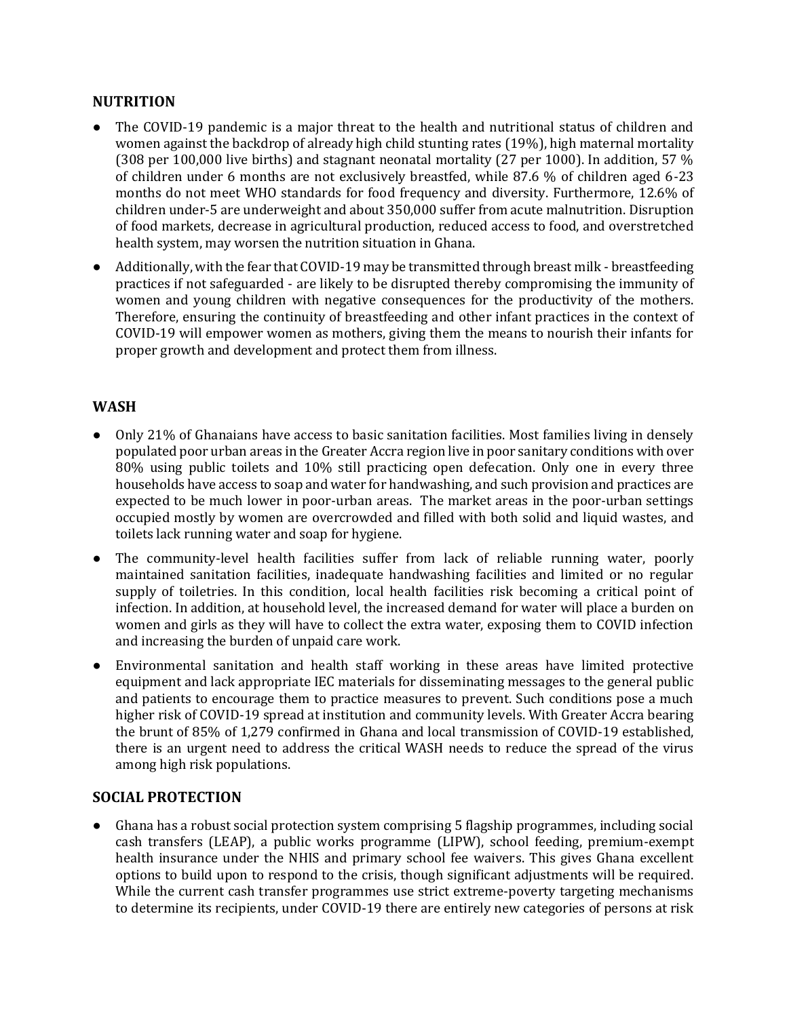### **NUTRITION**

- The COVID-19 pandemic is a major threat to the health and nutritional status of children and women against the backdrop of already high child stunting rates (19%), high maternal mortality (308 per 100,000 live births) and stagnant neonatal mortality (27 per 1000). In addition, 57 % of children under 6 months are not exclusively breastfed, while 87.6 % of children aged 6-23 months do not meet WHO standards for food frequency and diversity. Furthermore, 12.6% of children under-5 are underweight and about 350,000 suffer from acute malnutrition. Disruption of food markets, decrease in agricultural production, reduced access to food, and overstretched health system, may worsen the nutrition situation in Ghana.
- Additionally, with the fear that COVID-19 may be transmitted through breast milk breastfeeding practices if not safeguarded - are likely to be disrupted thereby compromising the immunity of women and young children with negative consequences for the productivity of the mothers. Therefore, ensuring the continuity of breastfeeding and other infant practices in the context of COVID-19 will empower women as mothers, giving them the means to nourish their infants for proper growth and development and protect them from illness.

## **WASH**

- Only 21% of Ghanaians have access to basic sanitation facilities. Most families living in densely populated poor urban areas in the Greater Accra region live in poor sanitary conditions with over 80% using public toilets and 10% still practicing open defecation. Only one in every three households have access to soap and water for handwashing, and such provision and practices are expected to be much lower in poor-urban areas. The market areas in the poor-urban settings occupied mostly by women are overcrowded and filled with both solid and liquid wastes, and toilets lack running water and soap for hygiene.
- The community-level health facilities suffer from lack of reliable running water, poorly maintained sanitation facilities, inadequate handwashing facilities and limited or no regular supply of toiletries. In this condition, local health facilities risk becoming a critical point of infection. In addition, at household level, the increased demand for water will place a burden on women and girls as they will have to collect the extra water, exposing them to COVID infection and increasing the burden of unpaid care work.
- Environmental sanitation and health staff working in these areas have limited protective equipment and lack appropriate IEC materials for disseminating messages to the general public and patients to encourage them to practice measures to prevent. Such conditions pose a much higher risk of COVID-19 spread at institution and community levels. With Greater Accra bearing the brunt of 85% of 1,279 confirmed in Ghana and local transmission of COVID-19 established, there is an urgent need to address the critical WASH needs to reduce the spread of the virus among high risk populations.

## **SOCIAL PROTECTION**

Ghana has a robust social protection system comprising 5 flagship programmes, including social cash transfers (LEAP), a public works programme (LIPW), school feeding, premium-exempt health insurance under the NHIS and primary school fee waivers. This gives Ghana excellent options to build upon to respond to the crisis, though significant adjustments will be required. While the current cash transfer programmes use strict extreme-poverty targeting mechanisms to determine its recipients, under COVID-19 there are entirely new categories of persons at risk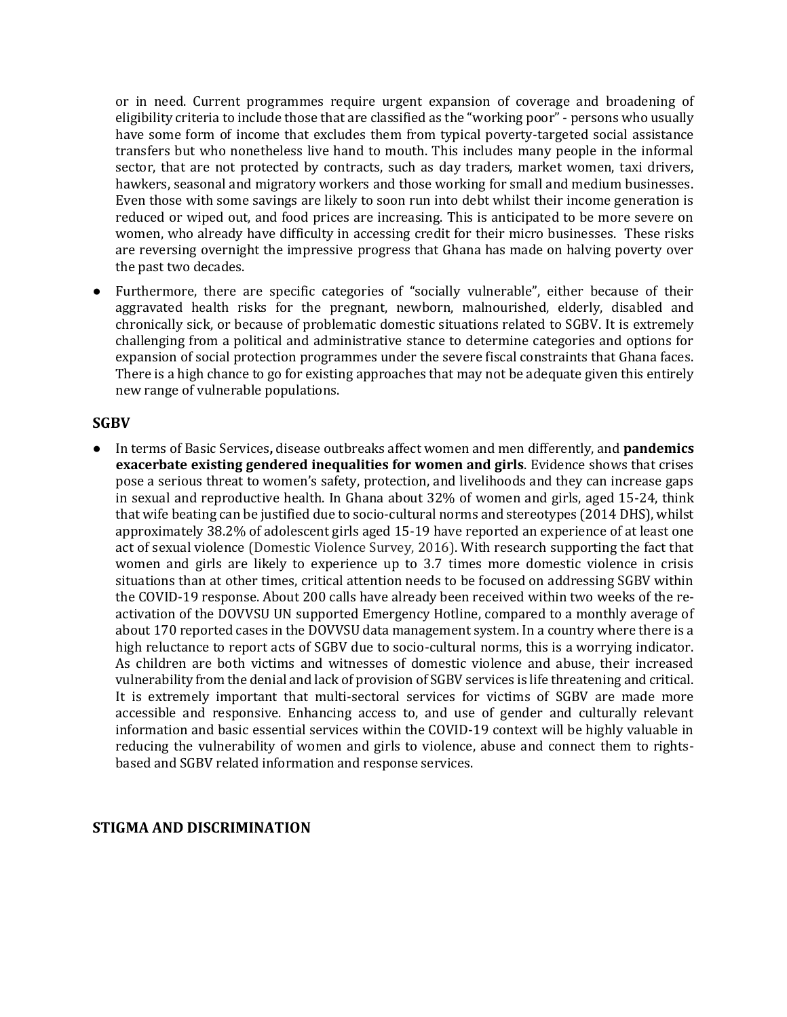or in need. Current programmes require urgent expansion of coverage and broadening of eligibility criteria to include those that are classified as the "working poor" - persons who usually have some form of income that excludes them from typical poverty-targeted social assistance transfers but who nonetheless live hand to mouth. This includes many people in the informal sector, that are not protected by contracts, such as day traders, market women, taxi drivers, hawkers, seasonal and migratory workers and those working for small and medium businesses. Even those with some savings are likely to soon run into debt whilst their income generation is reduced or wiped out, and food prices are increasing. This is anticipated to be more severe on women, who already have difficulty in accessing credit for their micro businesses. These risks are reversing overnight the impressive progress that Ghana has made on halving poverty over the past two decades.

● Furthermore, there are specific categories of "socially vulnerable", either because of their aggravated health risks for the pregnant, newborn, malnourished, elderly, disabled and chronically sick, or because of problematic domestic situations related to SGBV. It is extremely challenging from a political and administrative stance to determine categories and options for expansion of social protection programmes under the severe fiscal constraints that Ghana faces. There is a high chance to go for existing approaches that may not be adequate given this entirely new range of vulnerable populations.

#### **SGBV**

● In terms of Basic Services**,** disease outbreaks affect women and men differently, and **pandemics exacerbate existing gendered inequalities for women and girls**. Evidence shows that crises pose a serious threat to women's safety, protection, and livelihoods and they can increase gaps in sexual and reproductive health. In Ghana about 32% of women and girls, aged 15-24, think that wife beating can be justified due to socio-cultural norms and stereotypes (2014 DHS), whilst approximately 38.2% of adolescent girls aged 15-19 have reported an experience of at least one act of sexual violence (Domestic Violence Survey, 2016). With research supporting the fact that women and girls are likely to experience up to 3.7 times more domestic violence in crisis situations than at other times, critical attention needs to be focused on addressing SGBV within the COVID-19 response. About 200 calls have already been received within two weeks of the reactivation of the DOVVSU UN supported Emergency Hotline, compared to a monthly average of about 170 reported cases in the DOVVSU data management system. In a country where there is a high reluctance to report acts of SGBV due to socio-cultural norms, this is a worrying indicator. As children are both victims and witnesses of domestic violence and abuse, their increased vulnerability from the denial and lack of provision of SGBV services is life threatening and critical. It is extremely important that multi-sectoral services for victims of SGBV are made more accessible and responsive. Enhancing access to, and use of gender and culturally relevant information and basic essential services within the COVID-19 context will be highly valuable in reducing the vulnerability of women and girls to violence, abuse and connect them to rightsbased and SGBV related information and response services.

#### **STIGMA AND DISCRIMINATION**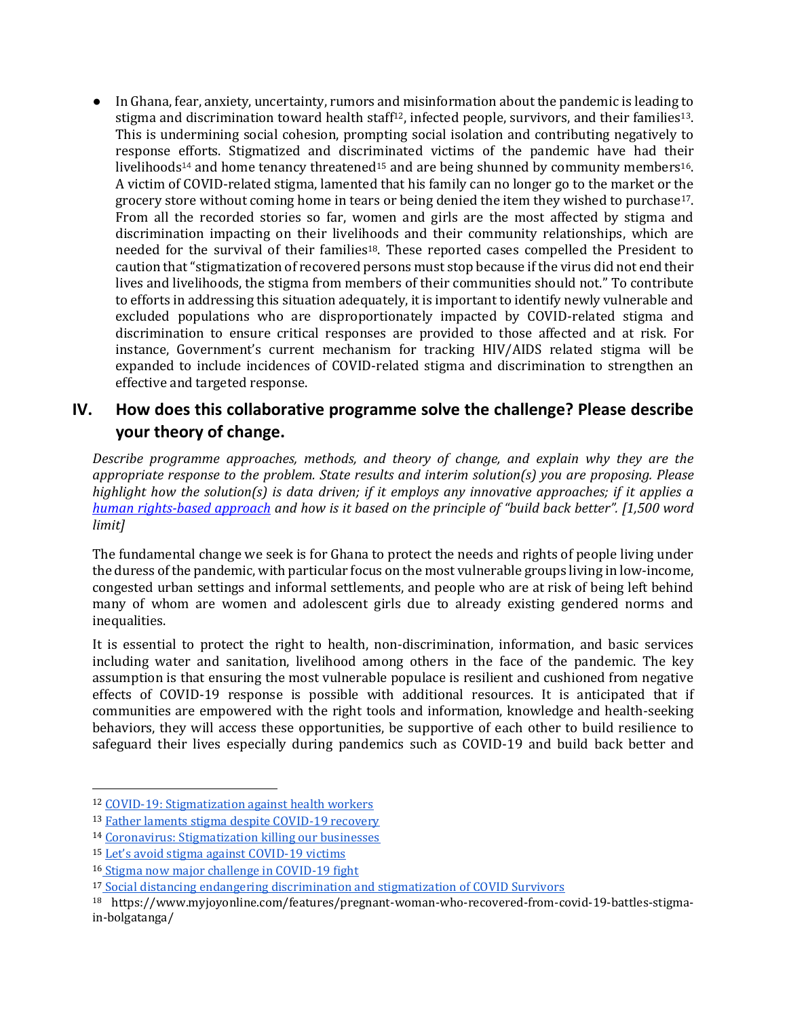● In Ghana, fear, anxiety, uncertainty, rumors and misinformation about the pandemic is leading to stigma and discrimination toward health staff<sup>12</sup>, infected people, survivors, and their families<sup>13</sup>. This is undermining social cohesion, prompting social isolation and contributing negatively to response efforts. Stigmatized and discriminated victims of the pandemic have had their livelihoods<sup>14</sup> and home tenancy threatened<sup>15</sup> and are being shunned by community members<sup>16</sup>. A victim of COVID-related stigma, lamented that his family can no longer go to the market or the grocery store without coming home in tears or being denied the item they wished to purchase17. From all the recorded stories so far, women and girls are the most affected by stigma and discrimination impacting on their livelihoods and their community relationships, which are needed for the survival of their families18. These reported cases compelled the President to caution that "stigmatization of recovered persons must stop because if the virus did not end their lives and livelihoods, the stigma from members of their communities should not." To contribute to efforts in addressing this situation adequately, it is important to identify newly vulnerable and excluded populations who are disproportionately impacted by COVID-related stigma and discrimination to ensure critical responses are provided to those affected and at risk. For instance, Government's current mechanism for tracking HIV/AIDS related stigma will be expanded to include incidences of COVID-related stigma and discrimination to strengthen an effective and targeted response.

## **IV. How does this collaborative programme solve the challenge? Please describe your theory of change.**

*Describe programme approaches, methods, and theory of change, and explain why they are the appropriate response to the problem. State results and interim solution(s) you are proposing. Please highlight how the solution(s) is data driven; if it employs any innovative approaches; if it applies a [human rights-based approach](https://www.ohchr.org/EN/NewsEvents/Pages/COVID19Guidance.aspx) and how is it based on the principle of "build back better". [1,500 word limit]* 

The fundamental change we seek is for Ghana to protect the needs and rights of people living under the duress of the pandemic, with particular focus on the most vulnerable groups living in low-income, congested urban settings and informal settlements, and people who are at risk of being left behind many of whom are women and adolescent girls due to already existing gendered norms and inequalities.

It is essential to protect the right to health, non-discrimination, information, and basic services including water and sanitation, livelihood among others in the face of the pandemic. The key assumption is that ensuring the most vulnerable populace is resilient and cushioned from negative effects of COVID-19 response is possible with additional resources. It is anticipated that if communities are empowered with the right tools and information, knowledge and health-seeking behaviors, they will access these opportunities, be supportive of each other to build resilience to safeguard their lives especially during pandemics such as COVID-19 and build back better and

<sup>12</sup> [COVID-19: Stigmatization against health workers](https://www.pulse.com.gh/news/local/covid-19-stigmatization-against-health-workers-at-begoro-on-the-increase/xree316)

<sup>13</sup> [Father laments stigma despite COVID-19 recovery](https://citinewsroom.com/2020/04/i-wish-i-was-back-in-quarantine-father-laments-stigma-despite-covid-19-recovery/)

<sup>14</sup> [Coronavirus: Stigmatization killing our businesses](https://www.ghanaweb.com/GhanaHomePage/regional/Coronvirus-Stigmatization-killing-our-businesses-Kpong-abolo-sellers-lament-929704)

<sup>15</sup> [Let's avoid stigma against COVID](https://newsghana.com.gh/lets-avoid-stigma-against-covid-19-victims/)-19 victims

<sup>16</sup> [Stigma now major challenge in COVID-19 fight](https://starrfm.com.gh/2020/04/stigma-now-major-challenge-in-covid-19-fight-ghs/)

<sup>17</sup> [Social distancing endangering discrimination and stigmatization of COVID Survivors](https://www.pulse.com.gh/news/world/does-social-distancing-engender-discrimination-and-stigmatisation-a-dilemma-in-the/e7fy586)

<sup>18</sup> [https://www.myjoyonline.com/features/pregnant-woman-who-recovered-from-covid-19-battles-stigma](https://eur03.safelinks.protection.outlook.com/?url=https%3A%2F%2Fwww.myjoyonline.com%2Ffeatures%2Fpregnant-woman-who-recovered-from-covid-19-battles-stigma-in-bolgatanga%2F&data=02%7C01%7Cnina.andersen%40one.un.org%7C07a5972d1e6a4f33e72408d7f5d606bb%7Cb3e5db5e2944483799f57488ace54319%7C0%7C0%7C637248171888682531&sdata=GtNsUELSGbrSWUNmlVTk9FJ%2F%2F6cyABRhp0RYFOMTSQg%3D&reserved=0)[in-bolgatanga/](https://eur03.safelinks.protection.outlook.com/?url=https%3A%2F%2Fwww.myjoyonline.com%2Ffeatures%2Fpregnant-woman-who-recovered-from-covid-19-battles-stigma-in-bolgatanga%2F&data=02%7C01%7Cnina.andersen%40one.un.org%7C07a5972d1e6a4f33e72408d7f5d606bb%7Cb3e5db5e2944483799f57488ace54319%7C0%7C0%7C637248171888682531&sdata=GtNsUELSGbrSWUNmlVTk9FJ%2F%2F6cyABRhp0RYFOMTSQg%3D&reserved=0)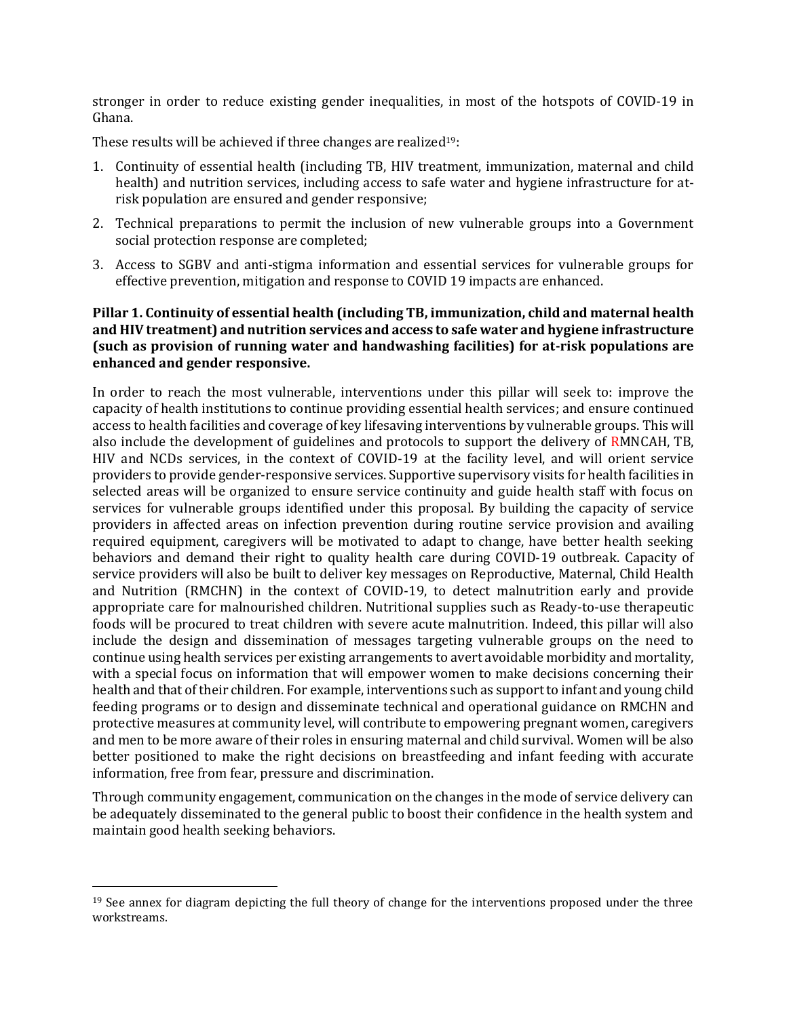stronger in order to reduce existing gender inequalities, in most of the hotspots of COVID-19 in Ghana.

These results will be achieved if three changes are realized<sup>19</sup>:

- 1. Continuity of essential health (including TB, HIV treatment, immunization, maternal and child health) and nutrition services, including access to safe water and hygiene infrastructure for atrisk population are ensured and gender responsive;
- 2. Technical preparations to permit the inclusion of new vulnerable groups into a Government social protection response are completed;
- 3. Access to SGBV and anti-stigma information and essential services for vulnerable groups for effective prevention, mitigation and response to COVID 19 impacts are enhanced.

#### **Pillar 1. Continuity of essential health (including TB, immunization, child and maternal health and HIV treatment) and nutrition services and access to safe water and hygiene infrastructure (such as provision of running water and handwashing facilities) for at-risk populations are enhanced and gender responsive.**

In order to reach the most vulnerable, interventions under this pillar will seek to: improve the capacity of health institutions to continue providing essential health services; and ensure continued access to health facilities and coverage of key lifesaving interventions by vulnerable groups. This will also include the development of guidelines and protocols to support the delivery of RMNCAH, TB, HIV and NCDs services, in the context of COVID-19 at the facility level, and will orient service providers to provide gender-responsive services. Supportive supervisory visits for health facilities in selected areas will be organized to ensure service continuity and guide health staff with focus on services for vulnerable groups identified under this proposal. By building the capacity of service providers in affected areas on infection prevention during routine service provision and availing required equipment, caregivers will be motivated to adapt to change, have better health seeking behaviors and demand their right to quality health care during COVID-19 outbreak. Capacity of service providers will also be built to deliver key messages on Reproductive, Maternal, Child Health and Nutrition (RMCHN) in the context of COVID-19, to detect malnutrition early and provide appropriate care for malnourished children. Nutritional supplies such as Ready-to-use therapeutic foods will be procured to treat children with severe acute malnutrition. Indeed, this pillar will also include the design and dissemination of messages targeting vulnerable groups on the need to continue using health services per existing arrangements to avert avoidable morbidity and mortality, with a special focus on information that will empower women to make decisions concerning their health and that of their children. For example, interventions such as support to infant and young child feeding programs or to design and disseminate technical and operational guidance on RMCHN and protective measures at community level, will contribute to empowering pregnant women, caregivers and men to be more aware of their roles in ensuring maternal and child survival. Women will be also better positioned to make the right decisions on breastfeeding and infant feeding with accurate information, free from fear, pressure and discrimination.

Through community engagement, communication on the changes in the mode of service delivery can be adequately disseminated to the general public to boost their confidence in the health system and maintain good health seeking behaviors.

<sup>&</sup>lt;sup>19</sup> See annex for diagram depicting the full theory of change for the interventions proposed under the three workstreams.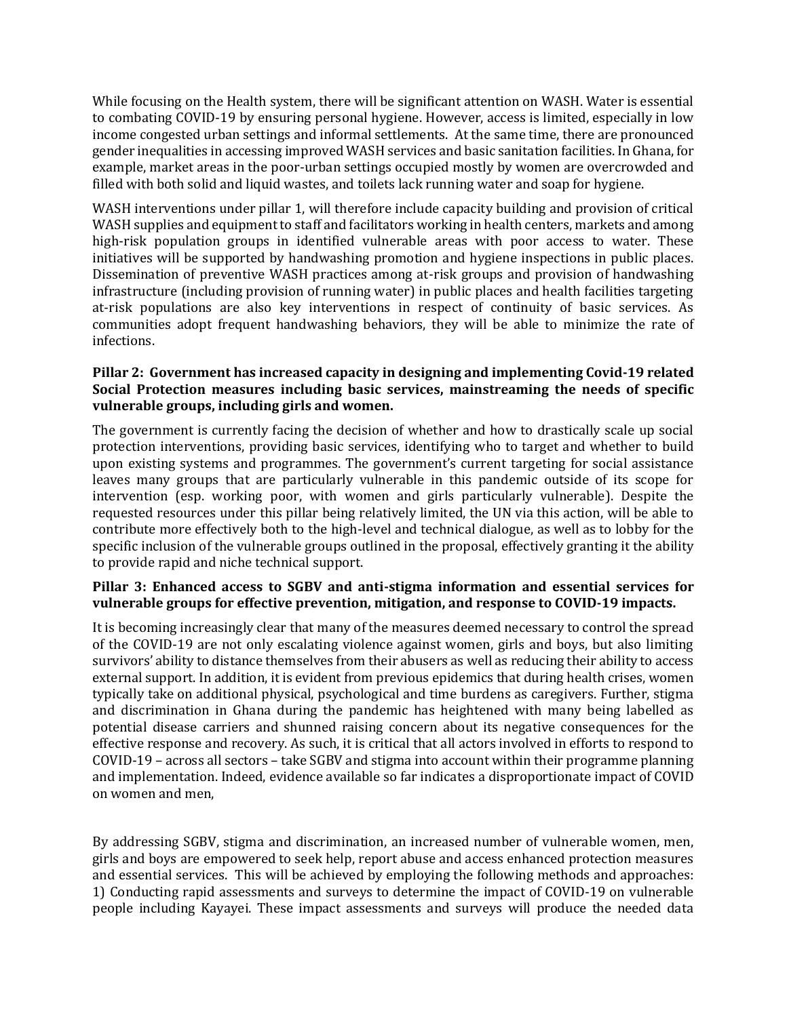While focusing on the Health system, there will be significant attention on WASH. Water is essential to combating COVID-19 by ensuring personal hygiene. However, access is limited, especially in low income congested urban settings and informal settlements. At the same time, there are pronounced gender inequalities in accessing improved WASH services and basic sanitation facilities. In Ghana, for example, market areas in the poor-urban settings occupied mostly by women are overcrowded and filled with both solid and liquid wastes, and toilets lack running water and soap for hygiene.

WASH interventions under pillar 1, will therefore include capacity building and provision of critical WASH supplies and equipment to staff and facilitators working in health centers, markets and among high-risk population groups in identified vulnerable areas with poor access to water. These initiatives will be supported by handwashing promotion and hygiene inspections in public places. Dissemination of preventive WASH practices among at-risk groups and provision of handwashing infrastructure (including provision of running water) in public places and health facilities targeting at-risk populations are also key interventions in respect of continuity of basic services. As communities adopt frequent handwashing behaviors, they will be able to minimize the rate of infections.

#### **Pillar 2: Government has increased capacity in designing and implementing Covid-19 related Social Protection measures including basic services, mainstreaming the needs of specific vulnerable groups, including girls and women.**

The government is currently facing the decision of whether and how to drastically scale up social protection interventions, providing basic services, identifying who to target and whether to build upon existing systems and programmes. The government's current targeting for social assistance leaves many groups that are particularly vulnerable in this pandemic outside of its scope for intervention (esp. working poor, with women and girls particularly vulnerable). Despite the requested resources under this pillar being relatively limited, the UN via this action, will be able to contribute more effectively both to the high-level and technical dialogue, as well as to lobby for the specific inclusion of the vulnerable groups outlined in the proposal, effectively granting it the ability to provide rapid and niche technical support.

#### **Pillar 3: Enhanced access to SGBV and anti-stigma information and essential services for vulnerable groups for effective prevention, mitigation, and response to COVID-19 impacts.**

It is becoming increasingly clear that many of the measures deemed necessary to control the spread of the COVID-19 are not only escalating violence against women, girls and boys, but also limiting survivors' ability to distance themselves from their abusers as well as reducing their ability to access external support. In addition, it is evident from previous epidemics that during health crises, women typically take on additional physical, psychological and time burdens as caregivers. Further, stigma and discrimination in Ghana during the pandemic has heightened with many being labelled as potential disease carriers and shunned raising concern about its negative consequences for the effective response and recovery. As such, it is critical that all actors involved in efforts to respond to COVID-19 – across all sectors – take SGBV and stigma into account within their programme planning and implementation. Indeed, evidence available so far indicates a disproportionate impact of COVID on women and men,

By addressing SGBV, stigma and discrimination, an increased number of vulnerable women, men, girls and boys are empowered to seek help, report abuse and access enhanced protection measures and essential services. This will be achieved by employing the following methods and approaches: 1) Conducting rapid assessments and surveys to determine the impact of COVID-19 on vulnerable people including Kayayei. These impact assessments and surveys will produce the needed data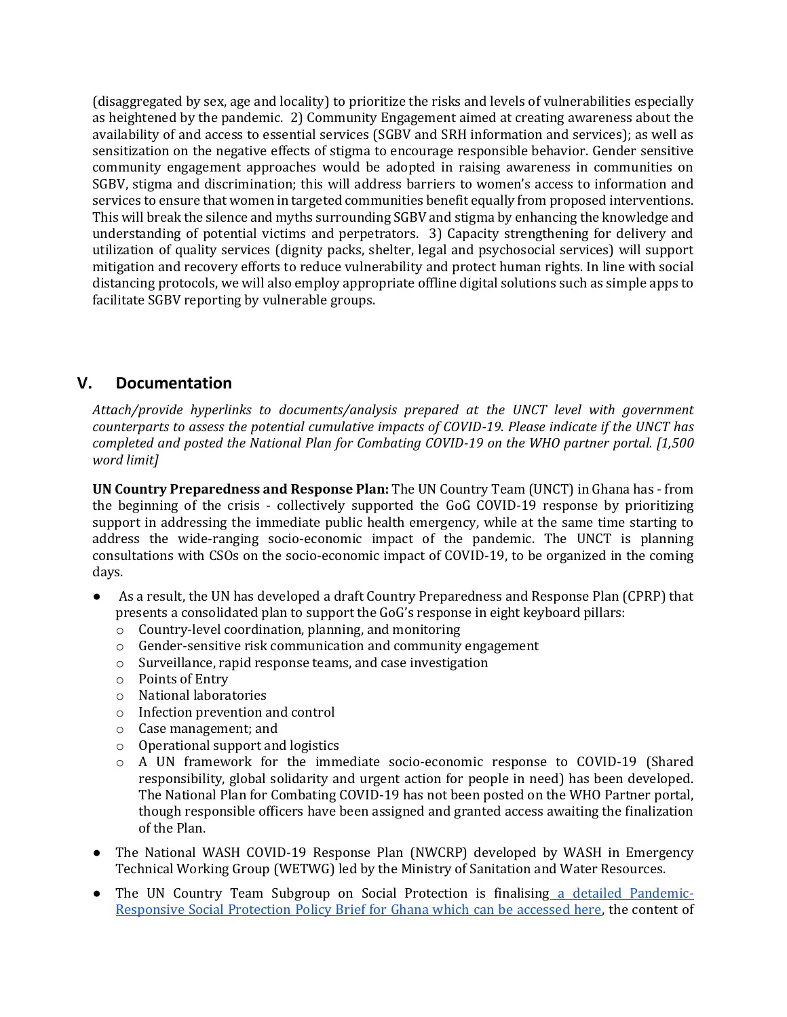(disaggregated by sex, age and locality) to prioritize the risks and levels of vulnerabilities especially as heightened by the pandemic. 2) Community Engagement aimed at creating awareness about the availability of and access to essential services (SGBV and SRH information and services); as well as sensitization on the negative effects of stigma to encourage responsible behavior. Gender sensitive community engagement approaches would be adopted in raising awareness in communities on SGBV, stigma and discrimination; this will address barriers to women's access to information and services to ensure that women in targeted communities benefit equally from proposed interventions. This will break the silence and myths surrounding SGBV and stigma by enhancing the knowledge and understanding of potential victims and perpetrators. 3) Capacity strengthening for delivery and utilization of quality services (dignity packs, shelter, legal and psychosocial services) will support mitigation and recovery efforts to reduce vulnerability and protect human rights. In line with social distancing protocols, we will also employ appropriate offline digital solutions such as simple apps to facilitate SGBV reporting by vulnerable groups.

## **V. Documentation**

*Attach/provide hyperlinks to documents/analysis prepared at the UNCT level with government counterparts to assess the potential cumulative impacts of COVID-19. Please indicate if the UNCT has completed and posted the National Plan for Combating COVID-19 on the WHO partner portal. [1,500 word limit]*

**UN Country Preparedness and Response Plan:** The UN Country Team (UNCT) in Ghana has - from the beginning of the crisis - collectively supported the GoG COVID-19 response by prioritizing support in addressing the immediate public health emergency, while at the same time starting to address the wide-ranging socio-economic impact of the pandemic. The UNCT is planning consultations with CSOs on the socio-economic impact of COVID-19, to be organized in the coming days.

- As a result, the UN has developed a draft Country Preparedness and Response Plan (CPRP) that presents a consolidated plan to support the GoG's response in eight keyboard pillars:
	- o Country-level coordination, planning, and monitoring
	- o Gender-sensitive risk communication and community engagement
	- o Surveillance, rapid response teams, and case investigation
	- o Points of Entry
	- o National laboratories
	- o Infection prevention and control
	- o Case management; and
	- o Operational support and logistics
	- o A UN framework for the immediate socio-economic response to COVID-19 (Shared responsibility, global solidarity and urgent action for people in need) has been developed. The National Plan for Combating COVID-19 has not been posted on the WHO Partner portal, though responsible officers have been assigned and granted access awaiting the finalization of the Plan.
- The National WASH COVID-19 Response Plan (NWCRP) developed by WASH in Emergency Technical Working Group (WETWG) led by the Ministry of Sanitation and Water Resources.
- The UN Country Team Subgroup on Social Protection is finalising [a detailed Pandemic-](https://unicef-my.sharepoint.com/:w:/g/personal/vvanhalsema_unicef_org/ETGG9pvNGvhHgj0U0iJl1J8BWDVHzNf7L-yQ6tPDKOzayg?e=jVs1Bh)[Responsive Social Protection Policy Brief for Ghana which can be accessed here,](https://unicef-my.sharepoint.com/:w:/g/personal/vvanhalsema_unicef_org/ETGG9pvNGvhHgj0U0iJl1J8BWDVHzNf7L-yQ6tPDKOzayg?e=jVs1Bh) the content of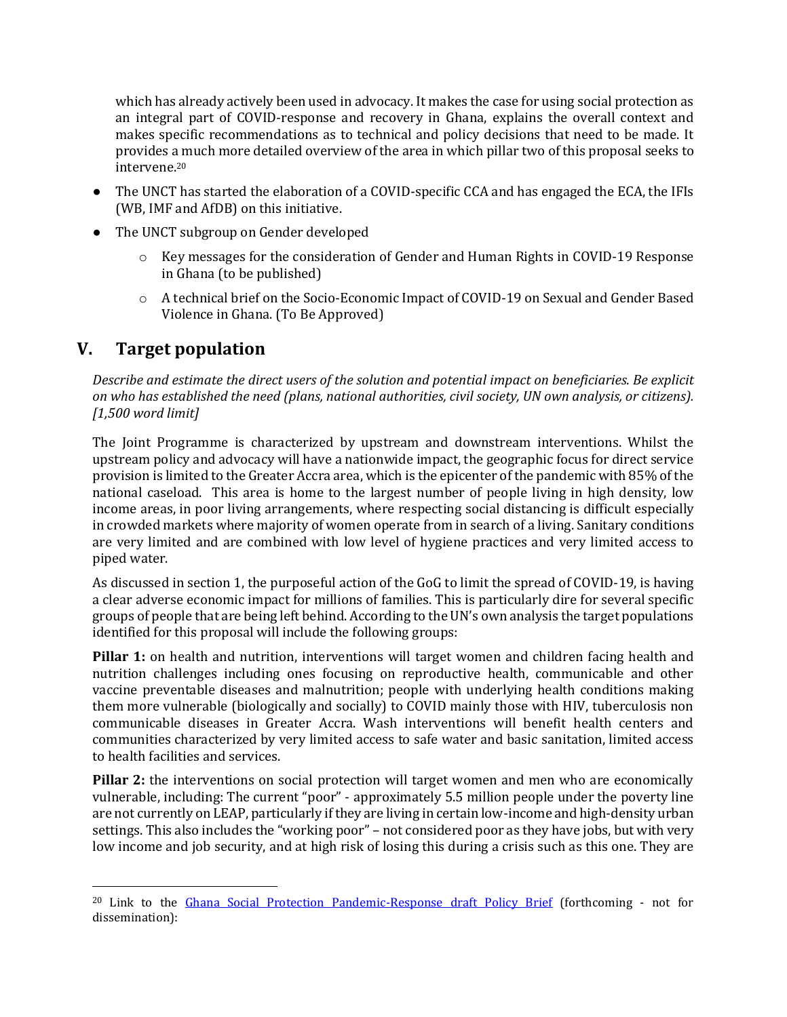which has already actively been used in advocacy. It makes the case for using social protection as an integral part of COVID-response and recovery in Ghana, explains the overall context and makes specific recommendations as to technical and policy decisions that need to be made. It provides a much more detailed overview of the area in which pillar two of this proposal seeks to intervene.<sup>20</sup>

- The UNCT has started the elaboration of a COVID-specific CCA and has engaged the ECA, the IFIs (WB, IMF and AfDB) on this initiative.
- The UNCT subgroup on Gender developed
	- $\circ$  Key messages for the consideration of Gender and Human Rights in COVID-19 Response in Ghana (to be published)
	- o A technical brief on the Socio-Economic Impact of COVID-19 on Sexual and Gender Based Violence in Ghana. (To Be Approved)

# **V. Target population**

*Describe and estimate the direct users of the solution and potential impact on beneficiaries. Be explicit on who has established the need (plans, national authorities, civil society, UN own analysis, or citizens). [1,500 word limit]* 

The Joint Programme is characterized by upstream and downstream interventions. Whilst the upstream policy and advocacy will have a nationwide impact, the geographic focus for direct service provision is limited to the Greater Accra area, which is the epicenter of the pandemic with 85% of the national caseload. This area is home to the largest number of people living in high density, low income areas, in poor living arrangements, where respecting social distancing is difficult especially in crowded markets where majority of women operate from in search of a living. Sanitary conditions are very limited and are combined with low level of hygiene practices and very limited access to piped water.

As discussed in section 1, the purposeful action of the GoG to limit the spread of COVID-19, is having a clear adverse economic impact for millions of families. This is particularly dire for several specific groups of people that are being left behind. According to the UN's own analysis the target populations identified for this proposal will include the following groups:

**Pillar 1:** on health and nutrition, interventions will target women and children facing health and nutrition challenges including ones focusing on reproductive health, communicable and other vaccine preventable diseases and malnutrition; people with underlying health conditions making them more vulnerable (biologically and socially) to COVID mainly those with HIV, tuberculosis non communicable diseases in Greater Accra. Wash interventions will benefit health centers and communities characterized by very limited access to safe water and basic sanitation, limited access to health facilities and services.

**Pillar 2:** the interventions on social protection will target women and men who are economically vulnerable, including: The current "poor" - approximately 5.5 million people under the poverty line are not currently on LEAP, particularly if they are living in certain low-income and high-density urban settings. This also includes the "working poor" – not considered poor as they have jobs, but with very low income and job security, and at high risk of losing this during a crisis such as this one. They are

<sup>20</sup> Link to the [Ghana Social Protection Pandemic-Response draft Policy Brief](https://unicef-my.sharepoint.com/:w:/g/personal/vvanhalsema_unicef_org/ETGG9pvNGvhHgj0U0iJl1J8BWDVHzNf7L-yQ6tPDKOzayg?e=jVs1Bh) (forthcoming - not for dissemination):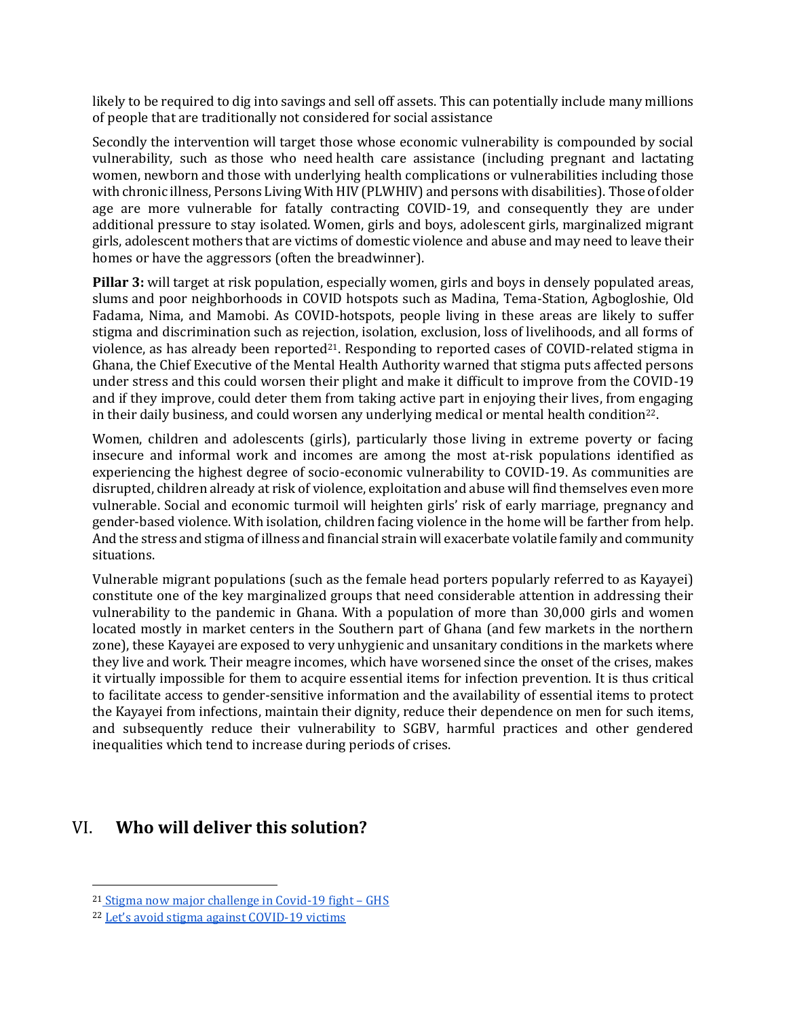likely to be required to dig into savings and sell off assets. This can potentially include many millions of people that are traditionally not considered for social assistance

Secondly the intervention will target those whose economic vulnerability is compounded by social vulnerability, such as those who need health care assistance (including pregnant and lactating women, newborn and those with underlying health complications or vulnerabilities including those with chronic illness, Persons Living With HIV (PLWHIV) and persons with disabilities). Those of older age are more vulnerable for fatally contracting COVID-19, and consequently they are under additional pressure to stay isolated. Women, girls and boys, adolescent girls, marginalized migrant girls, adolescent mothers that are victims of domestic violence and abuse and may need to leave their homes or have the aggressors (often the breadwinner).

**Pillar 3:** will target at risk population, especially women, girls and boys in densely populated areas, slums and poor neighborhoods in COVID hotspots such as Madina, Tema-Station, Agbogloshie, Old Fadama, Nima, and Mamobi. As COVID-hotspots, people living in these areas are likely to suffer stigma and discrimination such as rejection, isolation, exclusion, loss of livelihoods, and all forms of violence, as has already been reported<sup>21</sup>. Responding to reported cases of COVID-related stigma in Ghana, the Chief Executive of the Mental Health Authority warned that stigma puts affected persons under stress and this could worsen their plight and make it difficult to improve from the COVID-19 and if they improve, could deter them from taking active part in enjoying their lives, from engaging in their daily business, and could worsen any underlying medical or mental health condition22.

Women, children and adolescents (girls), particularly those living in extreme poverty or facing insecure and informal work and incomes are among the most at-risk populations identified as experiencing the highest degree of socio-economic vulnerability to COVID-19. As communities are disrupted, children already at risk of violence, exploitation and abuse will find themselves even more vulnerable. Social and economic turmoil will heighten girls' risk of early marriage, pregnancy and gender-based violence. With isolation, children facing violence in the home will be farther from help. And the stress and stigma of illness and financial strain will exacerbate volatile family and community situations.

Vulnerable migrant populations (such as the female head porters popularly referred to as Kayayei) constitute one of the key marginalized groups that need considerable attention in addressing their vulnerability to the pandemic in Ghana. With a population of more than 30,000 girls and women located mostly in market centers in the Southern part of Ghana (and few markets in the northern zone), these Kayayei are exposed to very unhygienic and unsanitary conditions in the markets where they live and work. Their meagre incomes, which have worsened since the onset of the crises, makes it virtually impossible for them to acquire essential items for infection prevention. It is thus critical to facilitate access to gender-sensitive information and the availability of essential items to protect the Kayayei from infections, maintain their dignity, reduce their dependence on men for such items, and subsequently reduce their vulnerability to SGBV, harmful practices and other gendered inequalities which tend to increase during periods of crises.

# VI. **Who will deliver this solution?**

<sup>21</sup> [Stigma now major challenge in Covid-19 fight](https://starrfm.com.gh/2020/04/stigma-now-major-challenge-in-covid-19-fight-ghs/) – GHS

<sup>22</sup> Let's avoid stig[ma against COVID-19 victims](https://newsghana.com.gh/lets-avoid-stigma-against-covid-19-victims/)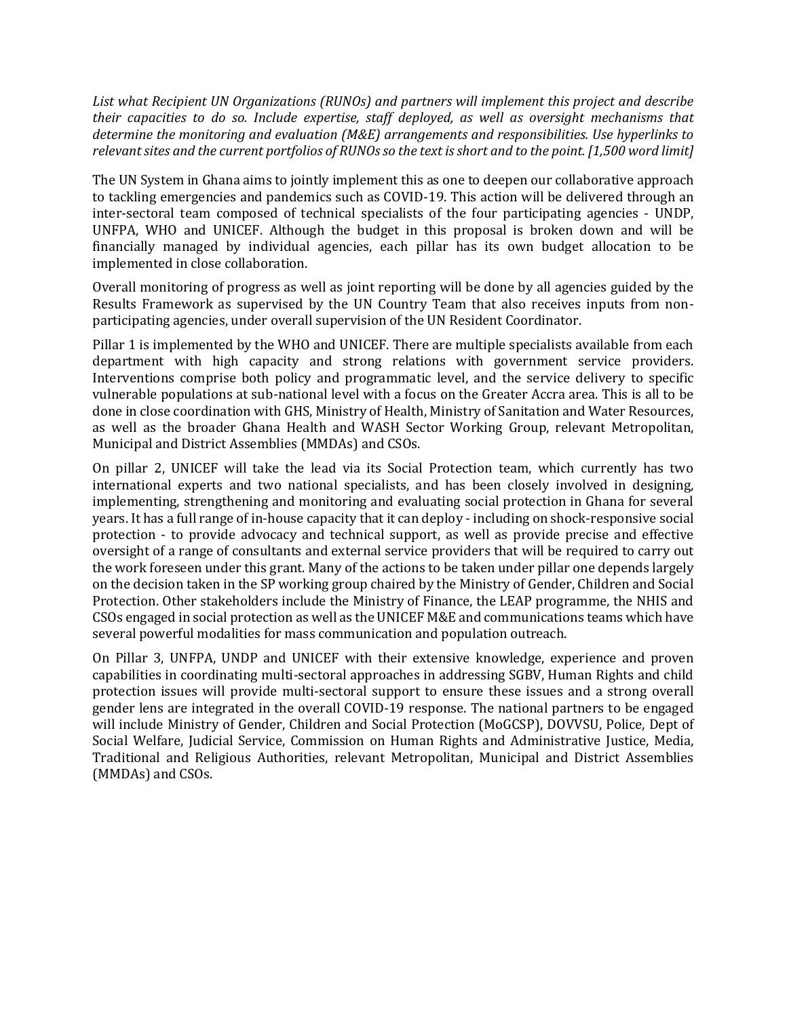*List what Recipient UN Organizations (RUNOs) and partners will implement this project and describe their capacities to do so. Include expertise, staff deployed, as well as oversight mechanisms that determine the monitoring and evaluation (M&E) arrangements and responsibilities. Use hyperlinks to relevant sites and the current portfolios of RUNOs so the text is short and to the point. [1,500 word limit]* 

The UN System in Ghana aims to jointly implement this as one to deepen our collaborative approach to tackling emergencies and pandemics such as COVID-19. This action will be delivered through an inter-sectoral team composed of technical specialists of the four participating agencies - UNDP, UNFPA, WHO and UNICEF. Although the budget in this proposal is broken down and will be financially managed by individual agencies, each pillar has its own budget allocation to be implemented in close collaboration.

Overall monitoring of progress as well as joint reporting will be done by all agencies guided by the Results Framework as supervised by the UN Country Team that also receives inputs from nonparticipating agencies, under overall supervision of the UN Resident Coordinator.

Pillar 1 is implemented by the WHO and UNICEF. There are multiple specialists available from each department with high capacity and strong relations with government service providers. Interventions comprise both policy and programmatic level, and the service delivery to specific vulnerable populations at sub-national level with a focus on the Greater Accra area. This is all to be done in close coordination with GHS, Ministry of Health, Ministry of Sanitation and Water Resources, as well as the broader Ghana Health and WASH Sector Working Group, relevant Metropolitan, Municipal and District Assemblies (MMDAs) and CSOs.

On pillar 2, UNICEF will take the lead via its Social Protection team, which currently has two international experts and two national specialists, and has been closely involved in designing, implementing, strengthening and monitoring and evaluating social protection in Ghana for several years. It has a full range of in-house capacity that it can deploy - including on shock-responsive social protection - to provide advocacy and technical support, as well as provide precise and effective oversight of a range of consultants and external service providers that will be required to carry out the work foreseen under this grant. Many of the actions to be taken under pillar one depends largely on the decision taken in the SP working group chaired by the Ministry of Gender, Children and Social Protection. Other stakeholders include the Ministry of Finance, the LEAP programme, the NHIS and CSOs engaged in social protection as well as the UNICEF M&E and communications teams which have several powerful modalities for mass communication and population outreach.

On Pillar 3, UNFPA, UNDP and UNICEF with their extensive knowledge, experience and proven capabilities in coordinating multi-sectoral approaches in addressing SGBV, Human Rights and child protection issues will provide multi-sectoral support to ensure these issues and a strong overall gender lens are integrated in the overall COVID-19 response. The national partners to be engaged will include Ministry of Gender, Children and Social Protection (MoGCSP), DOVVSU, Police, Dept of Social Welfare, Judicial Service, Commission on Human Rights and Administrative Justice, Media, Traditional and Religious Authorities, relevant Metropolitan, Municipal and District Assemblies (MMDAs) and CSOs.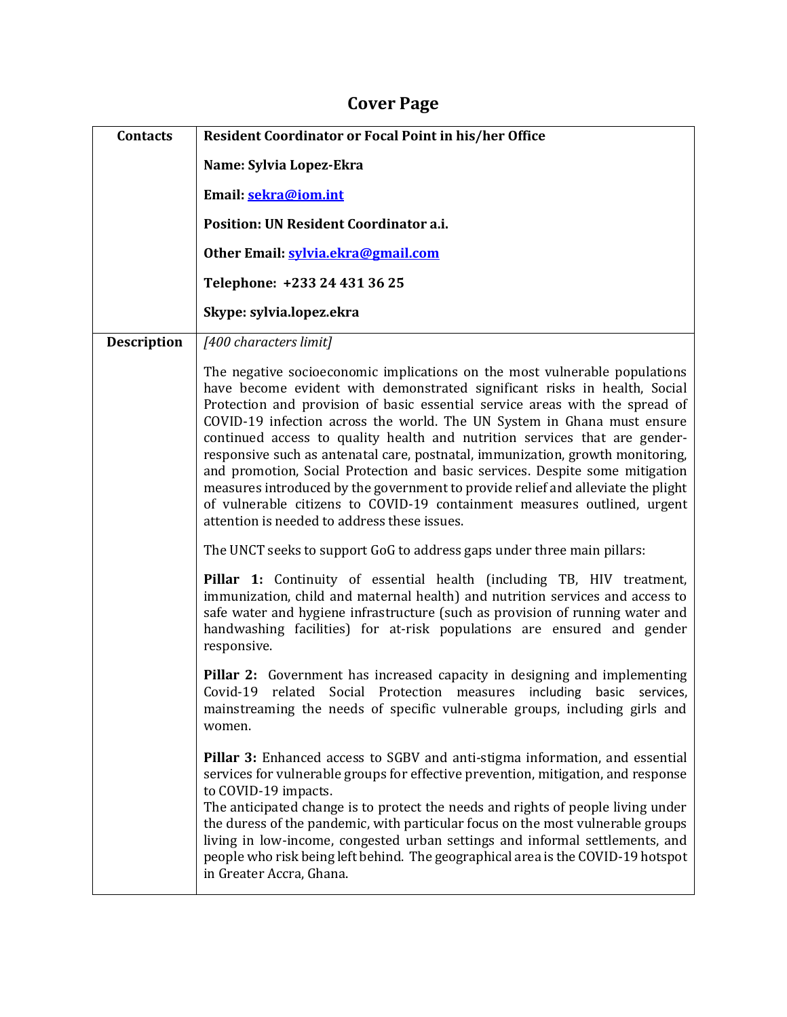# **Cover Page**

| <b>Contacts</b>    | Resident Coordinator or Focal Point in his/her Office                                                                                                                                                                                                                                                                                                                                                                                                                                                                                                                                                                                                                                                                                                                              |  |  |  |  |
|--------------------|------------------------------------------------------------------------------------------------------------------------------------------------------------------------------------------------------------------------------------------------------------------------------------------------------------------------------------------------------------------------------------------------------------------------------------------------------------------------------------------------------------------------------------------------------------------------------------------------------------------------------------------------------------------------------------------------------------------------------------------------------------------------------------|--|--|--|--|
|                    | Name: Sylvia Lopez-Ekra                                                                                                                                                                                                                                                                                                                                                                                                                                                                                                                                                                                                                                                                                                                                                            |  |  |  |  |
|                    | Email: sekra@iom.int                                                                                                                                                                                                                                                                                                                                                                                                                                                                                                                                                                                                                                                                                                                                                               |  |  |  |  |
|                    | Position: UN Resident Coordinator a.i.                                                                                                                                                                                                                                                                                                                                                                                                                                                                                                                                                                                                                                                                                                                                             |  |  |  |  |
|                    | Other Email: sylvia.ekra@gmail.com                                                                                                                                                                                                                                                                                                                                                                                                                                                                                                                                                                                                                                                                                                                                                 |  |  |  |  |
|                    | Telephone: +233 24 431 36 25                                                                                                                                                                                                                                                                                                                                                                                                                                                                                                                                                                                                                                                                                                                                                       |  |  |  |  |
|                    | Skype: sylvia.lopez.ekra                                                                                                                                                                                                                                                                                                                                                                                                                                                                                                                                                                                                                                                                                                                                                           |  |  |  |  |
| <b>Description</b> | [400 characters limit]                                                                                                                                                                                                                                                                                                                                                                                                                                                                                                                                                                                                                                                                                                                                                             |  |  |  |  |
|                    | The negative socioeconomic implications on the most vulnerable populations<br>have become evident with demonstrated significant risks in health, Social<br>Protection and provision of basic essential service areas with the spread of<br>COVID-19 infection across the world. The UN System in Ghana must ensure<br>continued access to quality health and nutrition services that are gender-<br>responsive such as antenatal care, postnatal, immunization, growth monitoring,<br>and promotion, Social Protection and basic services. Despite some mitigation<br>measures introduced by the government to provide relief and alleviate the plight<br>of vulnerable citizens to COVID-19 containment measures outlined, urgent<br>attention is needed to address these issues. |  |  |  |  |
|                    | The UNCT seeks to support GoG to address gaps under three main pillars:                                                                                                                                                                                                                                                                                                                                                                                                                                                                                                                                                                                                                                                                                                            |  |  |  |  |
|                    | Pillar 1: Continuity of essential health (including TB, HIV treatment,<br>immunization, child and maternal health) and nutrition services and access to<br>safe water and hygiene infrastructure (such as provision of running water and<br>handwashing facilities) for at-risk populations are ensured and gender<br>responsive.                                                                                                                                                                                                                                                                                                                                                                                                                                                  |  |  |  |  |
|                    | <b>Pillar 2:</b> Government has increased capacity in designing and implementing<br>Covid-19 related Social Protection measures including basic services,<br>mainstreaming the needs of specific vulnerable groups, including girls and<br>women.                                                                                                                                                                                                                                                                                                                                                                                                                                                                                                                                  |  |  |  |  |
|                    | Pillar 3: Enhanced access to SGBV and anti-stigma information, and essential<br>services for vulnerable groups for effective prevention, mitigation, and response<br>to COVID-19 impacts.<br>The anticipated change is to protect the needs and rights of people living under<br>the duress of the pandemic, with particular focus on the most vulnerable groups<br>living in low-income, congested urban settings and informal settlements, and<br>people who risk being left behind. The geographical area is the COVID-19 hotspot<br>in Greater Accra, Ghana.                                                                                                                                                                                                                   |  |  |  |  |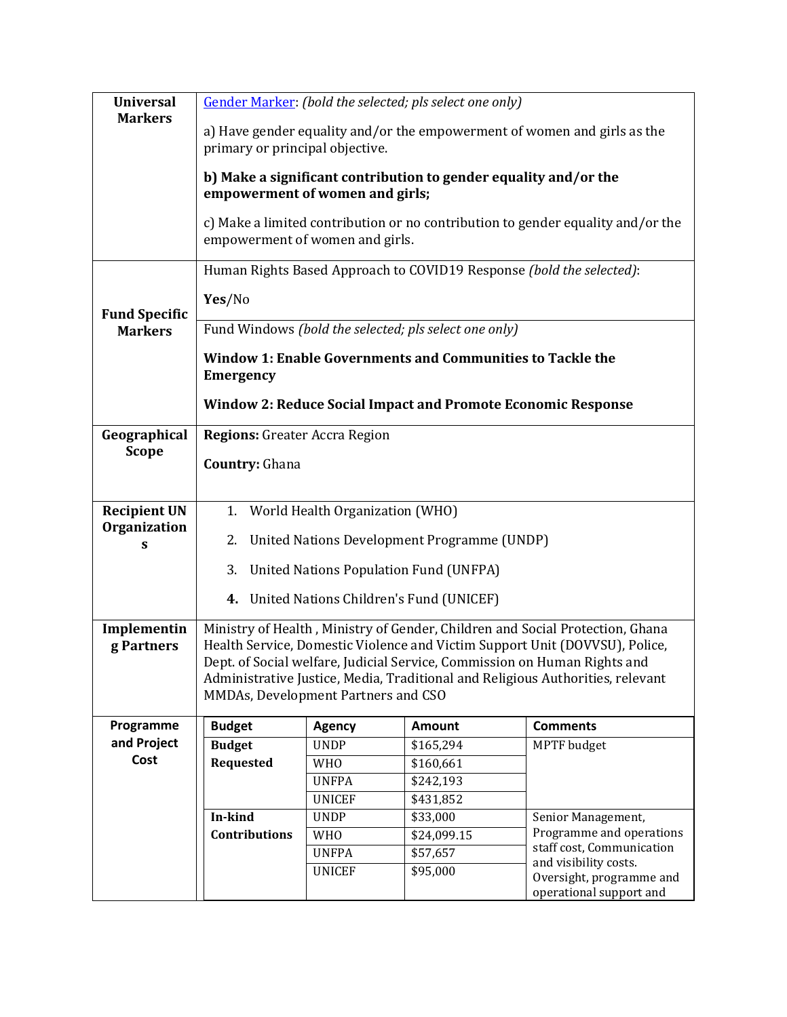| <b>Universal</b>     | Gender Marker: (bold the selected; pls select one only)                                             |                                                                                                                    |                                               |                                                                                |  |  |  |  |
|----------------------|-----------------------------------------------------------------------------------------------------|--------------------------------------------------------------------------------------------------------------------|-----------------------------------------------|--------------------------------------------------------------------------------|--|--|--|--|
| <b>Markers</b>       |                                                                                                     | a) Have gender equality and/or the empowerment of women and girls as the<br>primary or principal objective.        |                                               |                                                                                |  |  |  |  |
|                      | b) Make a significant contribution to gender equality and/or the<br>empowerment of women and girls; |                                                                                                                    |                                               |                                                                                |  |  |  |  |
|                      |                                                                                                     | c) Make a limited contribution or no contribution to gender equality and/or the<br>empowerment of women and girls. |                                               |                                                                                |  |  |  |  |
|                      |                                                                                                     |                                                                                                                    |                                               | Human Rights Based Approach to COVID19 Response (bold the selected):           |  |  |  |  |
| <b>Fund Specific</b> | Yes/No                                                                                              |                                                                                                                    |                                               |                                                                                |  |  |  |  |
| <b>Markers</b>       | Fund Windows (bold the selected; pls select one only)                                               |                                                                                                                    |                                               |                                                                                |  |  |  |  |
|                      | <b>Emergency</b>                                                                                    |                                                                                                                    |                                               | Window 1: Enable Governments and Communities to Tackle the                     |  |  |  |  |
|                      |                                                                                                     |                                                                                                                    |                                               |                                                                                |  |  |  |  |
|                      |                                                                                                     |                                                                                                                    |                                               | <b>Window 2: Reduce Social Impact and Promote Economic Response</b>            |  |  |  |  |
| Geographical         | <b>Regions:</b> Greater Accra Region                                                                |                                                                                                                    |                                               |                                                                                |  |  |  |  |
| <b>Scope</b>         | <b>Country: Ghana</b>                                                                               |                                                                                                                    |                                               |                                                                                |  |  |  |  |
|                      |                                                                                                     |                                                                                                                    |                                               |                                                                                |  |  |  |  |
| <b>Recipient UN</b>  |                                                                                                     | 1. World Health Organization (WHO)                                                                                 |                                               |                                                                                |  |  |  |  |
| Organization         | 2.                                                                                                  |                                                                                                                    | United Nations Development Programme (UNDP)   |                                                                                |  |  |  |  |
| s                    |                                                                                                     |                                                                                                                    |                                               |                                                                                |  |  |  |  |
|                      | 3.                                                                                                  |                                                                                                                    | <b>United Nations Population Fund (UNFPA)</b> |                                                                                |  |  |  |  |
|                      |                                                                                                     |                                                                                                                    | 4. United Nations Children's Fund (UNICEF)    |                                                                                |  |  |  |  |
| Implementin          |                                                                                                     |                                                                                                                    |                                               | Ministry of Health, Ministry of Gender, Children and Social Protection, Ghana  |  |  |  |  |
| g Partners           |                                                                                                     |                                                                                                                    |                                               | Health Service, Domestic Violence and Victim Support Unit (DOVVSU), Police,    |  |  |  |  |
|                      |                                                                                                     |                                                                                                                    |                                               | Dept. of Social welfare, Judicial Service, Commission on Human Rights and      |  |  |  |  |
|                      | MMDAs, Development Partners and CSO                                                                 |                                                                                                                    |                                               | Administrative Justice, Media, Traditional and Religious Authorities, relevant |  |  |  |  |
| Programme            | <b>Budget</b>                                                                                       | <b>Agency</b>                                                                                                      | <b>Amount</b>                                 | <b>Comments</b>                                                                |  |  |  |  |
| and Project          | <b>Budget</b>                                                                                       | <b>UNDP</b>                                                                                                        | \$165,294                                     | <b>MPTF</b> budget                                                             |  |  |  |  |
| Cost                 | Requested                                                                                           | <b>WHO</b>                                                                                                         | \$160,661                                     |                                                                                |  |  |  |  |
|                      |                                                                                                     | <b>UNFPA</b>                                                                                                       | \$242,193                                     |                                                                                |  |  |  |  |
|                      |                                                                                                     | <b>UNICEF</b>                                                                                                      | \$431,852                                     |                                                                                |  |  |  |  |
|                      | In-kind                                                                                             | <b>UNDP</b>                                                                                                        | \$33,000                                      | Senior Management,                                                             |  |  |  |  |
|                      | Contributions                                                                                       | <b>WHO</b>                                                                                                         | \$24,099.15                                   | Programme and operations<br>staff cost, Communication                          |  |  |  |  |
|                      |                                                                                                     | <b>UNFPA</b>                                                                                                       | \$57,657                                      | and visibility costs.                                                          |  |  |  |  |
|                      |                                                                                                     | <b>UNICEF</b>                                                                                                      | \$95,000                                      | Oversight, programme and<br>operational support and                            |  |  |  |  |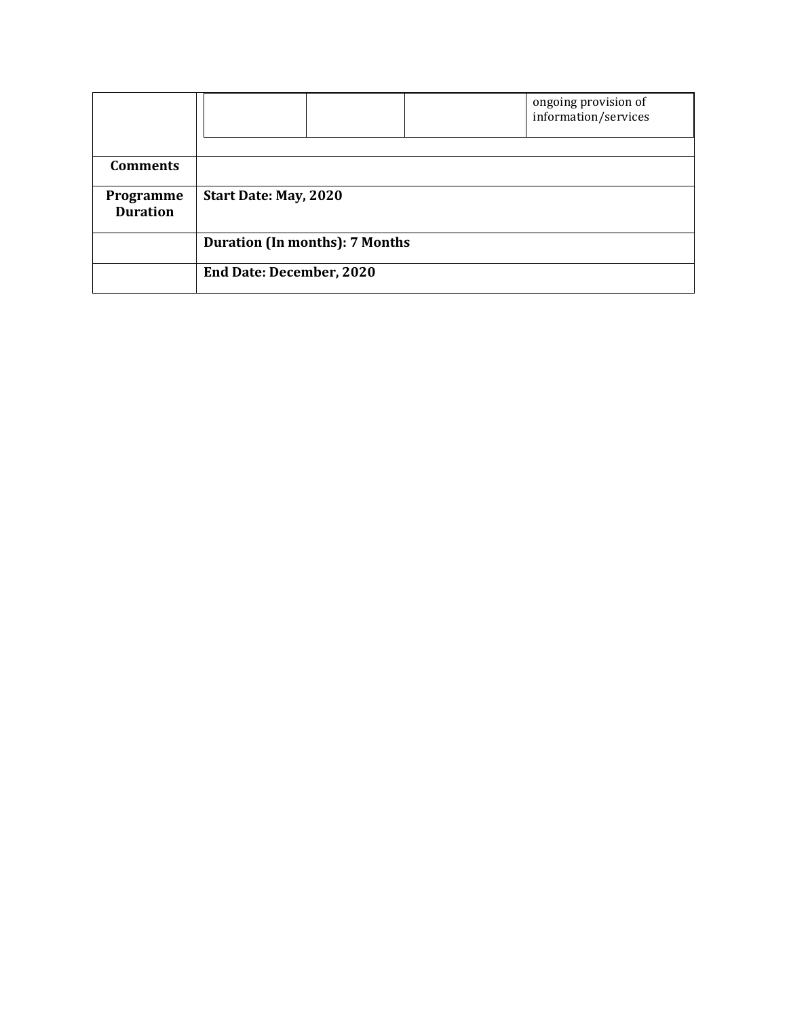|                              |                                       |  |  | ongoing provision of<br>information/services |  |  |
|------------------------------|---------------------------------------|--|--|----------------------------------------------|--|--|
|                              |                                       |  |  |                                              |  |  |
| <b>Comments</b>              |                                       |  |  |                                              |  |  |
| Programme<br><b>Duration</b> | Start Date: May, 2020                 |  |  |                                              |  |  |
|                              | <b>Duration (In months): 7 Months</b> |  |  |                                              |  |  |
|                              | <b>End Date: December, 2020</b>       |  |  |                                              |  |  |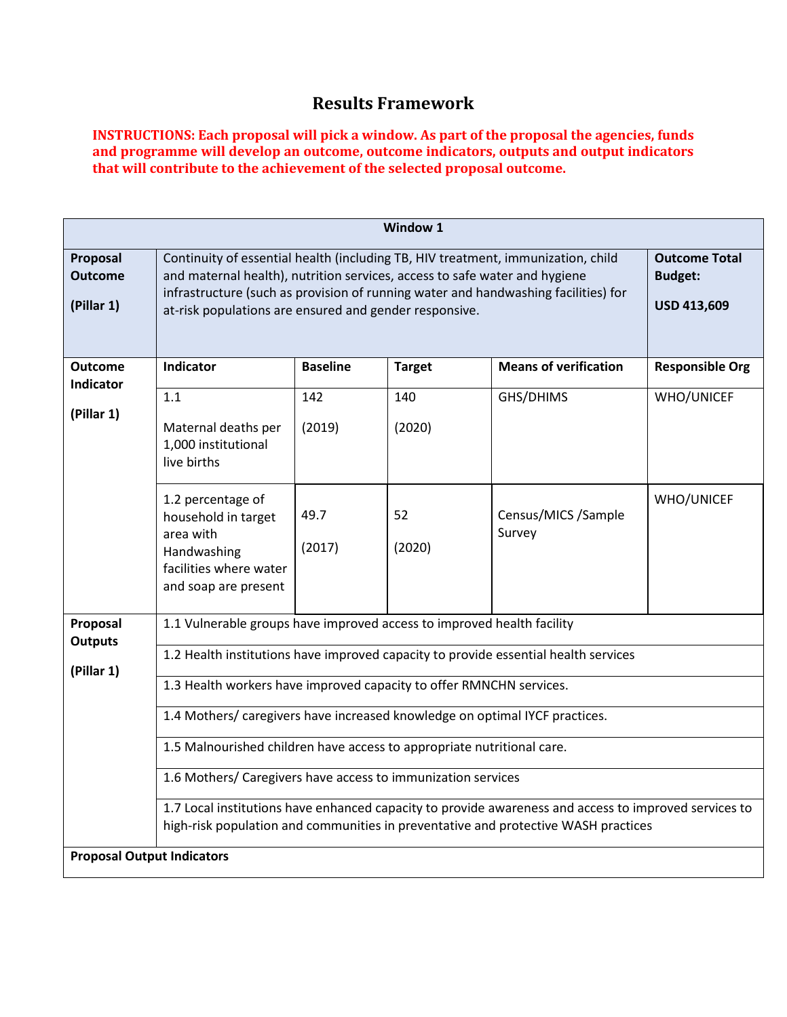# **Results Framework**

**INSTRUCTIONS: Each proposal will pick a window. As part of the proposal the agencies, funds and programme will develop an outcome, outcome indicators, outputs and output indicators that will contribute to the achievement of the selected proposal outcome.**

|                                          | Window 1                                                                                                                                                                                                                                                                                                       |                                                              |               |                                                                                                                                                                                             |                        |  |  |  |
|------------------------------------------|----------------------------------------------------------------------------------------------------------------------------------------------------------------------------------------------------------------------------------------------------------------------------------------------------------------|--------------------------------------------------------------|---------------|---------------------------------------------------------------------------------------------------------------------------------------------------------------------------------------------|------------------------|--|--|--|
| Proposal<br><b>Outcome</b><br>(Pillar 1) | Continuity of essential health (including TB, HIV treatment, immunization, child<br>and maternal health), nutrition services, access to safe water and hygiene<br>infrastructure (such as provision of running water and handwashing facilities) for<br>at-risk populations are ensured and gender responsive. | <b>Outcome Total</b><br><b>Budget:</b><br><b>USD 413,609</b> |               |                                                                                                                                                                                             |                        |  |  |  |
| <b>Outcome</b><br>Indicator              | Indicator                                                                                                                                                                                                                                                                                                      | <b>Baseline</b>                                              | <b>Target</b> | <b>Means of verification</b>                                                                                                                                                                | <b>Responsible Org</b> |  |  |  |
|                                          | 1.1                                                                                                                                                                                                                                                                                                            | 142                                                          | 140           | GHS/DHIMS                                                                                                                                                                                   | WHO/UNICEF             |  |  |  |
| (Pillar 1)                               | Maternal deaths per<br>1,000 institutional<br>live births                                                                                                                                                                                                                                                      | (2019)                                                       | (2020)        |                                                                                                                                                                                             |                        |  |  |  |
|                                          | 1.2 percentage of<br>household in target<br>area with<br>Handwashing<br>facilities where water<br>and soap are present                                                                                                                                                                                         | 49.7<br>(2017)                                               | 52<br>(2020)  | Census/MICS /Sample<br>Survey                                                                                                                                                               | WHO/UNICEF             |  |  |  |
| Proposal<br><b>Outputs</b>               | 1.1 Vulnerable groups have improved access to improved health facility                                                                                                                                                                                                                                         |                                                              |               |                                                                                                                                                                                             |                        |  |  |  |
| (Pillar 1)                               | 1.2 Health institutions have improved capacity to provide essential health services                                                                                                                                                                                                                            |                                                              |               |                                                                                                                                                                                             |                        |  |  |  |
|                                          | 1.3 Health workers have improved capacity to offer RMNCHN services.                                                                                                                                                                                                                                            |                                                              |               |                                                                                                                                                                                             |                        |  |  |  |
|                                          | 1.4 Mothers/ caregivers have increased knowledge on optimal IYCF practices.                                                                                                                                                                                                                                    |                                                              |               |                                                                                                                                                                                             |                        |  |  |  |
|                                          | 1.5 Malnourished children have access to appropriate nutritional care.                                                                                                                                                                                                                                         |                                                              |               |                                                                                                                                                                                             |                        |  |  |  |
|                                          | 1.6 Mothers/ Caregivers have access to immunization services                                                                                                                                                                                                                                                   |                                                              |               |                                                                                                                                                                                             |                        |  |  |  |
|                                          |                                                                                                                                                                                                                                                                                                                |                                                              |               | 1.7 Local institutions have enhanced capacity to provide awareness and access to improved services to<br>high-risk population and communities in preventative and protective WASH practices |                        |  |  |  |
| <b>Proposal Output Indicators</b>        |                                                                                                                                                                                                                                                                                                                |                                                              |               |                                                                                                                                                                                             |                        |  |  |  |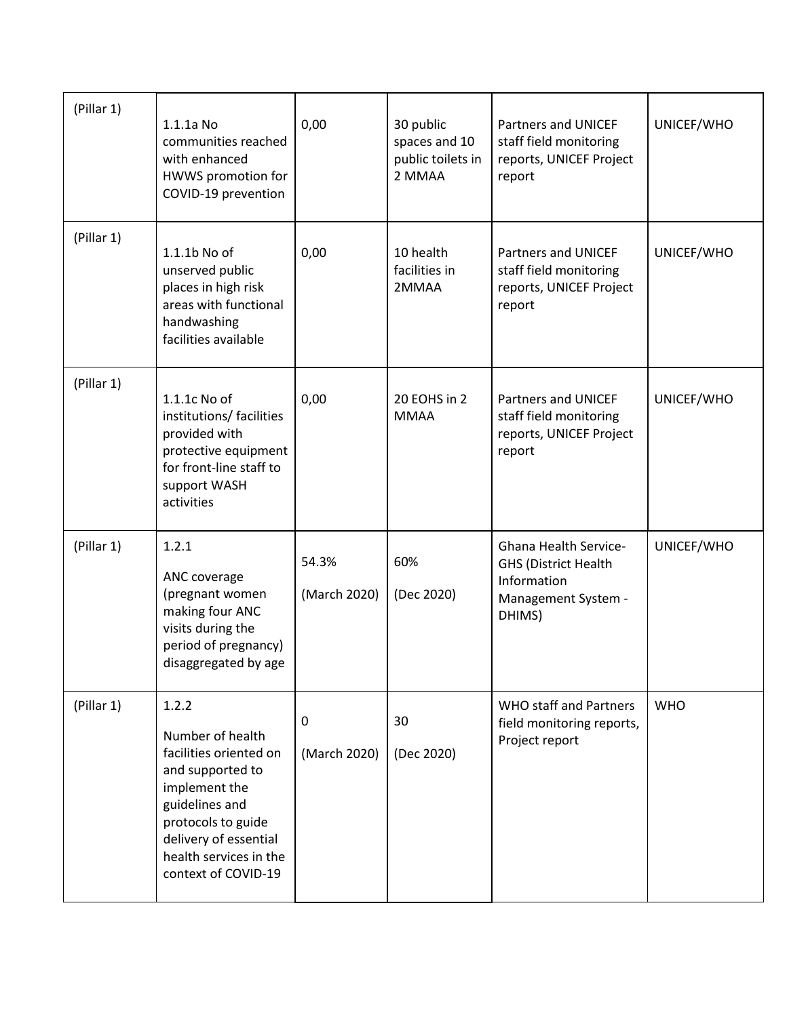| (Pillar 1) | $1.1.1a$ No<br>communities reached<br>with enhanced<br>HWWS promotion for<br>COVID-19 prevention                                                                                                           | 0,00                  | 30 public<br>spaces and 10<br>public toilets in<br>2 MMAA | <b>Partners and UNICEF</b><br>staff field monitoring<br>reports, UNICEF Project<br>report                   | UNICEF/WHO |
|------------|------------------------------------------------------------------------------------------------------------------------------------------------------------------------------------------------------------|-----------------------|-----------------------------------------------------------|-------------------------------------------------------------------------------------------------------------|------------|
| (Pillar 1) | 1.1.1b No of<br>unserved public<br>places in high risk<br>areas with functional<br>handwashing<br>facilities available                                                                                     | 0,00                  | 10 health<br>facilities in<br>2MMAA                       | <b>Partners and UNICEF</b><br>staff field monitoring<br>reports, UNICEF Project<br>report                   | UNICEF/WHO |
| (Pillar 1) | 1.1.1c No of<br>institutions/ facilities<br>provided with<br>protective equipment<br>for front-line staff to<br>support WASH<br>activities                                                                 | 0,00                  | 20 EOHS in 2<br><b>MMAA</b>                               | <b>Partners and UNICEF</b><br>staff field monitoring<br>reports, UNICEF Project<br>report                   | UNICEF/WHO |
| (Pillar 1) | 1.2.1<br>ANC coverage<br>(pregnant women<br>making four ANC<br>visits during the<br>period of pregnancy)<br>disaggregated by age                                                                           | 54.3%<br>(March 2020) | 60%<br>(Dec 2020)                                         | <b>Ghana Health Service-</b><br><b>GHS (District Health</b><br>Information<br>Management System -<br>DHIMS) | UNICEF/WHO |
| (Pillar 1) | 1.2.2<br>Number of health<br>facilities oriented on<br>and supported to<br>implement the<br>guidelines and<br>protocols to guide<br>delivery of essential<br>health services in the<br>context of COVID-19 | 0<br>(March 2020)     | 30<br>(Dec 2020)                                          | <b>WHO staff and Partners</b><br>field monitoring reports,<br>Project report                                | <b>WHO</b> |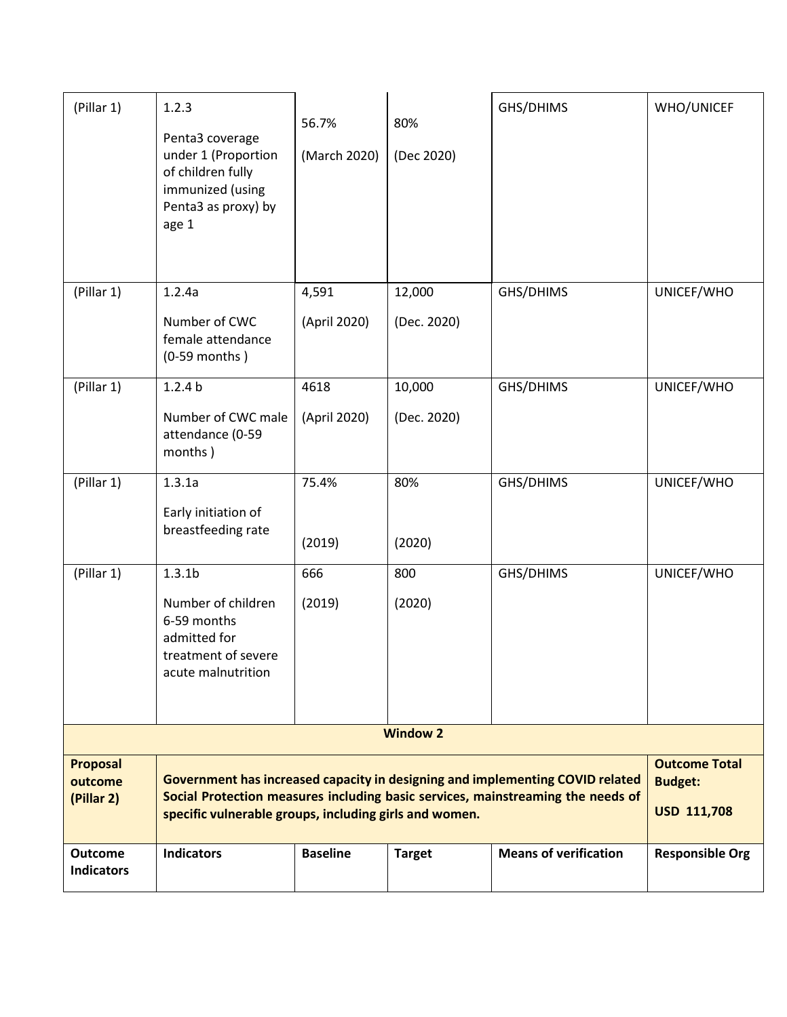| (Pillar 1)                               | 1.2.3<br>Penta3 coverage<br>under 1 (Proportion<br>of children fully<br>immunized (using<br>Penta3 as proxy) by<br>age 1                                                                                                   | 56.7%<br>(March 2020)                                        | 80%<br>(Dec 2020)     | GHS/DHIMS                    | <b>WHO/UNICEF</b>      |
|------------------------------------------|----------------------------------------------------------------------------------------------------------------------------------------------------------------------------------------------------------------------------|--------------------------------------------------------------|-----------------------|------------------------------|------------------------|
| (Pillar 1)                               | 1.2.4a<br>Number of CWC<br>female attendance<br>$(0-59$ months)                                                                                                                                                            | 4,591<br>(April 2020)                                        | 12,000<br>(Dec. 2020) | GHS/DHIMS                    | UNICEF/WHO             |
| (Pillar 1)                               | 1.2.4 <sub>b</sub><br>Number of CWC male<br>attendance (0-59<br>months)                                                                                                                                                    | 4618<br>(April 2020)                                         | 10,000<br>(Dec. 2020) | GHS/DHIMS                    | UNICEF/WHO             |
| (Pillar 1)                               | 1.3.1a<br>Early initiation of<br>breastfeeding rate                                                                                                                                                                        | 75.4%<br>(2019)                                              | 80%<br>(2020)         | GHS/DHIMS                    | UNICEF/WHO             |
| (Pillar 1)                               | 1.3.1 <sub>b</sub><br>Number of children<br>6-59 months<br>admitted for<br>treatment of severe<br>acute malnutrition                                                                                                       | 666<br>(2019)                                                | 800<br>(2020)         | GHS/DHIMS                    | UNICEF/WHO             |
|                                          |                                                                                                                                                                                                                            |                                                              | <b>Window 2</b>       |                              |                        |
| <b>Proposal</b><br>outcome<br>(Pillar 2) | Government has increased capacity in designing and implementing COVID related<br>Social Protection measures including basic services, mainstreaming the needs of<br>specific vulnerable groups, including girls and women. | <b>Outcome Total</b><br><b>Budget:</b><br><b>USD 111,708</b> |                       |                              |                        |
| <b>Outcome</b><br><b>Indicators</b>      | <b>Indicators</b>                                                                                                                                                                                                          | <b>Baseline</b>                                              | <b>Target</b>         | <b>Means of verification</b> | <b>Responsible Org</b> |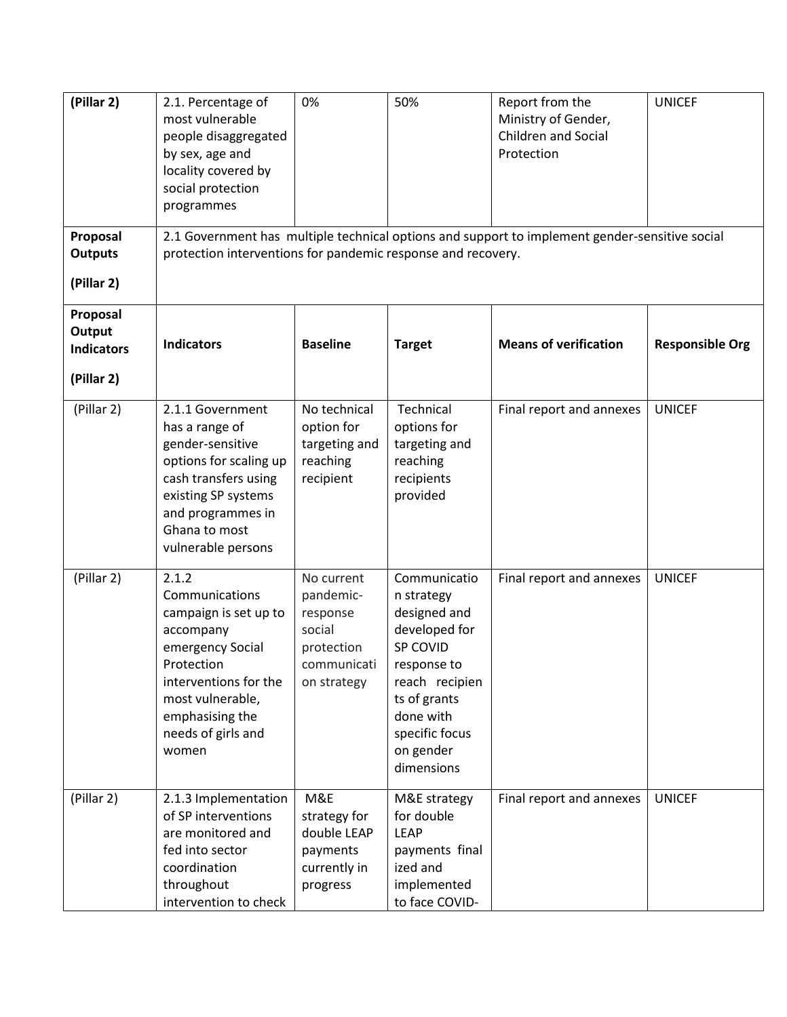| (Pillar 2)                                            | 2.1. Percentage of<br>most vulnerable<br>people disaggregated<br>by sex, age and<br>locality covered by<br>social protection<br>programmes                                                     | 0%                                                                                        | 50%                                                                                                                                                                                | Report from the<br>Ministry of Gender,<br>Children and Social<br>Protection                    | <b>UNICEF</b>          |
|-------------------------------------------------------|------------------------------------------------------------------------------------------------------------------------------------------------------------------------------------------------|-------------------------------------------------------------------------------------------|------------------------------------------------------------------------------------------------------------------------------------------------------------------------------------|------------------------------------------------------------------------------------------------|------------------------|
| Proposal<br><b>Outputs</b><br>(Pillar 2)              | protection interventions for pandemic response and recovery.                                                                                                                                   |                                                                                           |                                                                                                                                                                                    | 2.1 Government has multiple technical options and support to implement gender-sensitive social |                        |
| Proposal<br>Output<br><b>Indicators</b><br>(Pillar 2) | <b>Indicators</b>                                                                                                                                                                              | <b>Baseline</b>                                                                           | <b>Target</b>                                                                                                                                                                      | <b>Means of verification</b>                                                                   | <b>Responsible Org</b> |
| (Pillar 2)                                            | 2.1.1 Government<br>has a range of<br>gender-sensitive<br>options for scaling up<br>cash transfers using<br>existing SP systems<br>and programmes in<br>Ghana to most<br>vulnerable persons    | No technical<br>option for<br>targeting and<br>reaching<br>recipient                      | Technical<br>options for<br>targeting and<br>reaching<br>recipients<br>provided                                                                                                    | Final report and annexes                                                                       | <b>UNICEF</b>          |
| (Pillar 2)                                            | 2.1.2<br>Communications<br>campaign is set up to<br>accompany<br>emergency Social<br>Protection<br>interventions for the<br>most vulnerable,<br>emphasising the<br>needs of girls and<br>women | No current<br>pandemic-<br>response<br>social<br>protection<br>communicati<br>on strategy | Communicatio<br>n strategy<br>designed and<br>developed for<br>SP COVID<br>response to<br>reach recipien<br>ts of grants<br>done with<br>specific focus<br>on gender<br>dimensions | Final report and annexes                                                                       | <b>UNICEF</b>          |
| (Pillar 2)                                            | 2.1.3 Implementation<br>of SP interventions<br>are monitored and<br>fed into sector<br>coordination<br>throughout<br>intervention to check                                                     | M&E<br>strategy for<br>double LEAP<br>payments<br>currently in<br>progress                | M&E strategy<br>for double<br><b>LEAP</b><br>payments final<br>ized and<br>implemented<br>to face COVID-                                                                           | Final report and annexes                                                                       | <b>UNICEF</b>          |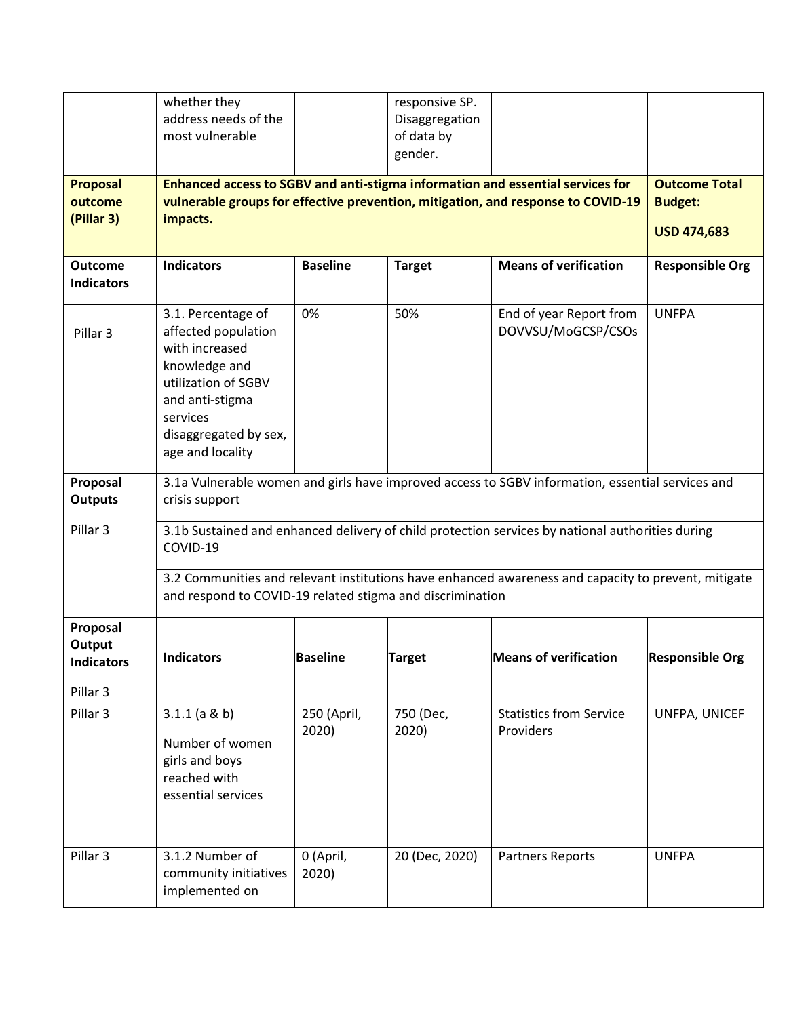|                                     | whether they                                              |                 | responsive SP. |                                                                                                     |                        |
|-------------------------------------|-----------------------------------------------------------|-----------------|----------------|-----------------------------------------------------------------------------------------------------|------------------------|
|                                     | address needs of the                                      |                 | Disaggregation |                                                                                                     |                        |
|                                     | most vulnerable                                           |                 | of data by     |                                                                                                     |                        |
|                                     |                                                           |                 | gender.        |                                                                                                     |                        |
| <b>Proposal</b>                     |                                                           |                 |                | Enhanced access to SGBV and anti-stigma information and essential services for                      | <b>Outcome Total</b>   |
| outcome                             |                                                           |                 |                | vulnerable groups for effective prevention, mitigation, and response to COVID-19                    | <b>Budget:</b>         |
| (Pillar 3)                          | impacts.                                                  |                 |                |                                                                                                     |                        |
|                                     |                                                           |                 |                |                                                                                                     | <b>USD 474,683</b>     |
| <b>Outcome</b><br><b>Indicators</b> | <b>Indicators</b>                                         | <b>Baseline</b> | <b>Target</b>  | <b>Means of verification</b>                                                                        | <b>Responsible Org</b> |
|                                     |                                                           |                 |                |                                                                                                     |                        |
|                                     | 3.1. Percentage of                                        | 0%              | 50%            | End of year Report from                                                                             | <b>UNFPA</b>           |
| Pillar <sub>3</sub>                 | affected population                                       |                 |                | DOVVSU/MoGCSP/CSOs                                                                                  |                        |
|                                     | with increased                                            |                 |                |                                                                                                     |                        |
|                                     | knowledge and<br>utilization of SGBV                      |                 |                |                                                                                                     |                        |
|                                     | and anti-stigma                                           |                 |                |                                                                                                     |                        |
|                                     | services                                                  |                 |                |                                                                                                     |                        |
|                                     | disaggregated by sex,                                     |                 |                |                                                                                                     |                        |
|                                     | age and locality                                          |                 |                |                                                                                                     |                        |
| Proposal                            |                                                           |                 |                | 3.1a Vulnerable women and girls have improved access to SGBV information, essential services and    |                        |
| <b>Outputs</b>                      | crisis support                                            |                 |                |                                                                                                     |                        |
| Pillar <sub>3</sub>                 |                                                           |                 |                | 3.1b Sustained and enhanced delivery of child protection services by national authorities during    |                        |
|                                     | COVID-19                                                  |                 |                |                                                                                                     |                        |
|                                     |                                                           |                 |                | 3.2 Communities and relevant institutions have enhanced awareness and capacity to prevent, mitigate |                        |
|                                     | and respond to COVID-19 related stigma and discrimination |                 |                |                                                                                                     |                        |
| Proposal                            |                                                           |                 |                |                                                                                                     |                        |
| Output                              |                                                           |                 |                |                                                                                                     |                        |
| <b>Indicators</b>                   | <b>Indicators</b>                                         | Baseline        | <b>Target</b>  | <b>Means of verification</b>                                                                        | <b>Responsible Org</b> |
| Pillar 3                            |                                                           |                 |                |                                                                                                     |                        |
| Pillar 3                            | $3.1.1$ (a & b)                                           | 250 (April,     | 750 (Dec,      | <b>Statistics from Service</b>                                                                      | UNFPA, UNICEF          |
|                                     |                                                           | 2020)           | 2020)          | Providers                                                                                           |                        |
|                                     | Number of women                                           |                 |                |                                                                                                     |                        |
|                                     | girls and boys<br>reached with                            |                 |                |                                                                                                     |                        |
|                                     | essential services                                        |                 |                |                                                                                                     |                        |
|                                     |                                                           |                 |                |                                                                                                     |                        |
|                                     |                                                           |                 |                |                                                                                                     |                        |
| Pillar 3                            | 3.1.2 Number of                                           | 0 (April,       | 20 (Dec, 2020) | Partners Reports                                                                                    | <b>UNFPA</b>           |
|                                     | community initiatives                                     | 2020)           |                |                                                                                                     |                        |
|                                     | implemented on                                            |                 |                |                                                                                                     |                        |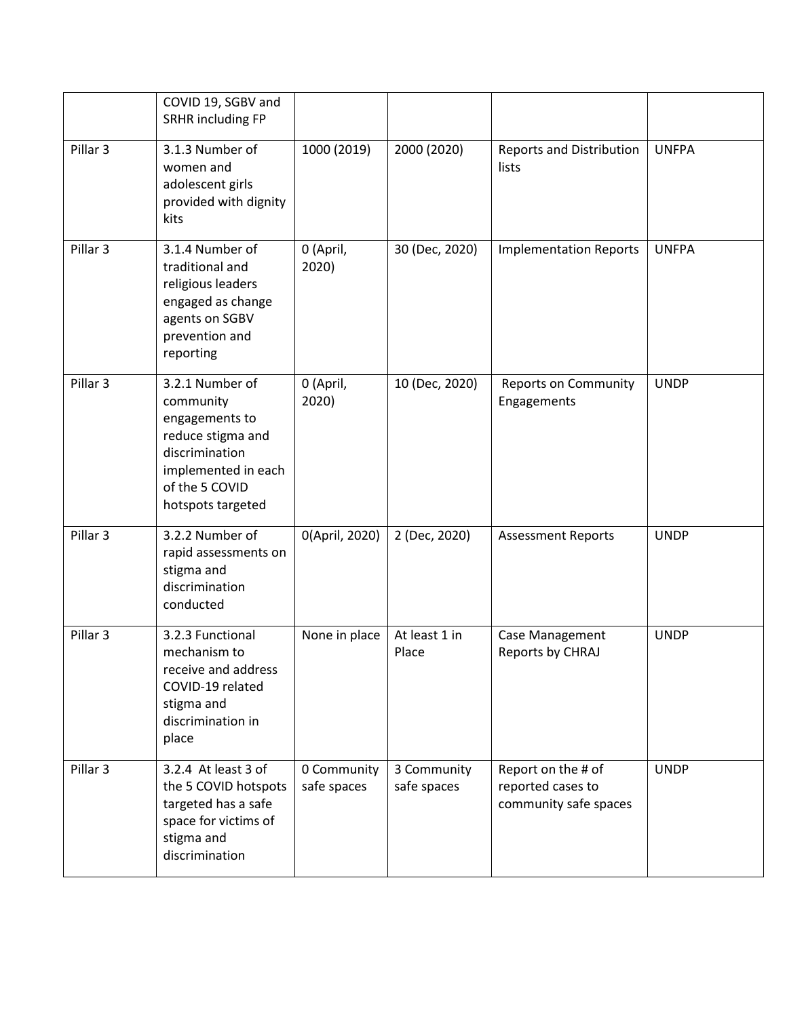|                     | COVID 19, SGBV and<br>SRHR including FP                                                                                                             |                            |                            |                                                                  |              |
|---------------------|-----------------------------------------------------------------------------------------------------------------------------------------------------|----------------------------|----------------------------|------------------------------------------------------------------|--------------|
| Pillar 3            | 3.1.3 Number of<br>women and<br>adolescent girls<br>provided with dignity<br>kits                                                                   | 1000 (2019)                | 2000 (2020)                | <b>Reports and Distribution</b><br>lists                         | <b>UNFPA</b> |
| Pillar 3            | 3.1.4 Number of<br>traditional and<br>religious leaders<br>engaged as change<br>agents on SGBV<br>prevention and<br>reporting                       | 0 (April,<br>2020)         | 30 (Dec, 2020)             | <b>Implementation Reports</b>                                    | <b>UNFPA</b> |
| Pillar <sub>3</sub> | 3.2.1 Number of<br>community<br>engagements to<br>reduce stigma and<br>discrimination<br>implemented in each<br>of the 5 COVID<br>hotspots targeted | 0 (April,<br>2020)         | 10 (Dec, 2020)             | <b>Reports on Community</b><br>Engagements                       | <b>UNDP</b>  |
| Pillar <sub>3</sub> | 3.2.2 Number of<br>rapid assessments on<br>stigma and<br>discrimination<br>conducted                                                                | 0(April, 2020)             | 2 (Dec, 2020)              | <b>Assessment Reports</b>                                        | <b>UNDP</b>  |
| Pillar <sub>3</sub> | 3.2.3 Functional<br>mechanism to<br>receive and address<br>COVID-19 related<br>stigma and<br>discrimination in<br>place                             | None in place              | At least 1 in<br>Place     | Case Management<br>Reports by CHRAJ                              | <b>UNDP</b>  |
| Pillar 3            | 3.2.4 At least 3 of<br>the 5 COVID hotspots<br>targeted has a safe<br>space for victims of<br>stigma and<br>discrimination                          | 0 Community<br>safe spaces | 3 Community<br>safe spaces | Report on the # of<br>reported cases to<br>community safe spaces | <b>UNDP</b>  |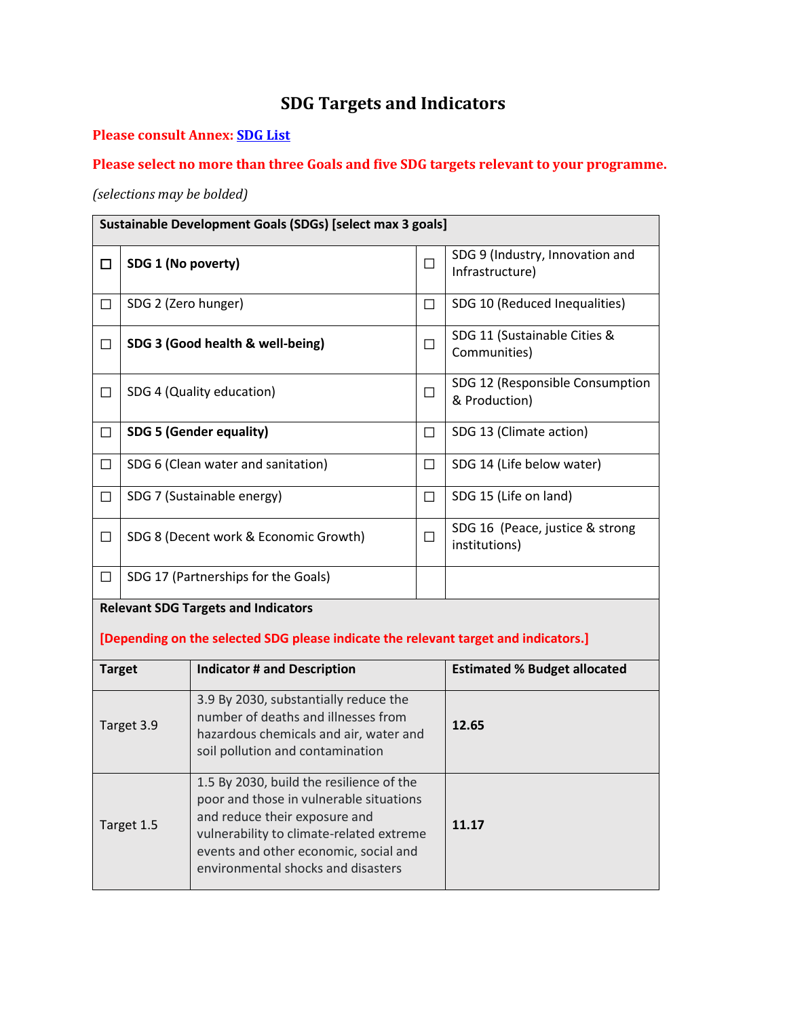# **SDG Targets and Indicators**

## **Please consult Annex: [SDG List](https://docs.google.com/document/d/1TrBFTMPyDP-pf1OpXrBU9Wn2NGJL70rMnPWv88BF2OM/edit?ts=5ea063a5#bookmark=id.2et92p0)**

## **Please select no more than three Goals and five SDG targets relevant to your programme.**

## *(selections may be bolded)*

|                                                                                                                                                                          | Sustainable Development Goals (SDGs) [select max 3 goals] |                                                                                                                                                                                                                                                 |        |                                                    |  |  |
|--------------------------------------------------------------------------------------------------------------------------------------------------------------------------|-----------------------------------------------------------|-------------------------------------------------------------------------------------------------------------------------------------------------------------------------------------------------------------------------------------------------|--------|----------------------------------------------------|--|--|
| □                                                                                                                                                                        | SDG 1 (No poverty)                                        |                                                                                                                                                                                                                                                 | □      | SDG 9 (Industry, Innovation and<br>Infrastructure) |  |  |
| $\Box$                                                                                                                                                                   | SDG 2 (Zero hunger)                                       |                                                                                                                                                                                                                                                 | $\Box$ | SDG 10 (Reduced Inequalities)                      |  |  |
| □                                                                                                                                                                        |                                                           | SDG 3 (Good health & well-being)                                                                                                                                                                                                                | П      | SDG 11 (Sustainable Cities &<br>Communities)       |  |  |
| □                                                                                                                                                                        |                                                           | SDG 4 (Quality education)                                                                                                                                                                                                                       | $\Box$ | SDG 12 (Responsible Consumption<br>& Production)   |  |  |
| □                                                                                                                                                                        |                                                           | <b>SDG 5 (Gender equality)</b>                                                                                                                                                                                                                  | □      | SDG 13 (Climate action)                            |  |  |
| □                                                                                                                                                                        |                                                           | SDG 6 (Clean water and sanitation)                                                                                                                                                                                                              | □      | SDG 14 (Life below water)                          |  |  |
| $\Box$                                                                                                                                                                   |                                                           | SDG 7 (Sustainable energy)                                                                                                                                                                                                                      | $\Box$ | SDG 15 (Life on land)                              |  |  |
| □                                                                                                                                                                        | SDG 8 (Decent work & Economic Growth)                     |                                                                                                                                                                                                                                                 |        | SDG 16 (Peace, justice & strong<br>institutions)   |  |  |
| □                                                                                                                                                                        |                                                           | SDG 17 (Partnerships for the Goals)                                                                                                                                                                                                             |        |                                                    |  |  |
|                                                                                                                                                                          |                                                           | <b>Relevant SDG Targets and Indicators</b>                                                                                                                                                                                                      |        |                                                    |  |  |
|                                                                                                                                                                          |                                                           | [Depending on the selected SDG please indicate the relevant target and indicators.]                                                                                                                                                             |        |                                                    |  |  |
| <b>Target</b>                                                                                                                                                            |                                                           | <b>Indicator # and Description</b>                                                                                                                                                                                                              |        | <b>Estimated % Budget allocated</b>                |  |  |
| 3.9 By 2030, substantially reduce the<br>number of deaths and illnesses from<br>Target 3.9<br>hazardous chemicals and air, water and<br>soil pollution and contamination |                                                           |                                                                                                                                                                                                                                                 | 12.65  |                                                    |  |  |
| Target 1.5                                                                                                                                                               |                                                           | 1.5 By 2030, build the resilience of the<br>poor and those in vulnerable situations<br>and reduce their exposure and<br>vulnerability to climate-related extreme<br>events and other economic, social and<br>environmental shocks and disasters |        | 11.17                                              |  |  |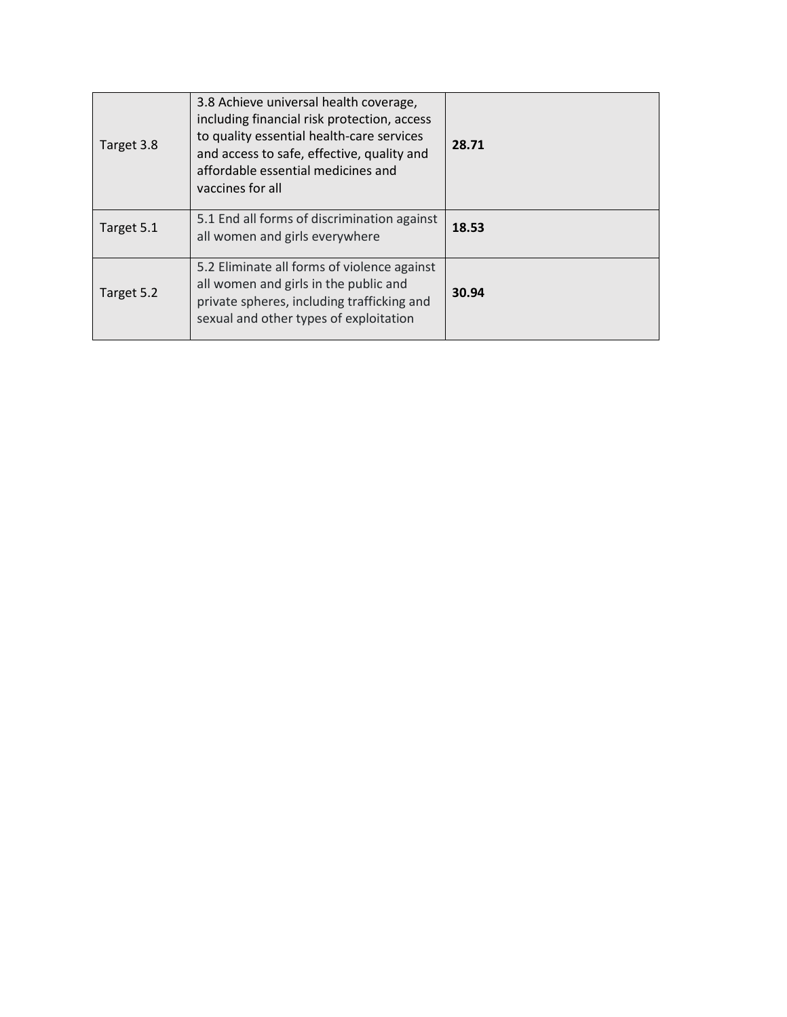| Target 3.8 | 3.8 Achieve universal health coverage,<br>including financial risk protection, access<br>to quality essential health-care services<br>and access to safe, effective, quality and<br>affordable essential medicines and<br>vaccines for all | 28.71 |
|------------|--------------------------------------------------------------------------------------------------------------------------------------------------------------------------------------------------------------------------------------------|-------|
| Target 5.1 | 5.1 End all forms of discrimination against<br>all women and girls everywhere                                                                                                                                                              | 18.53 |
| Target 5.2 | 5.2 Eliminate all forms of violence against<br>all women and girls in the public and<br>private spheres, including trafficking and<br>sexual and other types of exploitation                                                               | 30.94 |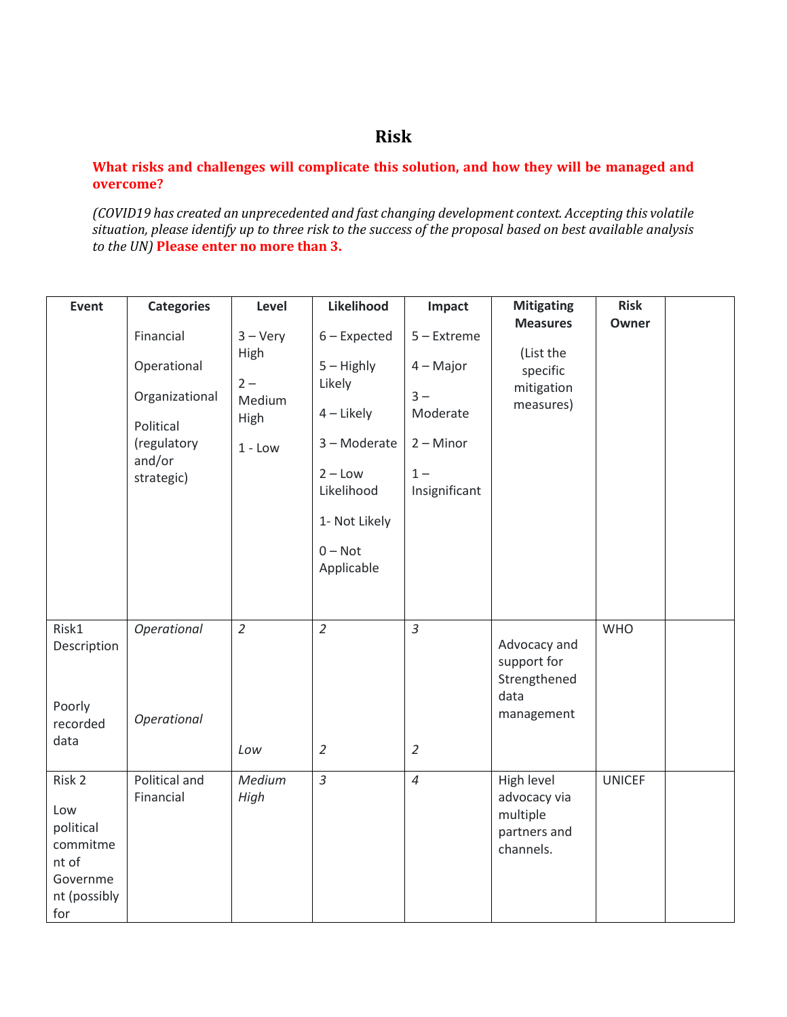# **Risk**

#### **What risks and challenges will complicate this solution, and how they will be managed and overcome?**

*(COVID19 has created an unprecedented and fast changing development context. Accepting this volatile situation, please identify up to three risk to the success of the proposal based on best available analysis to the UN)* **Please enter no more than 3.**

| Event                                                                              | <b>Categories</b>                                                                              | Level                                                             | Likelihood                                                                                                                                      | Impact                                                                                     | <b>Mitigating</b>                                                   | <b>Risk</b>   |  |
|------------------------------------------------------------------------------------|------------------------------------------------------------------------------------------------|-------------------------------------------------------------------|-------------------------------------------------------------------------------------------------------------------------------------------------|--------------------------------------------------------------------------------------------|---------------------------------------------------------------------|---------------|--|
|                                                                                    | Financial<br>Operational<br>Organizational<br>Political<br>(regulatory<br>and/or<br>strategic) | $3 - \text{Very}$<br>High<br>$2 -$<br>Medium<br>High<br>$1 - Low$ | $6$ – Expected<br>$5 -$ Highly<br>Likely<br>$4$ – Likely<br>3 - Moderate<br>$2 - Low$<br>Likelihood<br>1- Not Likely<br>$0 - Not$<br>Applicable | $5 -$ Extreme<br>$4 - Major$<br>$3 -$<br>Moderate<br>$2 -$ Minor<br>$1 -$<br>Insignificant | <b>Measures</b><br>(List the<br>specific<br>mitigation<br>measures) | Owner         |  |
| Risk1<br>Description<br>Poorly<br>recorded<br>data                                 | Operational<br>Operational                                                                     | $\overline{2}$<br>Low                                             | $\overline{2}$<br>$\overline{2}$                                                                                                                | $\overline{3}$<br>$\overline{2}$                                                           | Advocacy and<br>support for<br>Strengthened<br>data<br>management   | <b>WHO</b>    |  |
| Risk 2<br>Low<br>political<br>commitme<br>nt of<br>Governme<br>nt (possibly<br>for | Political and<br>Financial                                                                     | Medium<br>High                                                    | $\overline{3}$                                                                                                                                  | $\overline{4}$                                                                             | High level<br>advocacy via<br>multiple<br>partners and<br>channels. | <b>UNICEF</b> |  |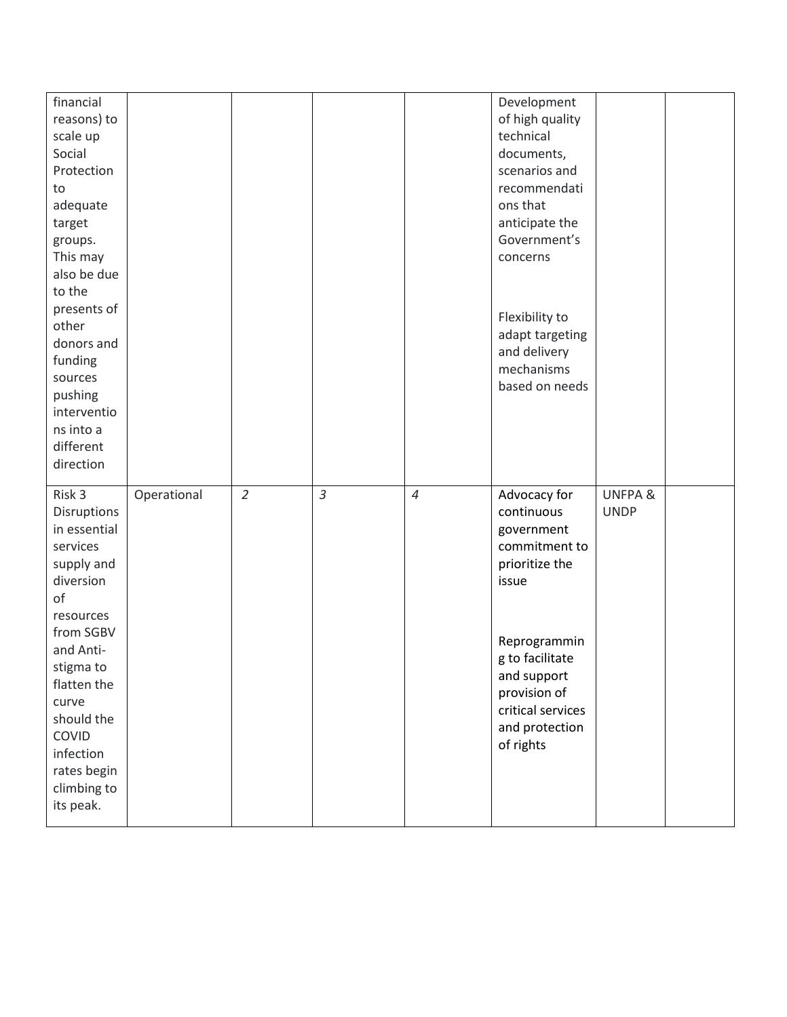| financial    |             |                |                |                | Development       |                    |  |
|--------------|-------------|----------------|----------------|----------------|-------------------|--------------------|--|
|              |             |                |                |                | of high quality   |                    |  |
| reasons) to  |             |                |                |                |                   |                    |  |
| scale up     |             |                |                |                | technical         |                    |  |
| Social       |             |                |                |                | documents,        |                    |  |
| Protection   |             |                |                |                | scenarios and     |                    |  |
| to           |             |                |                |                | recommendati      |                    |  |
| adequate     |             |                |                |                | ons that          |                    |  |
| target       |             |                |                |                | anticipate the    |                    |  |
| groups.      |             |                |                |                | Government's      |                    |  |
| This may     |             |                |                |                | concerns          |                    |  |
| also be due  |             |                |                |                |                   |                    |  |
| to the       |             |                |                |                |                   |                    |  |
| presents of  |             |                |                |                |                   |                    |  |
| other        |             |                |                |                | Flexibility to    |                    |  |
| donors and   |             |                |                |                | adapt targeting   |                    |  |
| funding      |             |                |                |                | and delivery      |                    |  |
| sources      |             |                |                |                | mechanisms        |                    |  |
| pushing      |             |                |                |                | based on needs    |                    |  |
| interventio  |             |                |                |                |                   |                    |  |
| ns into a    |             |                |                |                |                   |                    |  |
| different    |             |                |                |                |                   |                    |  |
|              |             |                |                |                |                   |                    |  |
|              |             |                |                |                |                   |                    |  |
| direction    |             |                |                |                |                   |                    |  |
|              |             |                |                |                |                   |                    |  |
| Risk 3       | Operational | $\overline{2}$ | $\mathfrak{Z}$ | $\overline{4}$ | Advocacy for      | <b>UNFPA &amp;</b> |  |
| Disruptions  |             |                |                |                | continuous        | <b>UNDP</b>        |  |
| in essential |             |                |                |                | government        |                    |  |
| services     |             |                |                |                | commitment to     |                    |  |
| supply and   |             |                |                |                | prioritize the    |                    |  |
| diversion    |             |                |                |                | issue             |                    |  |
| of           |             |                |                |                |                   |                    |  |
| resources    |             |                |                |                |                   |                    |  |
| from SGBV    |             |                |                |                | Reprogrammin      |                    |  |
| and Anti-    |             |                |                |                |                   |                    |  |
| stigma to    |             |                |                |                | g to facilitate   |                    |  |
| flatten the  |             |                |                |                | and support       |                    |  |
| curve        |             |                |                |                | provision of      |                    |  |
| should the   |             |                |                |                | critical services |                    |  |
| COVID        |             |                |                |                | and protection    |                    |  |
| infection    |             |                |                |                | of rights         |                    |  |
| rates begin  |             |                |                |                |                   |                    |  |
| climbing to  |             |                |                |                |                   |                    |  |
| its peak.    |             |                |                |                |                   |                    |  |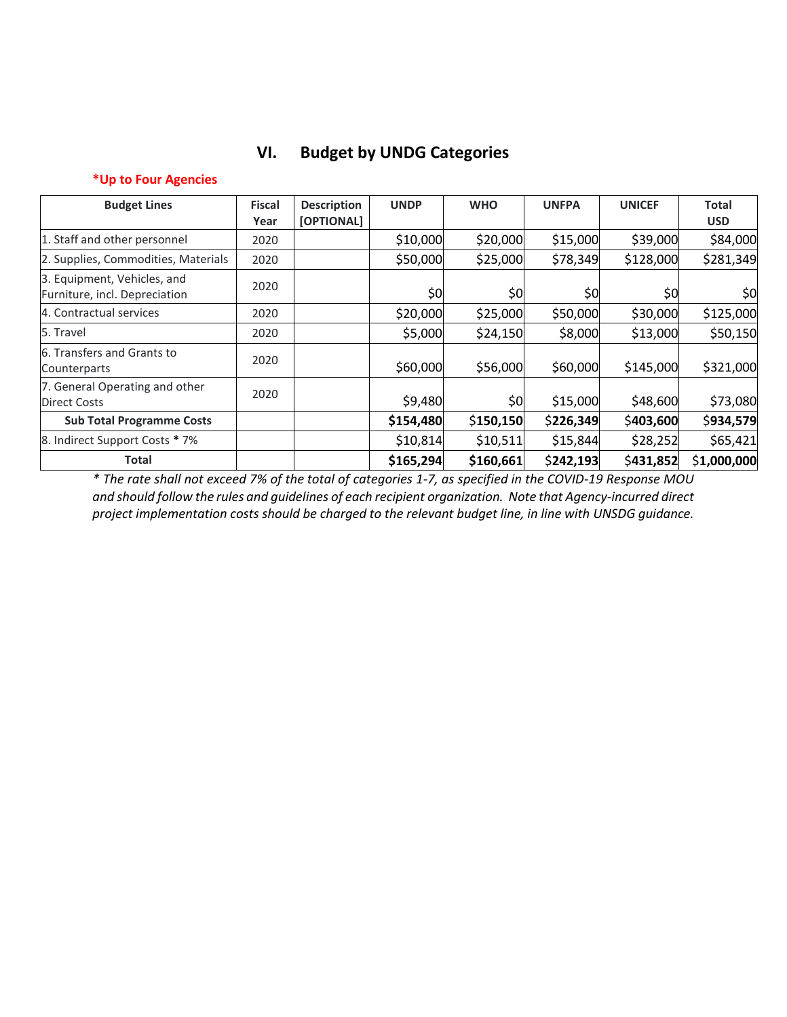# **VI. Budget by UNDG Categories**

### **\*Up to Four Agencies**

| <b>Budget Lines</b>                                          | <b>Fiscal</b> | <b>Description</b> | <b>UNDP</b> | <b>WHO</b> | <b>UNFPA</b> | <b>UNICEF</b> | <b>Total</b> |
|--------------------------------------------------------------|---------------|--------------------|-------------|------------|--------------|---------------|--------------|
|                                                              | Year          | [OPTIONAL]         |             |            |              |               | <b>USD</b>   |
| 1. Staff and other personnel                                 | 2020          |                    | \$10,000    | \$20,000   | \$15,000     | \$39,000      | \$84,000     |
| 2. Supplies, Commodities, Materials                          | 2020          |                    | \$50,000    | \$25,000   | \$78,349     | \$128,000     | \$281,349    |
| 3. Equipment, Vehicles, and<br>Furniture, incl. Depreciation | 2020          |                    | \$0         | \$0        | \$0          | \$0           | \$0          |
| 4. Contractual services                                      | 2020          |                    | \$20,000    | \$25,000   | \$50,000     | \$30,000      | \$125,000    |
| 5. Travel                                                    | 2020          |                    | \$5,000     | \$24,150   | \$8,000      | \$13,000      | \$50,150     |
| 6. Transfers and Grants to<br>Counterparts                   | 2020          |                    | \$60,000    | \$56,000   | \$60,000     | \$145,000     | \$321,000    |
| 7. General Operating and other<br><b>Direct Costs</b>        | 2020          |                    | \$9,480     | \$0        | \$15,000     | \$48,600      | \$73,080     |
| <b>Sub Total Programme Costs</b>                             |               |                    | \$154,480   | \$150,150  | \$226,349    | \$403,600     | \$934,579    |
| 8. Indirect Support Costs * 7%                               |               |                    | \$10,814    | \$10,511   | \$15,844     | \$28,252      | \$65,421     |
| Total                                                        |               |                    | \$165,294   | \$160,661  | \$242,193    | \$431,852     | \$1,000,000  |

*\* The rate shall not exceed 7% of the total of categories 1-7, as specified in the COVID-19 Response MOU and should follow the rules and guidelines of each recipient organization. Note that Agency-incurred direct project implementation costs should be charged to the relevant budget line, in line with UNSDG guidance.*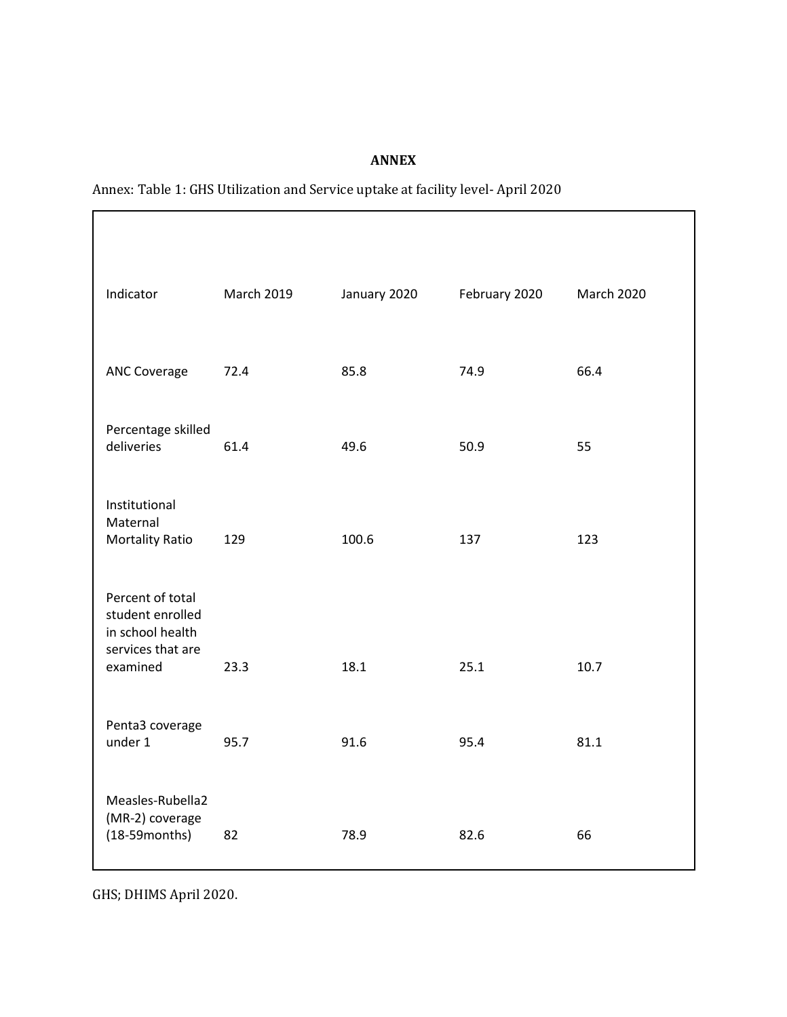## **ANNEX**

| Indicator                                                                     | <b>March 2019</b> | January 2020 | February 2020 | <b>March 2020</b> |
|-------------------------------------------------------------------------------|-------------------|--------------|---------------|-------------------|
| <b>ANC Coverage</b>                                                           | 72.4              | 85.8         | 74.9          | 66.4              |
| Percentage skilled<br>deliveries                                              | 61.4              | 49.6         | 50.9          | 55                |
| Institutional<br>Maternal<br><b>Mortality Ratio</b>                           | 129               | 100.6        | 137           | 123               |
| Percent of total<br>student enrolled<br>in school health<br>services that are |                   |              |               |                   |
| examined<br>Penta3 coverage                                                   | 23.3              | 18.1         | 25.1          | 10.7              |
| under 1                                                                       | 95.7              | 91.6         | 95.4          | 81.1              |
| Measles-Rubella2<br>(MR-2) coverage<br>$(18-59$ months)                       | 82                | 78.9         | 82.6          | 66                |

Annex: Table 1: GHS Utilization and Service uptake at facility level- April 2020

GHS; DHIMS April 2020.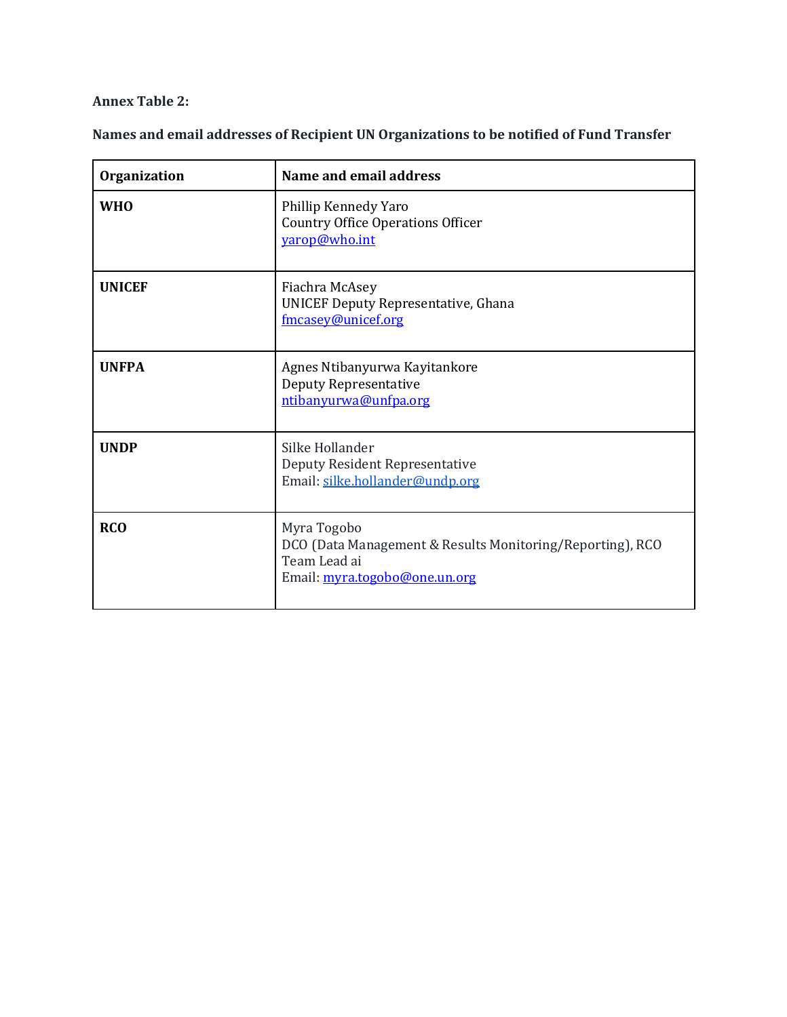**Annex Table 2:** 

**Names and email addresses of Recipient UN Organizations to be notified of Fund Transfer** 

| <b>Organization</b> | Name and email address                                                                                                    |
|---------------------|---------------------------------------------------------------------------------------------------------------------------|
| <b>WHO</b>          | Phillip Kennedy Yaro<br><b>Country Office Operations Officer</b><br>yarop@who.int                                         |
| <b>UNICEF</b>       | Fiachra McAsey<br><b>UNICEF Deputy Representative, Ghana</b><br>fmcasey@unicef.org                                        |
| <b>UNFPA</b>        | Agnes Ntibanyurwa Kayitankore<br><b>Deputy Representative</b><br>ntibanyurwa@unfpa.org                                    |
| <b>UNDP</b>         | Silke Hollander<br>Deputy Resident Representative<br>Email: silke.hollander@undp.org                                      |
| <b>RCO</b>          | Myra Togobo<br>DCO (Data Management & Results Monitoring/Reporting), RCO<br>Team Lead ai<br>Email: myra.togobo@one.un.org |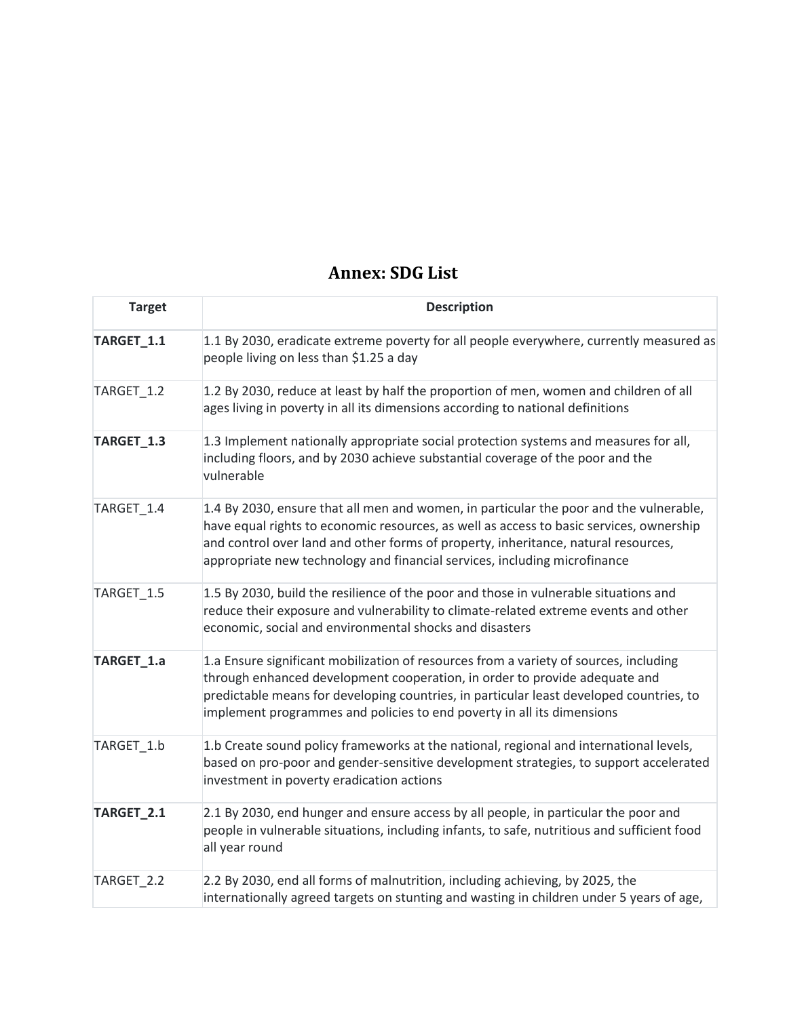# **Annex: SDG List**

| <b>Target</b> | <b>Description</b>                                                                                                                                                                                                                                                                                                                                   |
|---------------|------------------------------------------------------------------------------------------------------------------------------------------------------------------------------------------------------------------------------------------------------------------------------------------------------------------------------------------------------|
| TARGET_1.1    | 1.1 By 2030, eradicate extreme poverty for all people everywhere, currently measured as<br>people living on less than \$1.25 a day                                                                                                                                                                                                                   |
| TARGET_1.2    | 1.2 By 2030, reduce at least by half the proportion of men, women and children of all<br>ages living in poverty in all its dimensions according to national definitions                                                                                                                                                                              |
| TARGET_1.3    | 1.3 Implement nationally appropriate social protection systems and measures for all,<br>including floors, and by 2030 achieve substantial coverage of the poor and the<br>vulnerable                                                                                                                                                                 |
| TARGET_1.4    | 1.4 By 2030, ensure that all men and women, in particular the poor and the vulnerable,<br>have equal rights to economic resources, as well as access to basic services, ownership<br>and control over land and other forms of property, inheritance, natural resources,<br>appropriate new technology and financial services, including microfinance |
| TARGET_1.5    | 1.5 By 2030, build the resilience of the poor and those in vulnerable situations and<br>reduce their exposure and vulnerability to climate-related extreme events and other<br>economic, social and environmental shocks and disasters                                                                                                               |
| TARGET_1.a    | 1.a Ensure significant mobilization of resources from a variety of sources, including<br>through enhanced development cooperation, in order to provide adequate and<br>predictable means for developing countries, in particular least developed countries, to<br>implement programmes and policies to end poverty in all its dimensions             |
| TARGET_1.b    | 1.b Create sound policy frameworks at the national, regional and international levels,<br>based on pro-poor and gender-sensitive development strategies, to support accelerated<br>investment in poverty eradication actions                                                                                                                         |
| TARGET_2.1    | 2.1 By 2030, end hunger and ensure access by all people, in particular the poor and<br>people in vulnerable situations, including infants, to safe, nutritious and sufficient food<br>all year round                                                                                                                                                 |
| TARGET_2.2    | 2.2 By 2030, end all forms of malnutrition, including achieving, by 2025, the<br>internationally agreed targets on stunting and wasting in children under 5 years of age,                                                                                                                                                                            |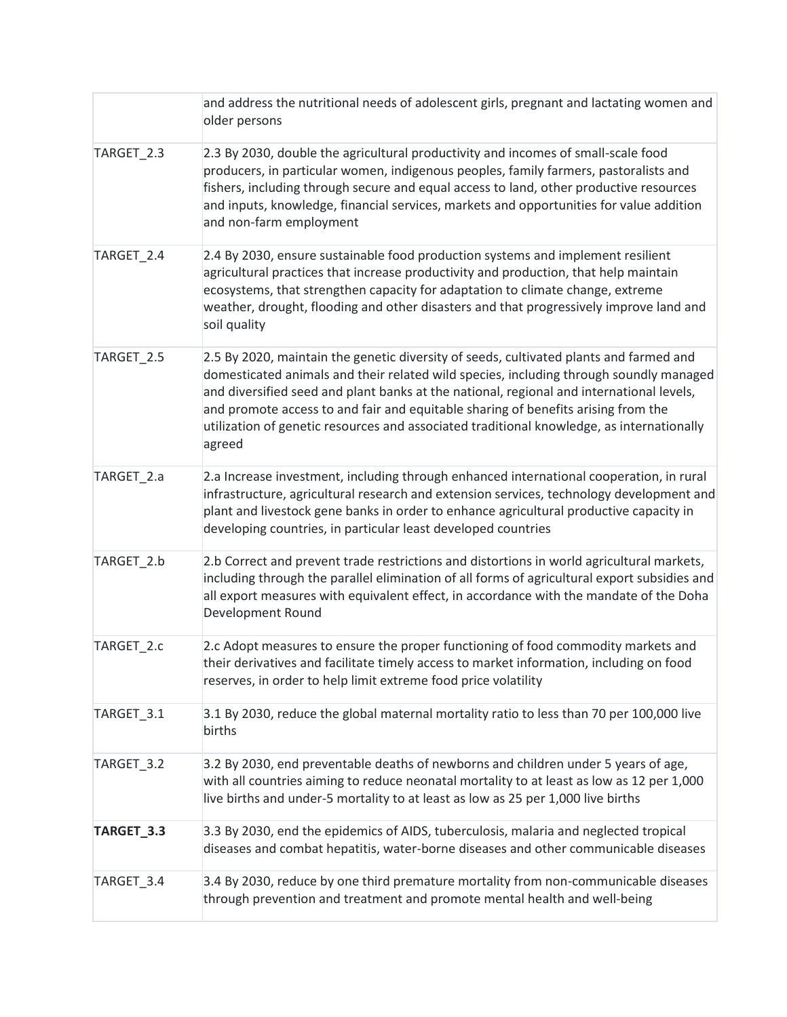|            | and address the nutritional needs of adolescent girls, pregnant and lactating women and<br>older persons                                                                                                                                                                                                                                                                                                                                                                 |
|------------|--------------------------------------------------------------------------------------------------------------------------------------------------------------------------------------------------------------------------------------------------------------------------------------------------------------------------------------------------------------------------------------------------------------------------------------------------------------------------|
| TARGET_2.3 | 2.3 By 2030, double the agricultural productivity and incomes of small-scale food<br>producers, in particular women, indigenous peoples, family farmers, pastoralists and<br>fishers, including through secure and equal access to land, other productive resources<br>and inputs, knowledge, financial services, markets and opportunities for value addition<br>and non-farm employment                                                                                |
| TARGET_2.4 | 2.4 By 2030, ensure sustainable food production systems and implement resilient<br>agricultural practices that increase productivity and production, that help maintain<br>ecosystems, that strengthen capacity for adaptation to climate change, extreme<br>weather, drought, flooding and other disasters and that progressively improve land and<br>soil quality                                                                                                      |
| TARGET_2.5 | 2.5 By 2020, maintain the genetic diversity of seeds, cultivated plants and farmed and<br>domesticated animals and their related wild species, including through soundly managed<br>and diversified seed and plant banks at the national, regional and international levels,<br>and promote access to and fair and equitable sharing of benefits arising from the<br>utilization of genetic resources and associated traditional knowledge, as internationally<br>agreed |
| TARGET_2.a | 2.a Increase investment, including through enhanced international cooperation, in rural<br>infrastructure, agricultural research and extension services, technology development and<br>plant and livestock gene banks in order to enhance agricultural productive capacity in<br>developing countries, in particular least developed countries                                                                                                                           |
| TARGET_2.b | 2.b Correct and prevent trade restrictions and distortions in world agricultural markets,<br>including through the parallel elimination of all forms of agricultural export subsidies and<br>all export measures with equivalent effect, in accordance with the mandate of the Doha<br>Development Round                                                                                                                                                                 |
| TARGET_2.c | 2.c Adopt measures to ensure the proper functioning of food commodity markets and<br>their derivatives and facilitate timely access to market information, including on food<br>reserves, in order to help limit extreme food price volatility                                                                                                                                                                                                                           |
| TARGET_3.1 | 3.1 By 2030, reduce the global maternal mortality ratio to less than 70 per 100,000 live<br>births                                                                                                                                                                                                                                                                                                                                                                       |
| TARGET_3.2 | 3.2 By 2030, end preventable deaths of newborns and children under 5 years of age,<br>with all countries aiming to reduce neonatal mortality to at least as low as 12 per 1,000<br>live births and under-5 mortality to at least as low as 25 per 1,000 live births                                                                                                                                                                                                      |
| TARGET_3.3 | 3.3 By 2030, end the epidemics of AIDS, tuberculosis, malaria and neglected tropical<br>diseases and combat hepatitis, water-borne diseases and other communicable diseases                                                                                                                                                                                                                                                                                              |
| TARGET_3.4 | 3.4 By 2030, reduce by one third premature mortality from non-communicable diseases<br>through prevention and treatment and promote mental health and well-being                                                                                                                                                                                                                                                                                                         |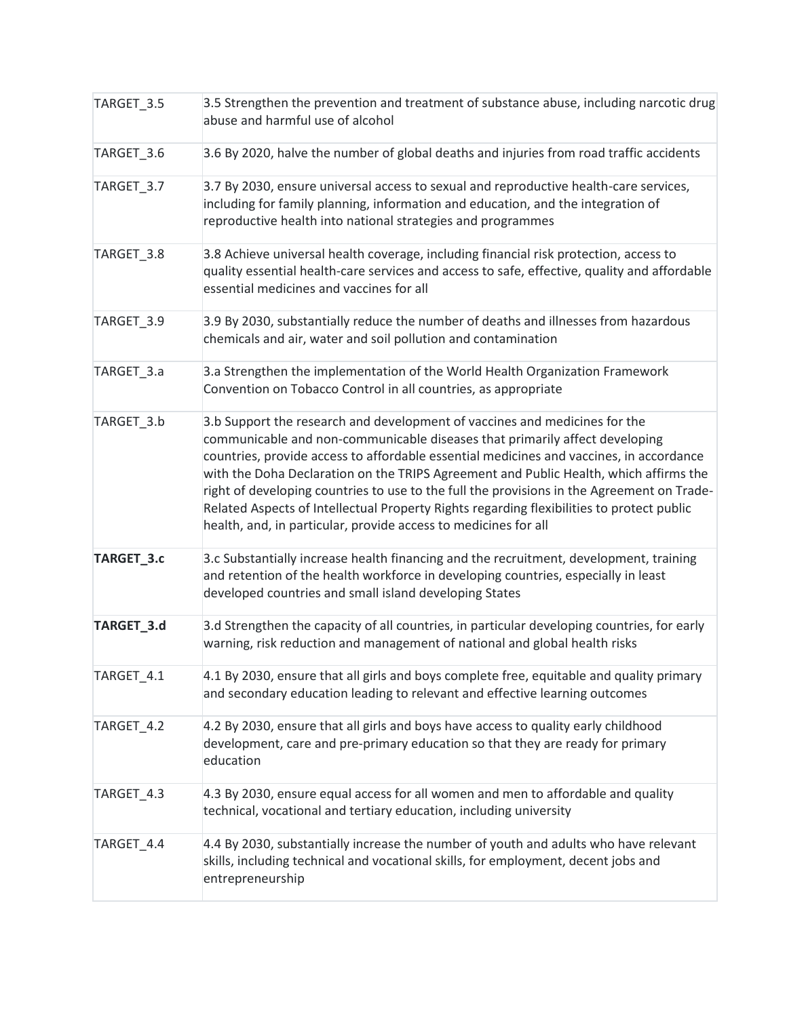| TARGET_3.5 | 3.5 Strengthen the prevention and treatment of substance abuse, including narcotic drug<br>abuse and harmful use of alcohol                                                                                                                                                                                                                                                                                                                                                                                                                                                                                 |
|------------|-------------------------------------------------------------------------------------------------------------------------------------------------------------------------------------------------------------------------------------------------------------------------------------------------------------------------------------------------------------------------------------------------------------------------------------------------------------------------------------------------------------------------------------------------------------------------------------------------------------|
| TARGET_3.6 | 3.6 By 2020, halve the number of global deaths and injuries from road traffic accidents                                                                                                                                                                                                                                                                                                                                                                                                                                                                                                                     |
| TARGET_3.7 | 3.7 By 2030, ensure universal access to sexual and reproductive health-care services,<br>including for family planning, information and education, and the integration of<br>reproductive health into national strategies and programmes                                                                                                                                                                                                                                                                                                                                                                    |
| TARGET 3.8 | 3.8 Achieve universal health coverage, including financial risk protection, access to<br>quality essential health-care services and access to safe, effective, quality and affordable<br>essential medicines and vaccines for all                                                                                                                                                                                                                                                                                                                                                                           |
| TARGET_3.9 | 3.9 By 2030, substantially reduce the number of deaths and illnesses from hazardous<br>chemicals and air, water and soil pollution and contamination                                                                                                                                                                                                                                                                                                                                                                                                                                                        |
| TARGET_3.a | 3.a Strengthen the implementation of the World Health Organization Framework<br>Convention on Tobacco Control in all countries, as appropriate                                                                                                                                                                                                                                                                                                                                                                                                                                                              |
| TARGET_3.b | 3.b Support the research and development of vaccines and medicines for the<br>communicable and non-communicable diseases that primarily affect developing<br>countries, provide access to affordable essential medicines and vaccines, in accordance<br>with the Doha Declaration on the TRIPS Agreement and Public Health, which affirms the<br>right of developing countries to use to the full the provisions in the Agreement on Trade-<br>Related Aspects of Intellectual Property Rights regarding flexibilities to protect public<br>health, and, in particular, provide access to medicines for all |
| TARGET_3.c | 3.c Substantially increase health financing and the recruitment, development, training<br>and retention of the health workforce in developing countries, especially in least<br>developed countries and small island developing States                                                                                                                                                                                                                                                                                                                                                                      |
| TARGET_3.d | 3.d Strengthen the capacity of all countries, in particular developing countries, for early<br>warning, risk reduction and management of national and global health risks                                                                                                                                                                                                                                                                                                                                                                                                                                   |
| TARGET_4.1 | 4.1 By 2030, ensure that all girls and boys complete free, equitable and quality primary<br>and secondary education leading to relevant and effective learning outcomes                                                                                                                                                                                                                                                                                                                                                                                                                                     |
| TARGET_4.2 | 4.2 By 2030, ensure that all girls and boys have access to quality early childhood<br>development, care and pre-primary education so that they are ready for primary<br>education                                                                                                                                                                                                                                                                                                                                                                                                                           |
| TARGET_4.3 | 4.3 By 2030, ensure equal access for all women and men to affordable and quality<br>technical, vocational and tertiary education, including university                                                                                                                                                                                                                                                                                                                                                                                                                                                      |
| TARGET_4.4 | 4.4 By 2030, substantially increase the number of youth and adults who have relevant<br>skills, including technical and vocational skills, for employment, decent jobs and<br>entrepreneurship                                                                                                                                                                                                                                                                                                                                                                                                              |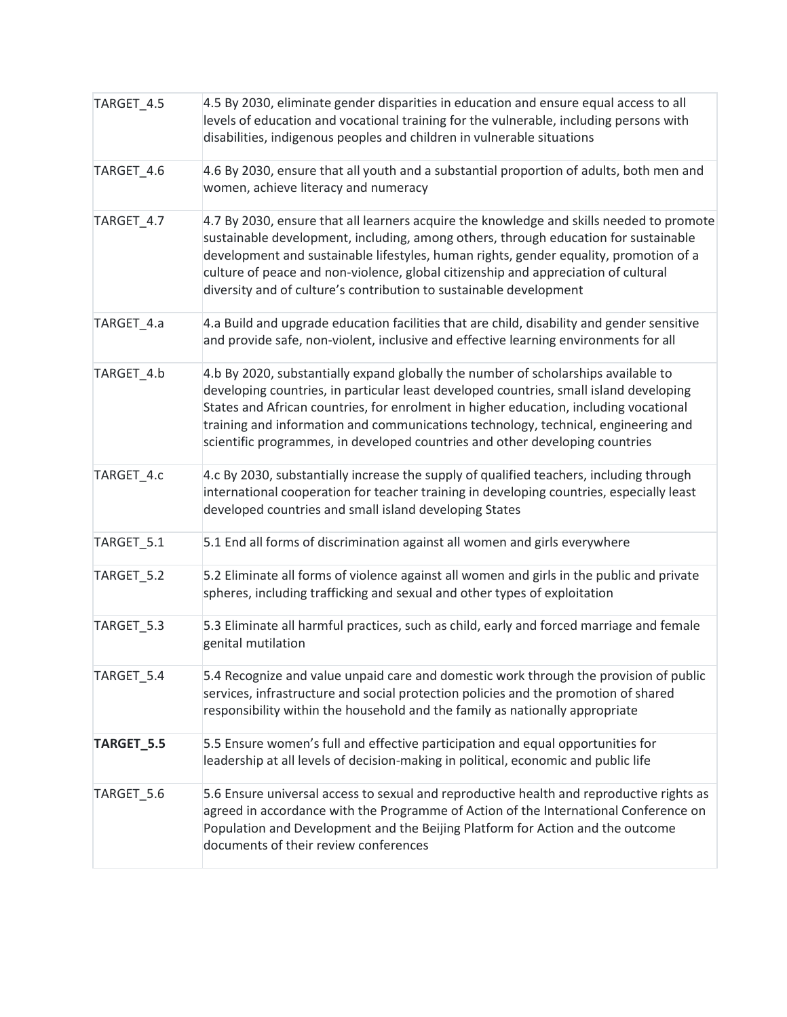| TARGET_4.5 | 4.5 By 2030, eliminate gender disparities in education and ensure equal access to all<br>levels of education and vocational training for the vulnerable, including persons with<br>disabilities, indigenous peoples and children in vulnerable situations                                                                                                                                                                                   |
|------------|---------------------------------------------------------------------------------------------------------------------------------------------------------------------------------------------------------------------------------------------------------------------------------------------------------------------------------------------------------------------------------------------------------------------------------------------|
| TARGET_4.6 | 4.6 By 2030, ensure that all youth and a substantial proportion of adults, both men and<br>women, achieve literacy and numeracy                                                                                                                                                                                                                                                                                                             |
| TARGET_4.7 | 4.7 By 2030, ensure that all learners acquire the knowledge and skills needed to promote<br>sustainable development, including, among others, through education for sustainable<br>development and sustainable lifestyles, human rights, gender equality, promotion of a<br>culture of peace and non-violence, global citizenship and appreciation of cultural<br>diversity and of culture's contribution to sustainable development        |
| TARGET_4.a | 4.a Build and upgrade education facilities that are child, disability and gender sensitive<br>and provide safe, non-violent, inclusive and effective learning environments for all                                                                                                                                                                                                                                                          |
| TARGET_4.b | 4.b By 2020, substantially expand globally the number of scholarships available to<br>developing countries, in particular least developed countries, small island developing<br>States and African countries, for enrolment in higher education, including vocational<br>training and information and communications technology, technical, engineering and<br>scientific programmes, in developed countries and other developing countries |
| TARGET_4.c | 4.c By 2030, substantially increase the supply of qualified teachers, including through<br>international cooperation for teacher training in developing countries, especially least<br>developed countries and small island developing States                                                                                                                                                                                               |
| TARGET_5.1 | 5.1 End all forms of discrimination against all women and girls everywhere                                                                                                                                                                                                                                                                                                                                                                  |
| TARGET_5.2 | 5.2 Eliminate all forms of violence against all women and girls in the public and private<br>spheres, including trafficking and sexual and other types of exploitation                                                                                                                                                                                                                                                                      |
| TARGET_5.3 | 5.3 Eliminate all harmful practices, such as child, early and forced marriage and female<br>genital mutilation                                                                                                                                                                                                                                                                                                                              |
| TARGET_5.4 | 5.4 Recognize and value unpaid care and domestic work through the provision of public<br>services, infrastructure and social protection policies and the promotion of shared<br>responsibility within the household and the family as nationally appropriate                                                                                                                                                                                |
| TARGET_5.5 | 5.5 Ensure women's full and effective participation and equal opportunities for<br>leadership at all levels of decision-making in political, economic and public life                                                                                                                                                                                                                                                                       |
| TARGET_5.6 | 5.6 Ensure universal access to sexual and reproductive health and reproductive rights as<br>agreed in accordance with the Programme of Action of the International Conference on<br>Population and Development and the Beijing Platform for Action and the outcome<br>documents of their review conferences                                                                                                                                 |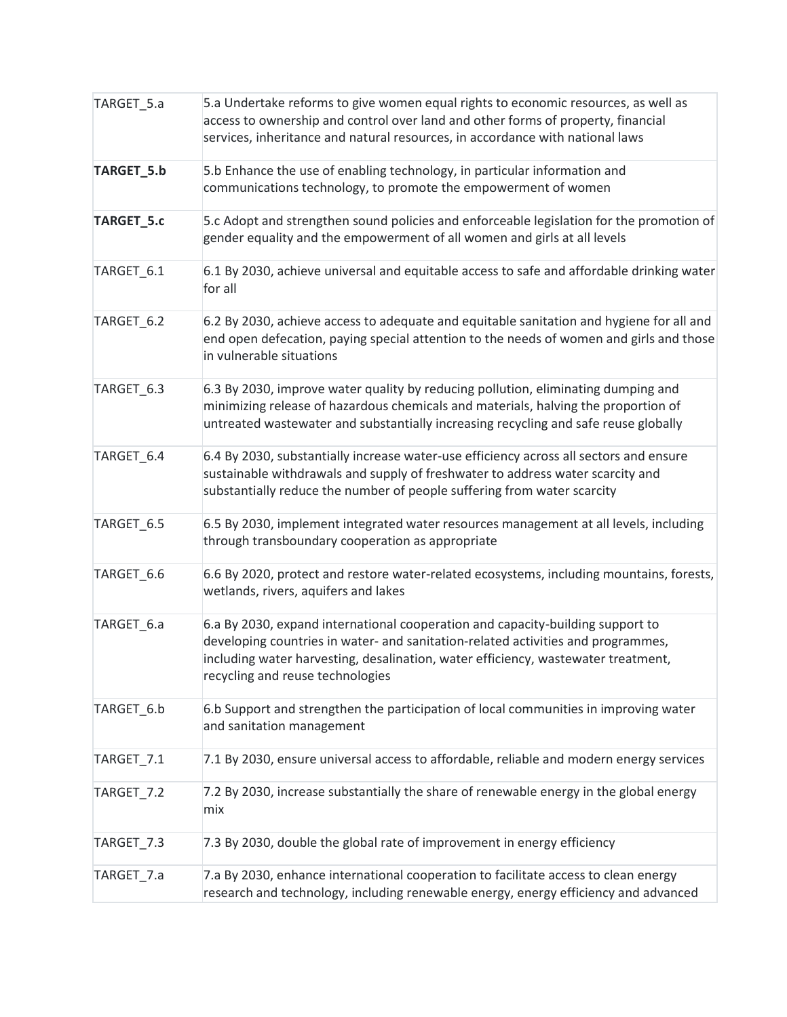| TARGET_5.a | 5.a Undertake reforms to give women equal rights to economic resources, as well as<br>access to ownership and control over land and other forms of property, financial<br>services, inheritance and natural resources, in accordance with national laws                                     |
|------------|---------------------------------------------------------------------------------------------------------------------------------------------------------------------------------------------------------------------------------------------------------------------------------------------|
| TARGET_5.b | 5.b Enhance the use of enabling technology, in particular information and<br>communications technology, to promote the empowerment of women                                                                                                                                                 |
| TARGET_5.c | 5.c Adopt and strengthen sound policies and enforceable legislation for the promotion of<br>gender equality and the empowerment of all women and girls at all levels                                                                                                                        |
| TARGET_6.1 | 6.1 By 2030, achieve universal and equitable access to safe and affordable drinking water<br>for all                                                                                                                                                                                        |
| TARGET_6.2 | 6.2 By 2030, achieve access to adequate and equitable sanitation and hygiene for all and<br>end open defecation, paying special attention to the needs of women and girls and those<br>in vulnerable situations                                                                             |
| TARGET_6.3 | 6.3 By 2030, improve water quality by reducing pollution, eliminating dumping and<br>minimizing release of hazardous chemicals and materials, halving the proportion of<br>untreated wastewater and substantially increasing recycling and safe reuse globally                              |
| TARGET 6.4 | 6.4 By 2030, substantially increase water-use efficiency across all sectors and ensure<br>sustainable withdrawals and supply of freshwater to address water scarcity and<br>substantially reduce the number of people suffering from water scarcity                                         |
| TARGET_6.5 | 6.5 By 2030, implement integrated water resources management at all levels, including<br>through transboundary cooperation as appropriate                                                                                                                                                   |
| TARGET_6.6 | 6.6 By 2020, protect and restore water-related ecosystems, including mountains, forests,<br>wetlands, rivers, aquifers and lakes                                                                                                                                                            |
| TARGET 6.a | 6.a By 2030, expand international cooperation and capacity-building support to<br>developing countries in water- and sanitation-related activities and programmes,<br>including water harvesting, desalination, water efficiency, wastewater treatment,<br>recycling and reuse technologies |
| TARGET_6.b | 6.b Support and strengthen the participation of local communities in improving water<br>and sanitation management                                                                                                                                                                           |
| TARGET_7.1 | 7.1 By 2030, ensure universal access to affordable, reliable and modern energy services                                                                                                                                                                                                     |
| TARGET_7.2 | 7.2 By 2030, increase substantially the share of renewable energy in the global energy<br>mix                                                                                                                                                                                               |
| TARGET_7.3 | 7.3 By 2030, double the global rate of improvement in energy efficiency                                                                                                                                                                                                                     |
| TARGET_7.a | 7.a By 2030, enhance international cooperation to facilitate access to clean energy<br>research and technology, including renewable energy, energy efficiency and advanced                                                                                                                  |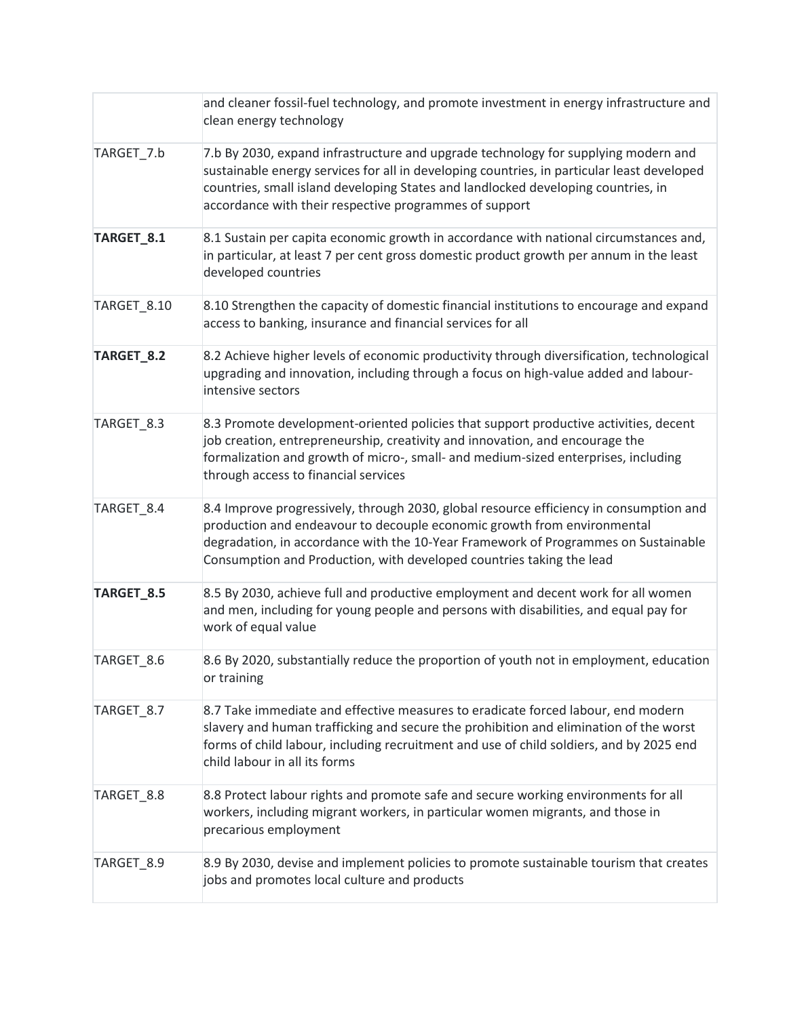|             | and cleaner fossil-fuel technology, and promote investment in energy infrastructure and<br>clean energy technology                                                                                                                                                                                                              |
|-------------|---------------------------------------------------------------------------------------------------------------------------------------------------------------------------------------------------------------------------------------------------------------------------------------------------------------------------------|
| TARGET_7.b  | 7.b By 2030, expand infrastructure and upgrade technology for supplying modern and<br>sustainable energy services for all in developing countries, in particular least developed<br>countries, small island developing States and landlocked developing countries, in<br>accordance with their respective programmes of support |
| TARGET_8.1  | 8.1 Sustain per capita economic growth in accordance with national circumstances and,<br>in particular, at least 7 per cent gross domestic product growth per annum in the least<br>developed countries                                                                                                                         |
| TARGET_8.10 | 8.10 Strengthen the capacity of domestic financial institutions to encourage and expand<br>access to banking, insurance and financial services for all                                                                                                                                                                          |
| TARGET_8.2  | 8.2 Achieve higher levels of economic productivity through diversification, technological<br>upgrading and innovation, including through a focus on high-value added and labour-<br>intensive sectors                                                                                                                           |
| TARGET_8.3  | 8.3 Promote development-oriented policies that support productive activities, decent<br>job creation, entrepreneurship, creativity and innovation, and encourage the<br>formalization and growth of micro-, small- and medium-sized enterprises, including<br>through access to financial services                              |
| TARGET_8.4  | 8.4 Improve progressively, through 2030, global resource efficiency in consumption and<br>production and endeavour to decouple economic growth from environmental<br>degradation, in accordance with the 10-Year Framework of Programmes on Sustainable<br>Consumption and Production, with developed countries taking the lead |
| TARGET_8.5  | 8.5 By 2030, achieve full and productive employment and decent work for all women<br>and men, including for young people and persons with disabilities, and equal pay for<br>work of equal value                                                                                                                                |
| TARGET 8.6  | 8.6 By 2020, substantially reduce the proportion of youth not in employment, education<br>or training                                                                                                                                                                                                                           |
| TARGET_8.7  | 8.7 Take immediate and effective measures to eradicate forced labour, end modern<br>slavery and human trafficking and secure the prohibition and elimination of the worst<br>forms of child labour, including recruitment and use of child soldiers, and by 2025 end<br>child labour in all its forms                           |
| TARGET_8.8  | 8.8 Protect labour rights and promote safe and secure working environments for all<br>workers, including migrant workers, in particular women migrants, and those in<br>precarious employment                                                                                                                                   |
| TARGET_8.9  | 8.9 By 2030, devise and implement policies to promote sustainable tourism that creates<br>jobs and promotes local culture and products                                                                                                                                                                                          |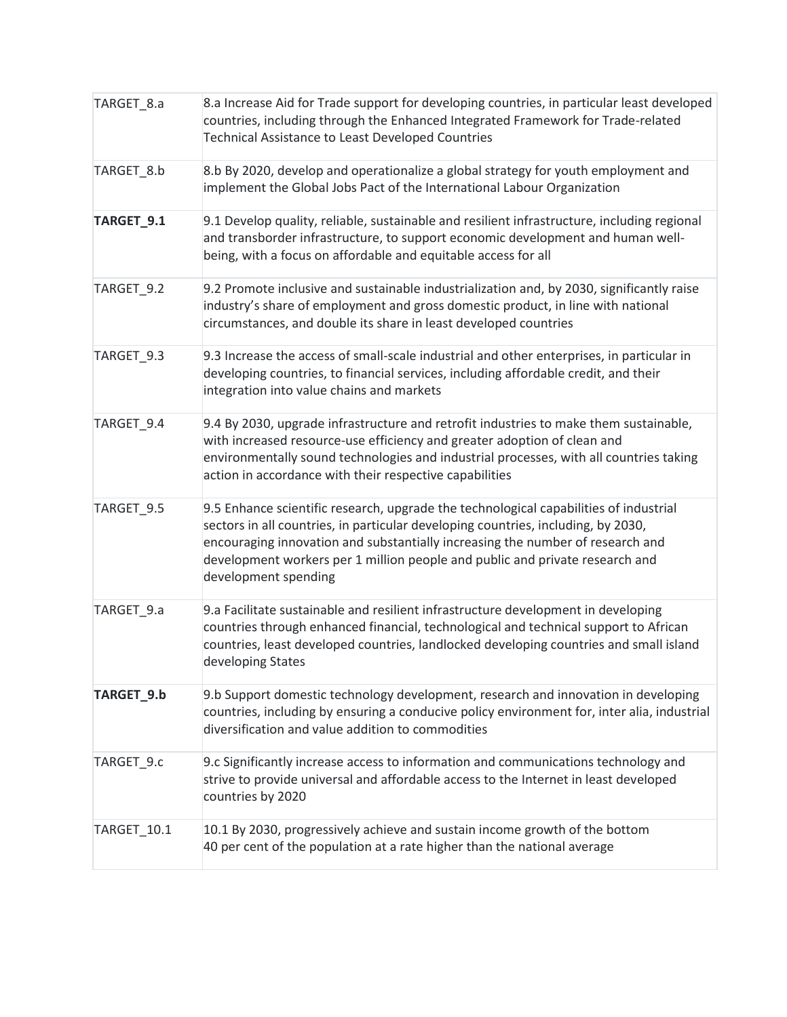| TARGET_8.a  | 8.a Increase Aid for Trade support for developing countries, in particular least developed<br>countries, including through the Enhanced Integrated Framework for Trade-related<br>Technical Assistance to Least Developed Countries                                                                                                                                  |
|-------------|----------------------------------------------------------------------------------------------------------------------------------------------------------------------------------------------------------------------------------------------------------------------------------------------------------------------------------------------------------------------|
| TARGET_8.b  | 8.b By 2020, develop and operationalize a global strategy for youth employment and<br>implement the Global Jobs Pact of the International Labour Organization                                                                                                                                                                                                        |
| TARGET_9.1  | 9.1 Develop quality, reliable, sustainable and resilient infrastructure, including regional<br>and transborder infrastructure, to support economic development and human well-<br>being, with a focus on affordable and equitable access for all                                                                                                                     |
| TARGET_9.2  | 9.2 Promote inclusive and sustainable industrialization and, by 2030, significantly raise<br>industry's share of employment and gross domestic product, in line with national<br>circumstances, and double its share in least developed countries                                                                                                                    |
| TARGET_9.3  | 9.3 Increase the access of small-scale industrial and other enterprises, in particular in<br>developing countries, to financial services, including affordable credit, and their<br>integration into value chains and markets                                                                                                                                        |
| TARGET_9.4  | 9.4 By 2030, upgrade infrastructure and retrofit industries to make them sustainable,<br>with increased resource-use efficiency and greater adoption of clean and<br>environmentally sound technologies and industrial processes, with all countries taking<br>action in accordance with their respective capabilities                                               |
| TARGET_9.5  | 9.5 Enhance scientific research, upgrade the technological capabilities of industrial<br>sectors in all countries, in particular developing countries, including, by 2030,<br>encouraging innovation and substantially increasing the number of research and<br>development workers per 1 million people and public and private research and<br>development spending |
| TARGET_9.a  | 9.a Facilitate sustainable and resilient infrastructure development in developing<br>countries through enhanced financial, technological and technical support to African<br>countries, least developed countries, landlocked developing countries and small island<br>developing States                                                                             |
| TARGET_9.b  | 9.b Support domestic technology development, research and innovation in developing<br>countries, including by ensuring a conducive policy environment for, inter alia, industrial<br>diversification and value addition to commodities                                                                                                                               |
| TARGET 9.c  | 9.c Significantly increase access to information and communications technology and<br>strive to provide universal and affordable access to the Internet in least developed<br>countries by 2020                                                                                                                                                                      |
| TARGET 10.1 | 10.1 By 2030, progressively achieve and sustain income growth of the bottom<br>40 per cent of the population at a rate higher than the national average                                                                                                                                                                                                              |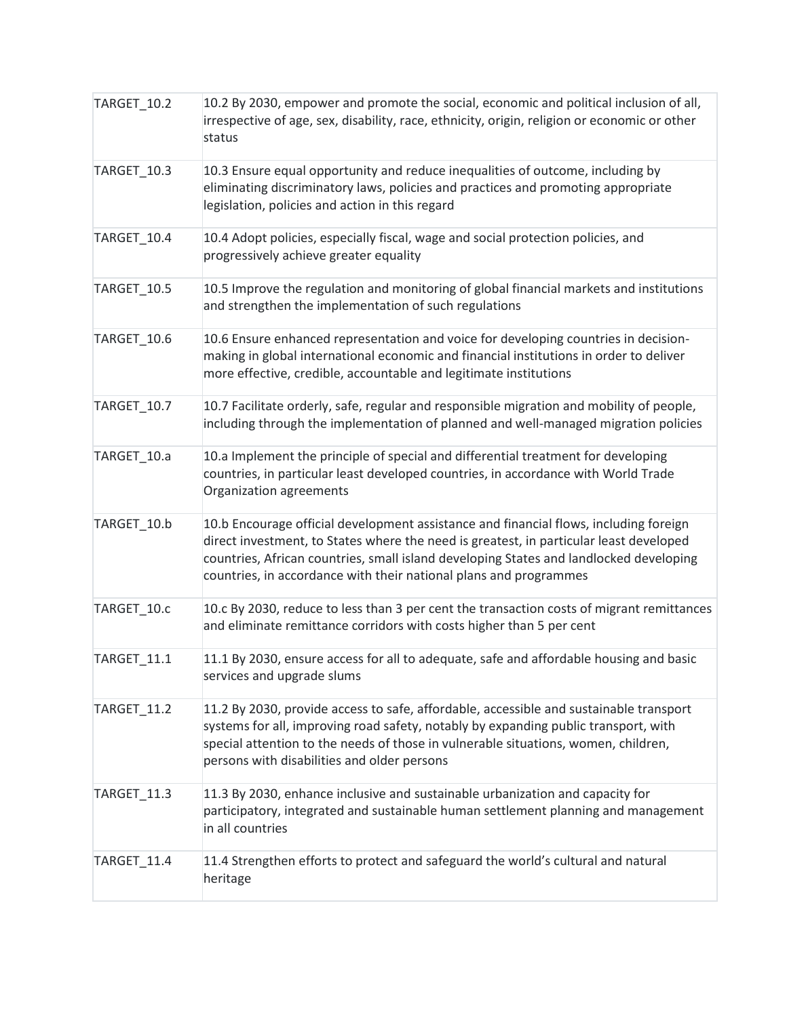| <b>TARGET_10.2</b> | 10.2 By 2030, empower and promote the social, economic and political inclusion of all,<br>irrespective of age, sex, disability, race, ethnicity, origin, religion or economic or other<br>status                                                                                                                                               |
|--------------------|------------------------------------------------------------------------------------------------------------------------------------------------------------------------------------------------------------------------------------------------------------------------------------------------------------------------------------------------|
| TARGET_10.3        | 10.3 Ensure equal opportunity and reduce inequalities of outcome, including by<br>eliminating discriminatory laws, policies and practices and promoting appropriate<br>legislation, policies and action in this regard                                                                                                                         |
| TARGET_10.4        | 10.4 Adopt policies, especially fiscal, wage and social protection policies, and<br>progressively achieve greater equality                                                                                                                                                                                                                     |
| TARGET_10.5        | 10.5 Improve the regulation and monitoring of global financial markets and institutions<br>and strengthen the implementation of such regulations                                                                                                                                                                                               |
| TARGET_10.6        | 10.6 Ensure enhanced representation and voice for developing countries in decision-<br>making in global international economic and financial institutions in order to deliver<br>more effective, credible, accountable and legitimate institutions                                                                                             |
| TARGET 10.7        | 10.7 Facilitate orderly, safe, regular and responsible migration and mobility of people,<br>including through the implementation of planned and well-managed migration policies                                                                                                                                                                |
| TARGET_10.a        | 10.a Implement the principle of special and differential treatment for developing<br>countries, in particular least developed countries, in accordance with World Trade<br>Organization agreements                                                                                                                                             |
| TARGET_10.b        | 10.b Encourage official development assistance and financial flows, including foreign<br>direct investment, to States where the need is greatest, in particular least developed<br>countries, African countries, small island developing States and landlocked developing<br>countries, in accordance with their national plans and programmes |
| TARGET_10.c        | 10.c By 2030, reduce to less than 3 per cent the transaction costs of migrant remittances<br>and eliminate remittance corridors with costs higher than 5 per cent                                                                                                                                                                              |
| TARGET_11.1        | 11.1 By 2030, ensure access for all to adequate, safe and affordable housing and basic<br>services and upgrade slums                                                                                                                                                                                                                           |
| TARGET_11.2        | 11.2 By 2030, provide access to safe, affordable, accessible and sustainable transport<br>systems for all, improving road safety, notably by expanding public transport, with<br>special attention to the needs of those in vulnerable situations, women, children,<br>persons with disabilities and older persons                             |
| TARGET_11.3        | 11.3 By 2030, enhance inclusive and sustainable urbanization and capacity for<br>participatory, integrated and sustainable human settlement planning and management<br>in all countries                                                                                                                                                        |
| TARGET_11.4        | 11.4 Strengthen efforts to protect and safeguard the world's cultural and natural<br>heritage                                                                                                                                                                                                                                                  |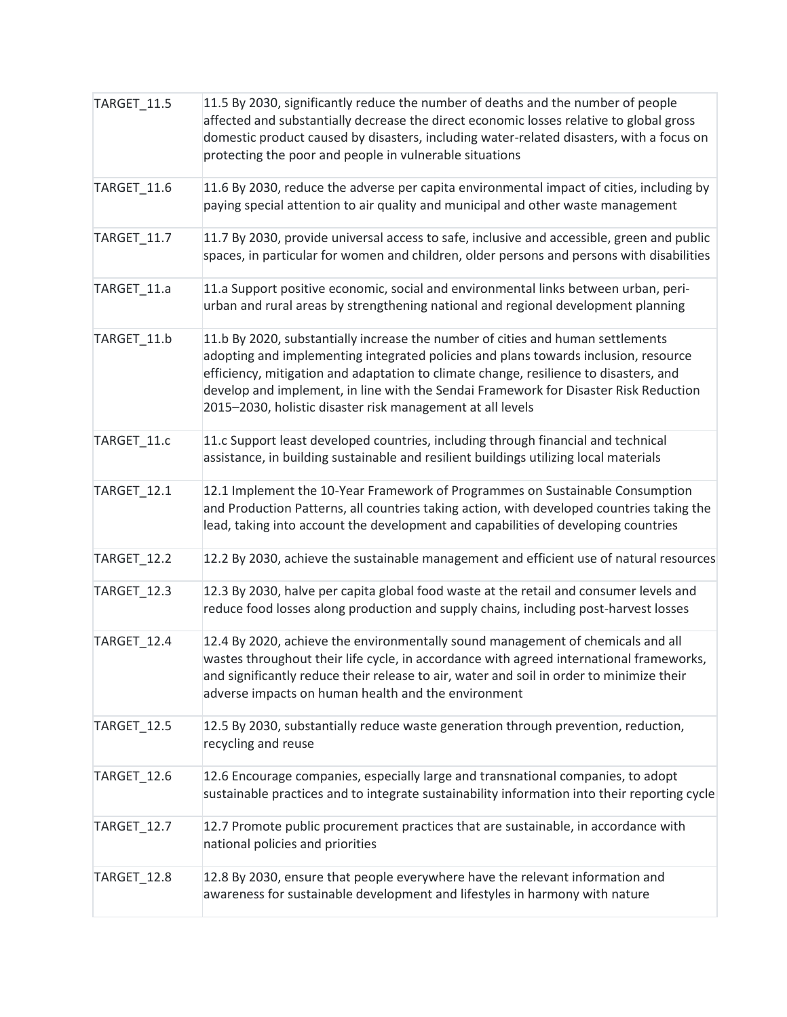| TARGET_11.5        | 11.5 By 2030, significantly reduce the number of deaths and the number of people<br>affected and substantially decrease the direct economic losses relative to global gross<br>domestic product caused by disasters, including water-related disasters, with a focus on<br>protecting the poor and people in vulnerable situations                                                                                    |
|--------------------|-----------------------------------------------------------------------------------------------------------------------------------------------------------------------------------------------------------------------------------------------------------------------------------------------------------------------------------------------------------------------------------------------------------------------|
| TARGET 11.6        | 11.6 By 2030, reduce the adverse per capita environmental impact of cities, including by<br>paying special attention to air quality and municipal and other waste management                                                                                                                                                                                                                                          |
| TARGET_11.7        | 11.7 By 2030, provide universal access to safe, inclusive and accessible, green and public<br>spaces, in particular for women and children, older persons and persons with disabilities                                                                                                                                                                                                                               |
| TARGET_11.a        | 11.a Support positive economic, social and environmental links between urban, peri-<br>urban and rural areas by strengthening national and regional development planning                                                                                                                                                                                                                                              |
| TARGET_11.b        | 11.b By 2020, substantially increase the number of cities and human settlements<br>adopting and implementing integrated policies and plans towards inclusion, resource<br>efficiency, mitigation and adaptation to climate change, resilience to disasters, and<br>develop and implement, in line with the Sendai Framework for Disaster Risk Reduction<br>2015-2030, holistic disaster risk management at all levels |
| TARGET_11.c        | 11.c Support least developed countries, including through financial and technical<br>assistance, in building sustainable and resilient buildings utilizing local materials                                                                                                                                                                                                                                            |
| TARGET_12.1        | 12.1 Implement the 10-Year Framework of Programmes on Sustainable Consumption<br>and Production Patterns, all countries taking action, with developed countries taking the<br>lead, taking into account the development and capabilities of developing countries                                                                                                                                                      |
| <b>TARGET_12.2</b> | 12.2 By 2030, achieve the sustainable management and efficient use of natural resources                                                                                                                                                                                                                                                                                                                               |
| TARGET_12.3        | 12.3 By 2030, halve per capita global food waste at the retail and consumer levels and<br>reduce food losses along production and supply chains, including post-harvest losses                                                                                                                                                                                                                                        |
| TARGET_12.4        | 12.4 By 2020, achieve the environmentally sound management of chemicals and all<br>wastes throughout their life cycle, in accordance with agreed international frameworks,<br>and significantly reduce their release to air, water and soil in order to minimize their<br>adverse impacts on human health and the environment                                                                                         |
| TARGET 12.5        | 12.5 By 2030, substantially reduce waste generation through prevention, reduction,<br>recycling and reuse                                                                                                                                                                                                                                                                                                             |
| TARGET_12.6        | 12.6 Encourage companies, especially large and transnational companies, to adopt<br>sustainable practices and to integrate sustainability information into their reporting cycle                                                                                                                                                                                                                                      |
| TARGET_12.7        | 12.7 Promote public procurement practices that are sustainable, in accordance with<br>national policies and priorities                                                                                                                                                                                                                                                                                                |
| TARGET_12.8        | 12.8 By 2030, ensure that people everywhere have the relevant information and<br>awareness for sustainable development and lifestyles in harmony with nature                                                                                                                                                                                                                                                          |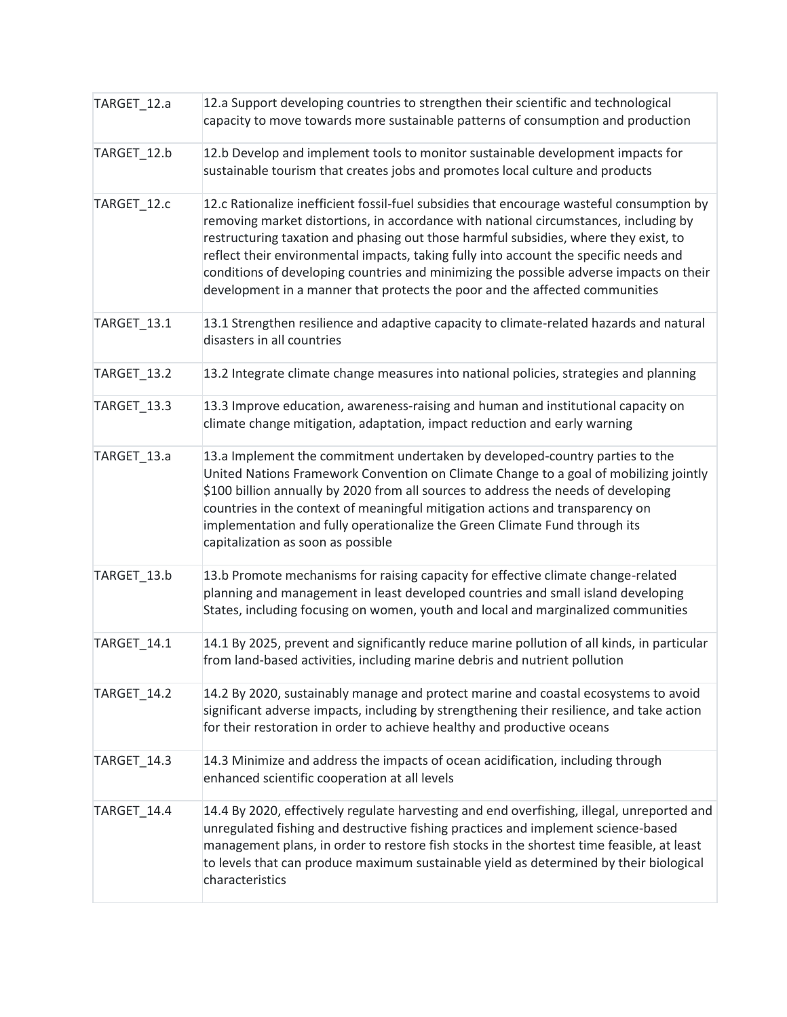| TARGET_12.a | 12.a Support developing countries to strengthen their scientific and technological<br>capacity to move towards more sustainable patterns of consumption and production                                                                                                                                                                                                                                                                                                                                                                       |
|-------------|----------------------------------------------------------------------------------------------------------------------------------------------------------------------------------------------------------------------------------------------------------------------------------------------------------------------------------------------------------------------------------------------------------------------------------------------------------------------------------------------------------------------------------------------|
| TARGET_12.b | 12.b Develop and implement tools to monitor sustainable development impacts for<br>sustainable tourism that creates jobs and promotes local culture and products                                                                                                                                                                                                                                                                                                                                                                             |
| TARGET_12.c | 12.c Rationalize inefficient fossil-fuel subsidies that encourage wasteful consumption by<br>removing market distortions, in accordance with national circumstances, including by<br>restructuring taxation and phasing out those harmful subsidies, where they exist, to<br>reflect their environmental impacts, taking fully into account the specific needs and<br>conditions of developing countries and minimizing the possible adverse impacts on their<br>development in a manner that protects the poor and the affected communities |
| TARGET_13.1 | 13.1 Strengthen resilience and adaptive capacity to climate-related hazards and natural<br>disasters in all countries                                                                                                                                                                                                                                                                                                                                                                                                                        |
| TARGET_13.2 | 13.2 Integrate climate change measures into national policies, strategies and planning                                                                                                                                                                                                                                                                                                                                                                                                                                                       |
| TARGET_13.3 | 13.3 Improve education, awareness-raising and human and institutional capacity on<br>climate change mitigation, adaptation, impact reduction and early warning                                                                                                                                                                                                                                                                                                                                                                               |
| TARGET_13.a | 13.a Implement the commitment undertaken by developed-country parties to the<br>United Nations Framework Convention on Climate Change to a goal of mobilizing jointly<br>\$100 billion annually by 2020 from all sources to address the needs of developing<br>countries in the context of meaningful mitigation actions and transparency on<br>implementation and fully operationalize the Green Climate Fund through its<br>capitalization as soon as possible                                                                             |
| TARGET_13.b | 13.b Promote mechanisms for raising capacity for effective climate change-related<br>planning and management in least developed countries and small island developing<br>States, including focusing on women, youth and local and marginalized communities                                                                                                                                                                                                                                                                                   |
| TARGET_14.1 | 14.1 By 2025, prevent and significantly reduce marine pollution of all kinds, in particular<br>from land-based activities, including marine debris and nutrient pollution                                                                                                                                                                                                                                                                                                                                                                    |
| TARGET 14.2 | 14.2 By 2020, sustainably manage and protect marine and coastal ecosystems to avoid<br>significant adverse impacts, including by strengthening their resilience, and take action<br>for their restoration in order to achieve healthy and productive oceans                                                                                                                                                                                                                                                                                  |
| TARGET_14.3 | 14.3 Minimize and address the impacts of ocean acidification, including through<br>enhanced scientific cooperation at all levels                                                                                                                                                                                                                                                                                                                                                                                                             |
| TARGET_14.4 | 14.4 By 2020, effectively regulate harvesting and end overfishing, illegal, unreported and<br>unregulated fishing and destructive fishing practices and implement science-based<br>management plans, in order to restore fish stocks in the shortest time feasible, at least<br>to levels that can produce maximum sustainable yield as determined by their biological<br>characteristics                                                                                                                                                    |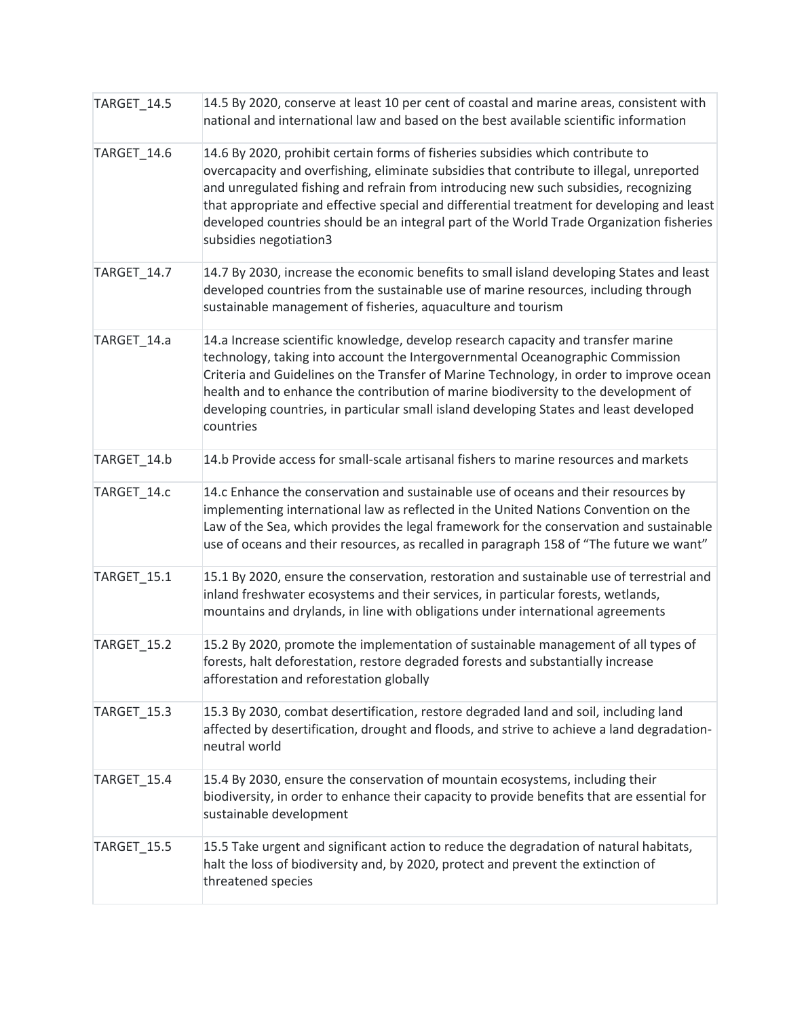| TARGET_14.5        | 14.5 By 2020, conserve at least 10 per cent of coastal and marine areas, consistent with<br>national and international law and based on the best available scientific information                                                                                                                                                                                                                                                                                                       |
|--------------------|-----------------------------------------------------------------------------------------------------------------------------------------------------------------------------------------------------------------------------------------------------------------------------------------------------------------------------------------------------------------------------------------------------------------------------------------------------------------------------------------|
| TARGET_14.6        | 14.6 By 2020, prohibit certain forms of fisheries subsidies which contribute to<br>overcapacity and overfishing, eliminate subsidies that contribute to illegal, unreported<br>and unregulated fishing and refrain from introducing new such subsidies, recognizing<br>that appropriate and effective special and differential treatment for developing and least<br>developed countries should be an integral part of the World Trade Organization fisheries<br>subsidies negotiation3 |
| TARGET 14.7        | 14.7 By 2030, increase the economic benefits to small island developing States and least<br>developed countries from the sustainable use of marine resources, including through<br>sustainable management of fisheries, aquaculture and tourism                                                                                                                                                                                                                                         |
| TARGET_14.a        | 14.a Increase scientific knowledge, develop research capacity and transfer marine<br>technology, taking into account the Intergovernmental Oceanographic Commission<br>Criteria and Guidelines on the Transfer of Marine Technology, in order to improve ocean<br>health and to enhance the contribution of marine biodiversity to the development of<br>developing countries, in particular small island developing States and least developed<br>countries                            |
| TARGET_14.b        | 14.b Provide access for small-scale artisanal fishers to marine resources and markets                                                                                                                                                                                                                                                                                                                                                                                                   |
| TARGET_14.c        | 14.c Enhance the conservation and sustainable use of oceans and their resources by<br>implementing international law as reflected in the United Nations Convention on the<br>Law of the Sea, which provides the legal framework for the conservation and sustainable<br>use of oceans and their resources, as recalled in paragraph 158 of "The future we want"                                                                                                                         |
| TARGET_15.1        | 15.1 By 2020, ensure the conservation, restoration and sustainable use of terrestrial and<br>inland freshwater ecosystems and their services, in particular forests, wetlands,<br>mountains and drylands, in line with obligations under international agreements                                                                                                                                                                                                                       |
| TARGET 15.2        | 15.2 By 2020, promote the implementation of sustainable management of all types of<br>forests, halt deforestation, restore degraded forests and substantially increase<br>afforestation and reforestation globally                                                                                                                                                                                                                                                                      |
| TARGET 15.3        | 15.3 By 2030, combat desertification, restore degraded land and soil, including land<br>affected by desertification, drought and floods, and strive to achieve a land degradation-<br>neutral world                                                                                                                                                                                                                                                                                     |
| TARGET_15.4        | 15.4 By 2030, ensure the conservation of mountain ecosystems, including their<br>biodiversity, in order to enhance their capacity to provide benefits that are essential for<br>sustainable development                                                                                                                                                                                                                                                                                 |
| <b>TARGET_15.5</b> | 15.5 Take urgent and significant action to reduce the degradation of natural habitats,<br>halt the loss of biodiversity and, by 2020, protect and prevent the extinction of<br>threatened species                                                                                                                                                                                                                                                                                       |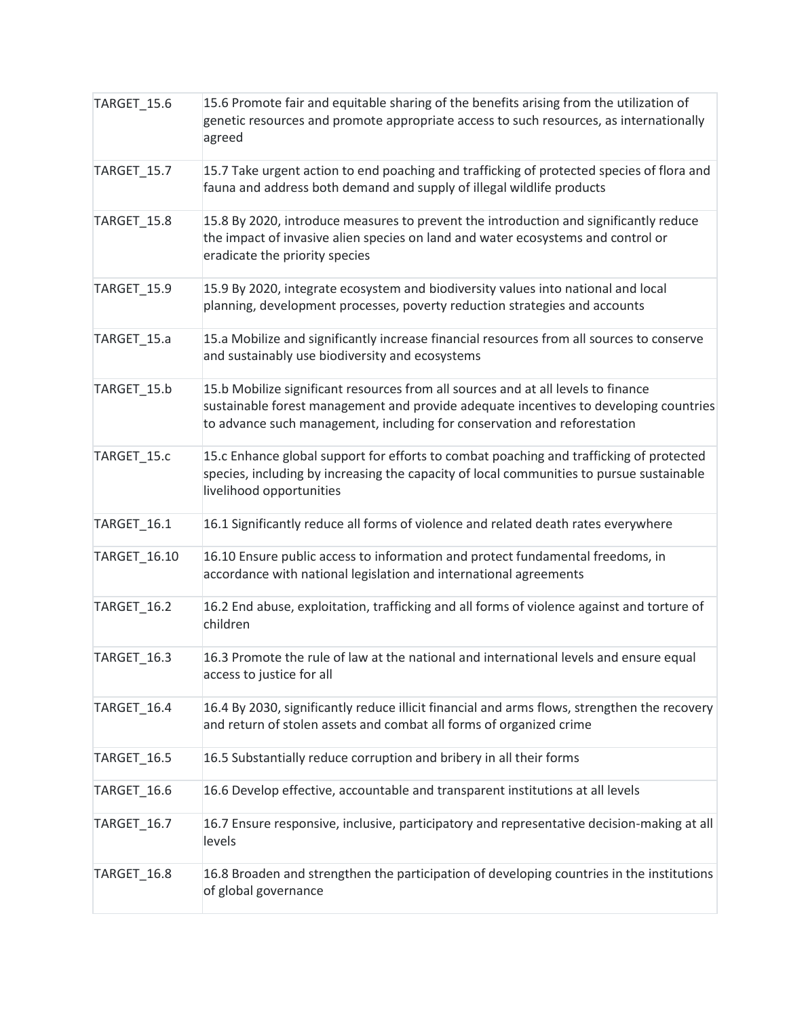| TARGET_15.6        | 15.6 Promote fair and equitable sharing of the benefits arising from the utilization of<br>genetic resources and promote appropriate access to such resources, as internationally<br>agreed                                                            |
|--------------------|--------------------------------------------------------------------------------------------------------------------------------------------------------------------------------------------------------------------------------------------------------|
| TARGET_15.7        | 15.7 Take urgent action to end poaching and trafficking of protected species of flora and<br>fauna and address both demand and supply of illegal wildlife products                                                                                     |
| TARGET_15.8        | 15.8 By 2020, introduce measures to prevent the introduction and significantly reduce<br>the impact of invasive alien species on land and water ecosystems and control or<br>eradicate the priority species                                            |
| TARGET_15.9        | 15.9 By 2020, integrate ecosystem and biodiversity values into national and local<br>planning, development processes, poverty reduction strategies and accounts                                                                                        |
| TARGET_15.a        | 15.a Mobilize and significantly increase financial resources from all sources to conserve<br>and sustainably use biodiversity and ecosystems                                                                                                           |
| TARGET_15.b        | 15.b Mobilize significant resources from all sources and at all levels to finance<br>sustainable forest management and provide adequate incentives to developing countries<br>to advance such management, including for conservation and reforestation |
| TARGET 15.c        | 15.c Enhance global support for efforts to combat poaching and trafficking of protected<br>species, including by increasing the capacity of local communities to pursue sustainable<br>livelihood opportunities                                        |
| TARGET_16.1        | 16.1 Significantly reduce all forms of violence and related death rates everywhere                                                                                                                                                                     |
| TARGET_16.10       | 16.10 Ensure public access to information and protect fundamental freedoms, in<br>accordance with national legislation and international agreements                                                                                                    |
| TARGET_16.2        | 16.2 End abuse, exploitation, trafficking and all forms of violence against and torture of<br>children                                                                                                                                                 |
| TARGET_16.3        | 16.3 Promote the rule of law at the national and international levels and ensure equal<br>access to justice for all                                                                                                                                    |
| TARGET_16.4        | 16.4 By 2030, significantly reduce illicit financial and arms flows, strengthen the recovery<br>and return of stolen assets and combat all forms of organized crime                                                                                    |
| TARGET_16.5        | 16.5 Substantially reduce corruption and bribery in all their forms                                                                                                                                                                                    |
| TARGET_16.6        | 16.6 Develop effective, accountable and transparent institutions at all levels                                                                                                                                                                         |
| TARGET_16.7        | 16.7 Ensure responsive, inclusive, participatory and representative decision-making at all<br>levels                                                                                                                                                   |
| <b>TARGET_16.8</b> | 16.8 Broaden and strengthen the participation of developing countries in the institutions<br>of global governance                                                                                                                                      |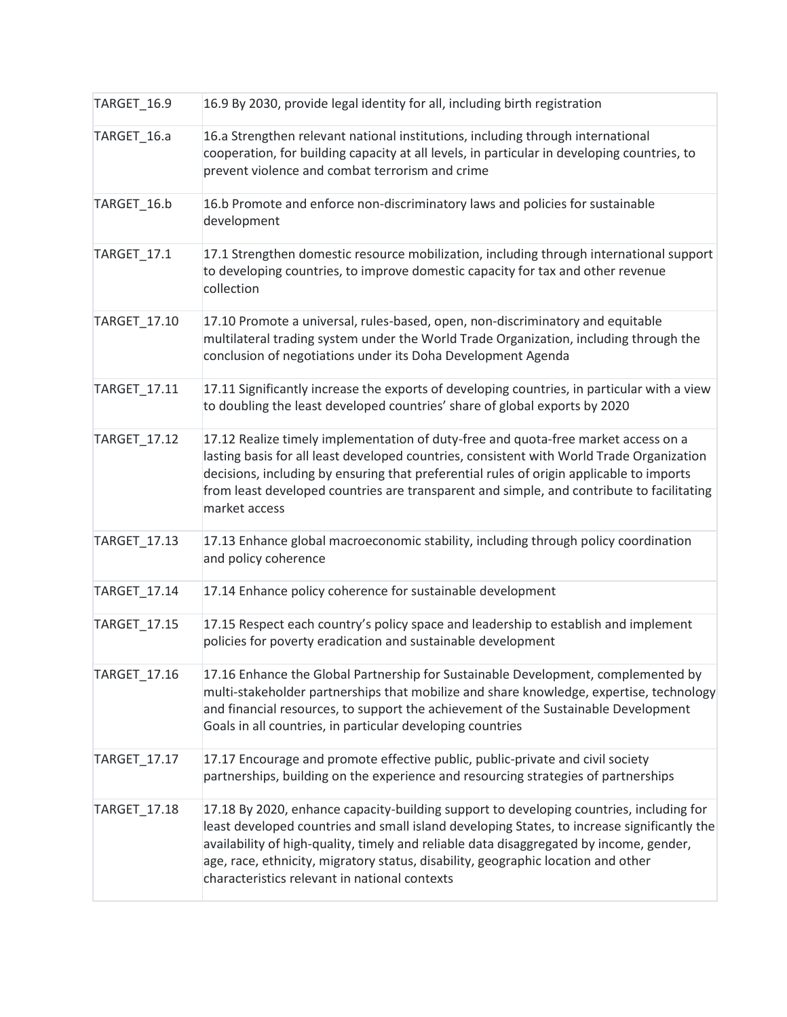| TARGET_16.9  | 16.9 By 2030, provide legal identity for all, including birth registration                                                                                                                                                                                                                                                                                                                                              |
|--------------|-------------------------------------------------------------------------------------------------------------------------------------------------------------------------------------------------------------------------------------------------------------------------------------------------------------------------------------------------------------------------------------------------------------------------|
| TARGET_16.a  | 16.a Strengthen relevant national institutions, including through international<br>cooperation, for building capacity at all levels, in particular in developing countries, to<br>prevent violence and combat terrorism and crime                                                                                                                                                                                       |
| TARGET_16.b  | 16.b Promote and enforce non-discriminatory laws and policies for sustainable<br>development                                                                                                                                                                                                                                                                                                                            |
| TARGET_17.1  | 17.1 Strengthen domestic resource mobilization, including through international support<br>to developing countries, to improve domestic capacity for tax and other revenue<br>collection                                                                                                                                                                                                                                |
| TARGET_17.10 | 17.10 Promote a universal, rules-based, open, non-discriminatory and equitable<br>multilateral trading system under the World Trade Organization, including through the<br>conclusion of negotiations under its Doha Development Agenda                                                                                                                                                                                 |
| TARGET_17.11 | 17.11 Significantly increase the exports of developing countries, in particular with a view<br>to doubling the least developed countries' share of global exports by 2020                                                                                                                                                                                                                                               |
| TARGET_17.12 | 17.12 Realize timely implementation of duty-free and quota-free market access on a<br>lasting basis for all least developed countries, consistent with World Trade Organization<br>decisions, including by ensuring that preferential rules of origin applicable to imports<br>from least developed countries are transparent and simple, and contribute to facilitating<br>market access                               |
| TARGET_17.13 | 17.13 Enhance global macroeconomic stability, including through policy coordination<br>and policy coherence                                                                                                                                                                                                                                                                                                             |
| TARGET_17.14 | 17.14 Enhance policy coherence for sustainable development                                                                                                                                                                                                                                                                                                                                                              |
| TARGET_17.15 | 17.15 Respect each country's policy space and leadership to establish and implement<br>policies for poverty eradication and sustainable development                                                                                                                                                                                                                                                                     |
| TARGET_17.16 | 17.16 Enhance the Global Partnership for Sustainable Development, complemented by<br>multi-stakeholder partnerships that mobilize and share knowledge, expertise, technology<br>and financial resources, to support the achievement of the Sustainable Development<br>Goals in all countries, in particular developing countries                                                                                        |
| TARGET_17.17 | 17.17 Encourage and promote effective public, public-private and civil society<br>partnerships, building on the experience and resourcing strategies of partnerships                                                                                                                                                                                                                                                    |
| TARGET_17.18 | 17.18 By 2020, enhance capacity-building support to developing countries, including for<br>least developed countries and small island developing States, to increase significantly the<br>availability of high-quality, timely and reliable data disaggregated by income, gender,<br>age, race, ethnicity, migratory status, disability, geographic location and other<br>characteristics relevant in national contexts |